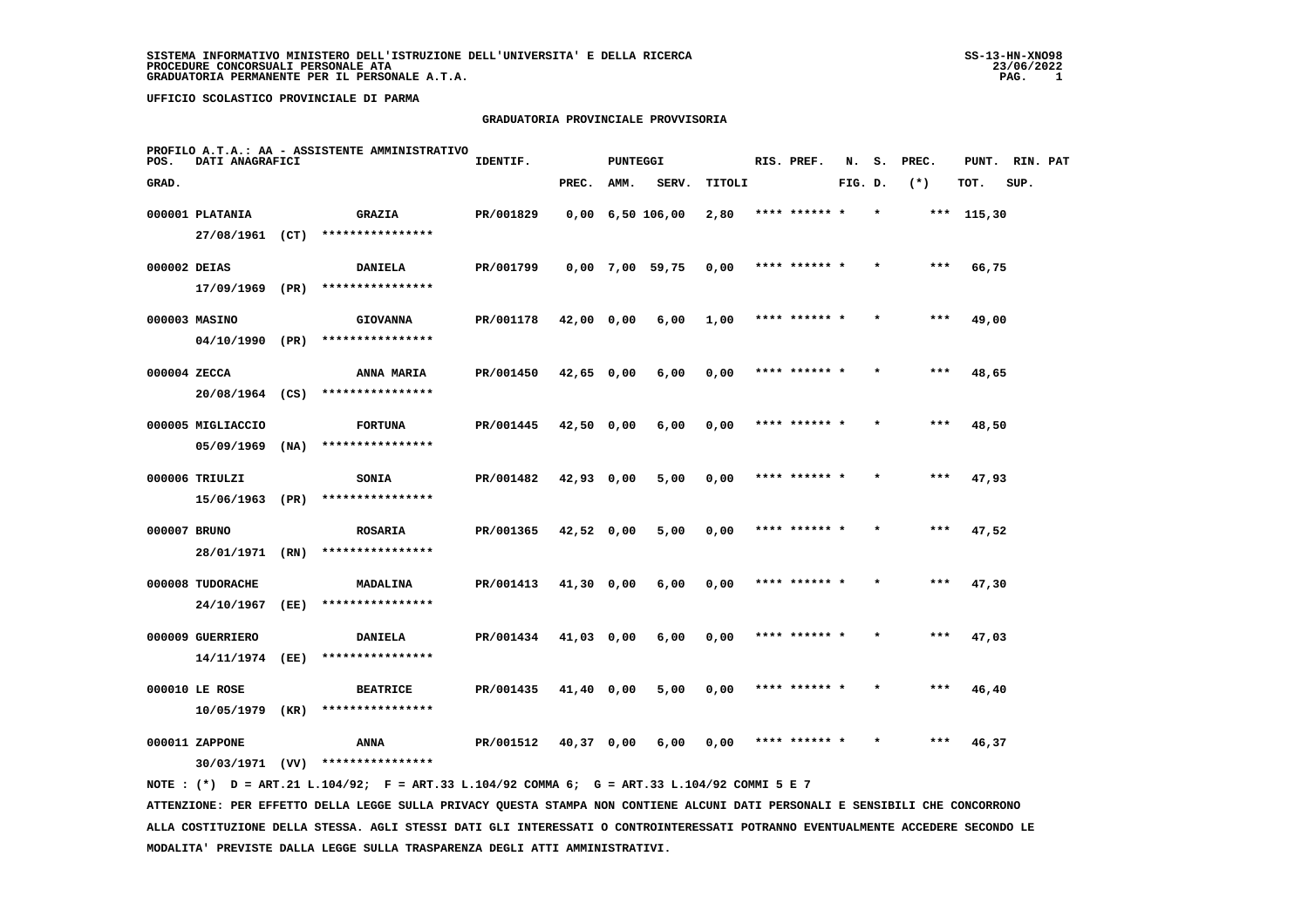#### **GRADUATORIA PROVINCIALE PROVVISORIA**

| POS.         | DATI ANAGRAFICI   |      | PROFILO A.T.A.: AA - ASSISTENTE AMMINISTRATIVO                                              | IDENTIF.  |              | <b>PUNTEGGI</b> |                                |        | RIS. PREF.    | N.      | s.      | PREC. | PUNT.        | RIN. PAT |  |
|--------------|-------------------|------|---------------------------------------------------------------------------------------------|-----------|--------------|-----------------|--------------------------------|--------|---------------|---------|---------|-------|--------------|----------|--|
| GRAD.        |                   |      |                                                                                             |           | PREC.        | AMM.            | SERV.                          | TITOLI |               | FIG. D. |         | $(*)$ | TOT.         | SUP.     |  |
|              | 000001 PLATANIA   |      | <b>GRAZIA</b>                                                                               | PR/001829 |              |                 | $0,00 \quad 6,50 \quad 106,00$ | 2,80   | **** ****** * |         | $\star$ |       | *** $115,30$ |          |  |
|              | 27/08/1961 (CT)   |      | ****************                                                                            |           |              |                 |                                |        |               |         |         |       |              |          |  |
| 000002 DEIAS |                   |      | <b>DANIELA</b>                                                                              | PR/001799 |              |                 | $0,00$ 7,00 59,75              | 0,00   | **** ****** * |         |         | ***   | 66,75        |          |  |
|              | 17/09/1969 (PR)   |      | ****************                                                                            |           |              |                 |                                |        |               |         |         |       |              |          |  |
|              | 000003 MASINO     |      | <b>GIOVANNA</b>                                                                             | PR/001178 | 42,00 0,00   |                 | 6,00                           | 1,00   | **** ****** * |         |         | $***$ | 49,00        |          |  |
|              | 04/10/1990 (PR)   |      | ****************                                                                            |           |              |                 |                                |        |               |         |         |       |              |          |  |
| 000004 ZECCA |                   |      | ANNA MARIA                                                                                  | PR/001450 | $42,65$ 0,00 |                 | 6,00                           | 0,00   | **** ****** * |         |         | $***$ | 48,65        |          |  |
|              |                   |      | 20/08/1964 (CS) ****************                                                            |           |              |                 |                                |        |               |         |         |       |              |          |  |
|              | 000005 MIGLIACCIO |      | <b>FORTUNA</b>                                                                              | PR/001445 | 42,50 0,00   |                 | 6,00                           | 0,00   | **** ****** * |         |         | $***$ | 48,50        |          |  |
|              | $05/09/1969$ (NA) |      | ****************                                                                            |           |              |                 |                                |        |               |         |         |       |              |          |  |
|              | 000006 TRIULZI    |      | SONIA                                                                                       | PR/001482 | 42,93 0,00   |                 | 5,00                           | 0,00   | **** ****** * |         |         | ***   | 47,93        |          |  |
|              | 15/06/1963 (PR)   |      | ****************                                                                            |           |              |                 |                                |        |               |         |         |       |              |          |  |
| 000007 BRUNO |                   |      | <b>ROSARIA</b>                                                                              | PR/001365 | $42,52$ 0,00 |                 | 5,00                           | 0,00   | **** ****** * |         |         | $***$ | 47,52        |          |  |
|              | 28/01/1971 (RN)   |      | ****************                                                                            |           |              |                 |                                |        |               |         |         |       |              |          |  |
|              | 000008 TUDORACHE  |      | MADALINA                                                                                    | PR/001413 | $41,30$ 0,00 |                 | 6,00                           | 0,00   | **** ****** * |         |         | $***$ | 47,30        |          |  |
|              | 24/10/1967        | (EE) | ****************                                                                            |           |              |                 |                                |        |               |         |         |       |              |          |  |
|              | 000009 GUERRIERO  |      | <b>DANIELA</b>                                                                              | PR/001434 | 41,03 0,00   |                 | 6,00                           | 0,00   | **** ****** * |         |         | $***$ | 47,03        |          |  |
|              | 14/11/1974        | (EE) | ****************                                                                            |           |              |                 |                                |        |               |         |         |       |              |          |  |
|              | 000010 LE ROSE    |      | <b>BEATRICE</b>                                                                             | PR/001435 | 41,40 0,00   |                 | 5,00                           | 0,00   | **** ****** * |         |         | ***   | 46,40        |          |  |
|              | 10/05/1979        | (KR) | ****************                                                                            |           |              |                 |                                |        |               |         |         |       |              |          |  |
|              | 000011 ZAPPONE    |      | ANNA                                                                                        | PR/001512 | 40,37 0,00   |                 | 6,00                           | 0,00   | **** ****** * |         |         | ***   | 46,37        |          |  |
|              |                   |      | $30/03/1971$ (VV) *****************                                                         |           |              |                 |                                |        |               |         |         |       |              |          |  |
|              |                   |      | NOTE: (*) D = ART.21 L.104/92; F = ART.33 L.104/92 COMMA 6; G = ART.33 L.104/92 COMMI 5 E 7 |           |              |                 |                                |        |               |         |         |       |              |          |  |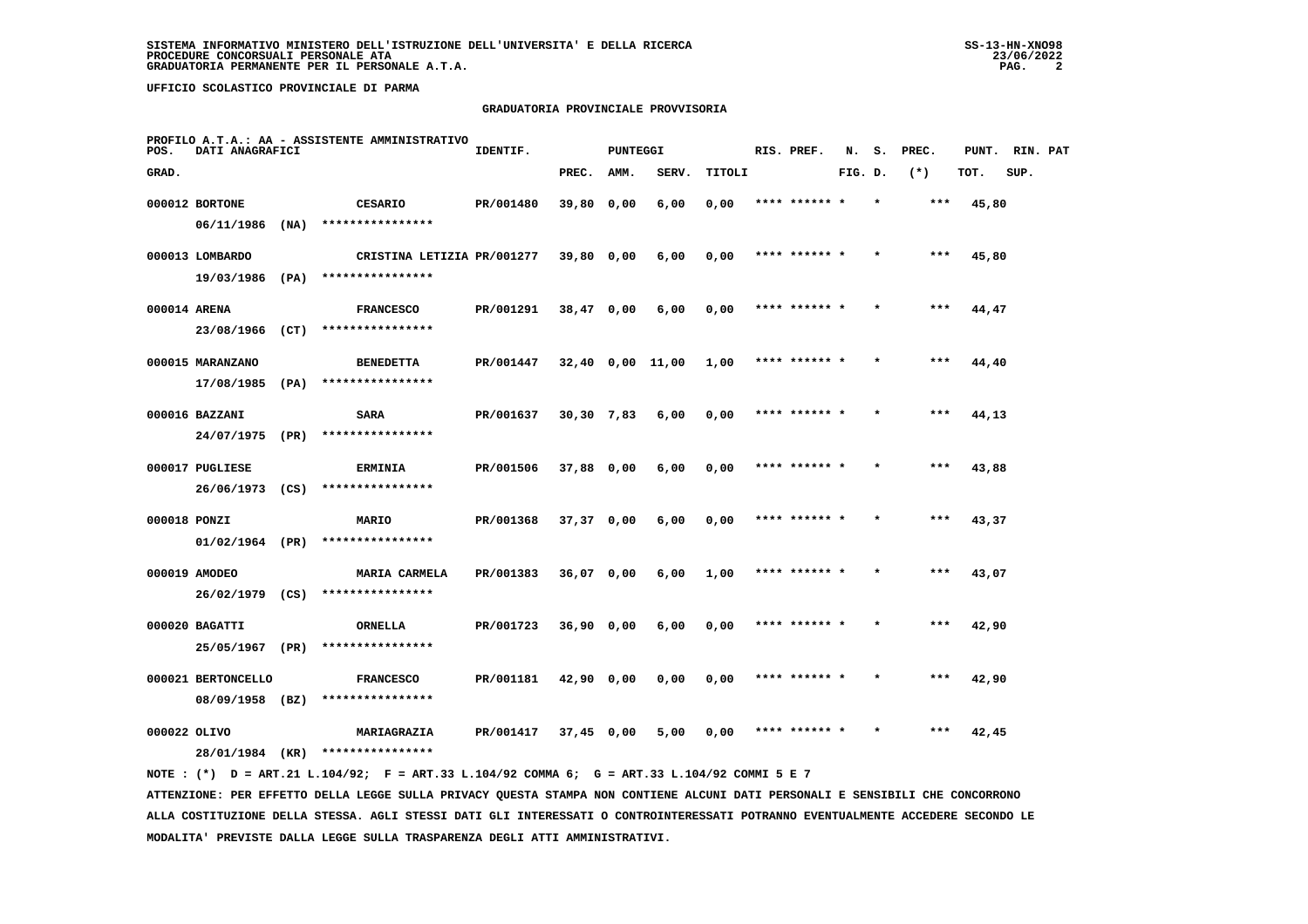#### **GRADUATORIA PROVINCIALE PROVVISORIA**

| POS.         | DATI ANAGRAFICI                       |      | PROFILO A.T.A.: AA - ASSISTENTE AMMINISTRATIVO | IDENTIF.  |              | <b>PUNTEGGI</b> |                  |        | RIS. PREF.    | N.      | s. | PREC. | PUNT. RIN. PAT |      |  |
|--------------|---------------------------------------|------|------------------------------------------------|-----------|--------------|-----------------|------------------|--------|---------------|---------|----|-------|----------------|------|--|
| GRAD.        |                                       |      |                                                |           | PREC.        | AMM.            | SERV.            | TITOLI |               | FIG. D. |    | $(*)$ | TOT.           | SUP. |  |
|              | 000012 BORTONE<br>$06/11/1986$ (NA)   |      | CESARIO<br>****************                    | PR/001480 | 39,80 0,00   |                 | 6,00             | 0,00   | **** ******   |         |    | ***   | 45,80          |      |  |
|              | 000013 LOMBARDO<br>19/03/1986 (PA)    |      | CRISTINA LETIZIA PR/001277<br>**************** |           | $39,80$ 0,00 |                 | 6,00             | 0,00   | **** ****** * |         |    | ***   | 45,80          |      |  |
| 000014 ARENA | 23/08/1966                            | (CT) | <b>FRANCESCO</b><br>****************           | PR/001291 | $38,47$ 0,00 |                 | 6,00             | 0,00   | **** ******   |         |    | $***$ | 44,47          |      |  |
|              | 000015 MARANZANO<br>17/08/1985        | (PA) | <b>BENEDETTA</b><br>****************           | PR/001447 |              |                 | 32,40 0,00 11,00 | 1,00   | **** ****** * |         |    | ***   | 44,40          |      |  |
|              | 000016 BAZZANI<br>24/07/1975 (PR)     |      | <b>SARA</b><br>****************                | PR/001637 | $30,30$ 7,83 |                 | 6,00             | 0,00   | **** ****** * |         |    | $***$ | 44,13          |      |  |
|              | 000017 PUGLIESE<br>26/06/1973 (CS)    |      | <b>ERMINIA</b><br>****************             | PR/001506 | 37,88 0,00   |                 | 6,00             | 0,00   | **** ****** * |         |    | ***   | 43,88          |      |  |
| 000018 PONZI | 01/02/1964 (PR)                       |      | <b>MARIO</b><br>****************               | PR/001368 | 37,37 0,00   |                 | 6,00             | 0,00   | **** ****** * |         |    | ***   | 43,37          |      |  |
|              | 000019 AMODEO<br>26/02/1979 (CS)      |      | <b>MARIA CARMELA</b><br>****************       | PR/001383 | 36,07 0,00   |                 | 6,00             | 1,00   |               |         |    | ***   | 43,07          |      |  |
|              | 000020 BAGATTI<br>25/05/1967 (PR)     |      | ORNELLA<br>****************                    | PR/001723 | $36,90$ 0,00 |                 | 6,00             | 0,00   | **** ****** * |         |    | ***   | 42,90          |      |  |
|              | 000021 BERTONCELLO<br>08/09/1958 (BZ) |      | <b>FRANCESCO</b><br>****************           | PR/001181 | 42,90 0,00   |                 | 0,00             | 0,00   | **** ****** * |         |    | $***$ | 42,90          |      |  |
| 000022 OLIVO | 28/01/1984 (KR)                       |      | MARIAGRAZIA<br>****************                | PR/001417 | 37,45 0,00   |                 | 5,00             | 0,00   | **** ****** * |         |    | ***   | 42,45          |      |  |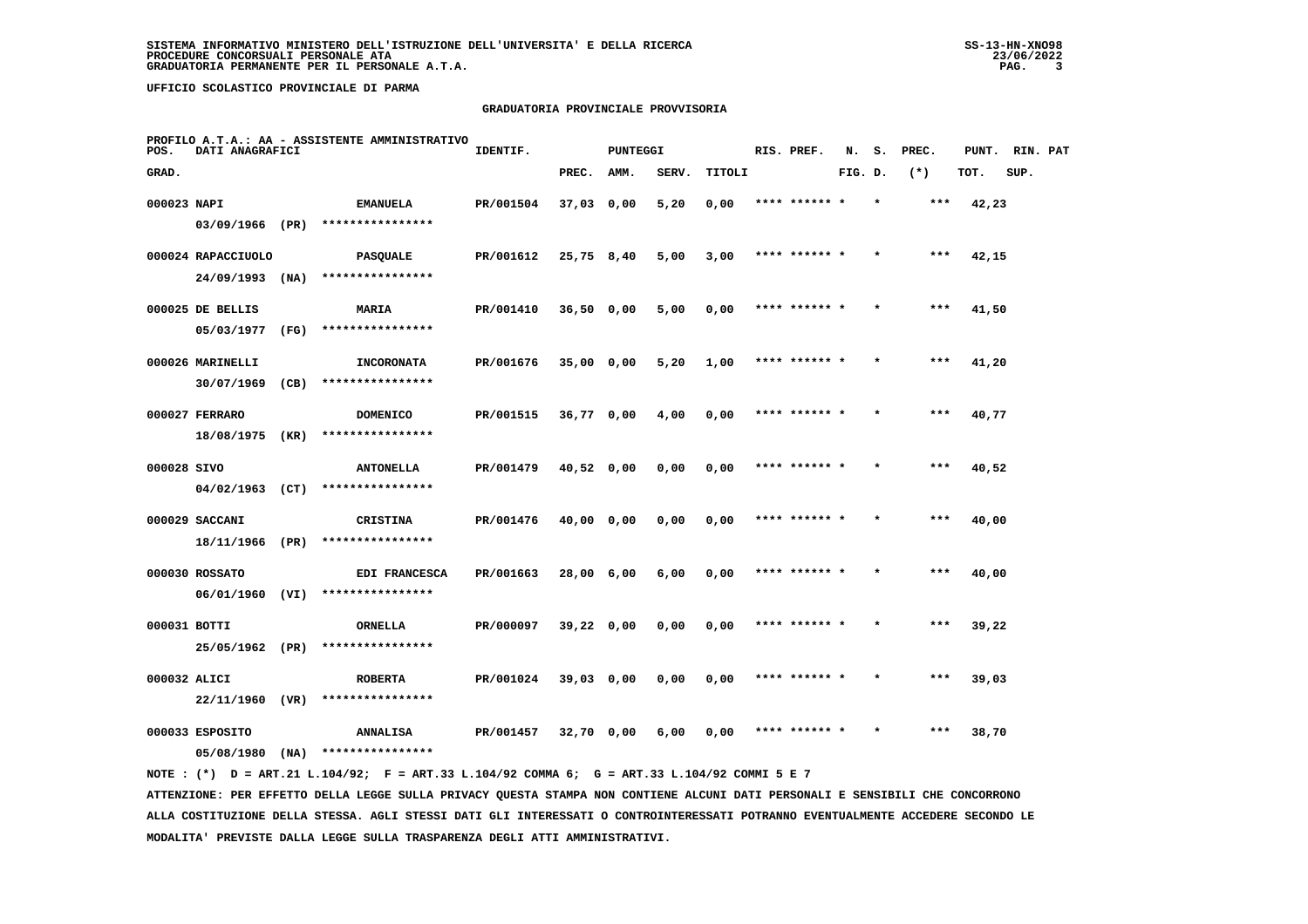## **GRADUATORIA PROVINCIALE PROVVISORIA**

| POS.        | DATI ANAGRAFICI                         |      | PROFILO A.T.A.: AA - ASSISTENTE AMMINISTRATIVO | IDENTIF.  |              | <b>PUNTEGGI</b> |       |        | RIS. PREF.    | N.      | s. | PREC. | PUNT. RIN. PAT |      |  |
|-------------|-----------------------------------------|------|------------------------------------------------|-----------|--------------|-----------------|-------|--------|---------------|---------|----|-------|----------------|------|--|
| GRAD.       |                                         |      |                                                |           | PREC.        | AMM.            | SERV. | TITOLI |               | FIG. D. |    | $(*)$ | TOT.           | SUP. |  |
| 000023 NAPI | 03/09/1966 (PR)                         |      | <b>EMANUELA</b><br>****************            | PR/001504 | $37,03$ 0,00 |                 | 5,20  | 0,00   | **** ******   |         |    | ***   | 42,23          |      |  |
|             | 000024 RAPACCIUOLO<br>$24/09/1993$ (NA) |      | <b>PASQUALE</b><br>****************            | PR/001612 | 25,75 8,40   |                 | 5,00  | 3,00   | **** ****** * |         |    | $***$ | 42,15          |      |  |
|             | 000025 DE BELLIS<br>05/03/1977          | (FG) | MARIA<br>****************                      | PR/001410 | $36,50$ 0,00 |                 | 5,00  | 0,00   | **** ****** * |         |    | $***$ | 41,50          |      |  |
|             | 000026 MARINELLI<br>30/07/1969          | (CB) | <b>INCORONATA</b><br>****************          | PR/001676 | $35,00$ 0,00 |                 | 5,20  | 1,00   | **** ****** * |         |    | ***   | 41,20          |      |  |
|             | 000027 FERRARO<br>18/08/1975 (KR)       |      | <b>DOMENICO</b><br>****************            | PR/001515 | $36,77$ 0,00 |                 | 4,00  | 0,00   | **** ****** * |         |    | $***$ | 40,77          |      |  |
| 000028 SIVO | $04/02/1963$ (CT)                       |      | <b>ANTONELLA</b><br>****************           | PR/001479 | 40,52 0,00   |                 | 0,00  | 0,00   | **** ****** * |         |    | $***$ | 40,52          |      |  |
|             | 000029 SACCANI<br>18/11/1966 (PR)       |      | <b>CRISTINA</b><br>****************            | PR/001476 | 40,00 0,00   |                 | 0,00  | 0,00   | **** ****** * |         |    | ***   | 40,00          |      |  |
|             | 000030 ROSSATO<br>06/01/1960 (VI)       |      | EDI FRANCESCA<br>****************              | PR/001663 | 28,00 6,00   |                 | 6,00  | 0,00   |               |         |    | ***   | 40,00          |      |  |
|             | 000031 BOTTI<br>25/05/1962 (PR)         |      | ORNELLA<br>****************                    | PR/000097 | $39,22$ 0,00 |                 | 0,00  | 0,00   | **** ****** * |         |    | ***   | 39,22          |      |  |
|             | 000032 ALICI<br>22/11/1960              | (VR) | <b>ROBERTA</b><br>****************             | PR/001024 | 39,03 0,00   |                 | 0,00  | 0,00   | **** ****** * |         |    | $***$ | 39,03          |      |  |
|             | 000033 ESPOSITO<br>05/08/1980           | (NA) | <b>ANNALISA</b><br>****************            | PR/001457 | 32,70 0,00   |                 | 6,00  | 0,00   | **** ****** * |         |    | ***   | 38,70          |      |  |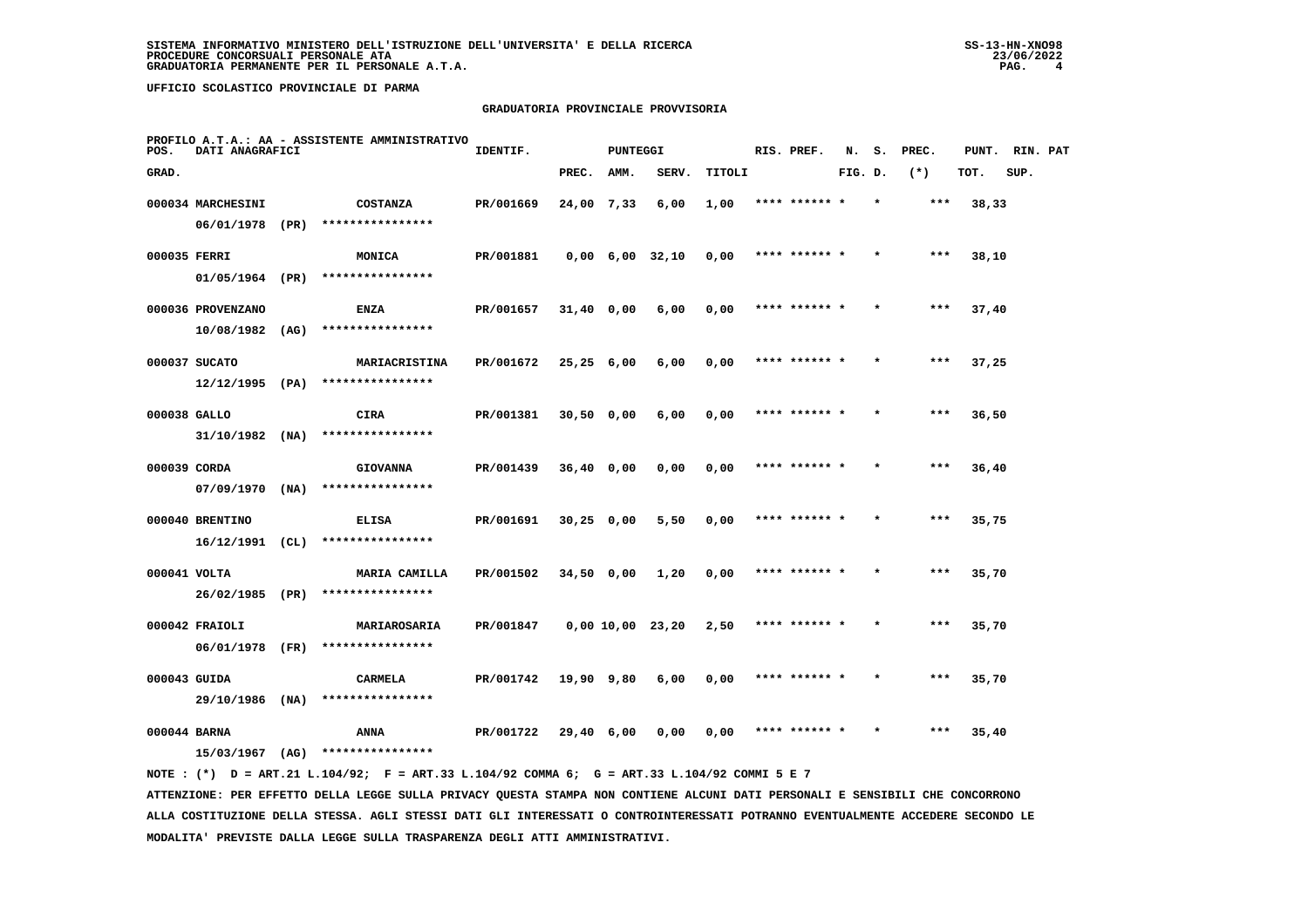## **GRADUATORIA PROVINCIALE PROVVISORIA**

| POS.         | DATI ANAGRAFICI   |      | PROFILO A.T.A.: AA - ASSISTENTE AMMINISTRATIVO | IDENTIF.  |              | <b>PUNTEGGI</b> |                               |        | RIS. PREF.    | N.      | s.      | PREC. | PUNT. | RIN. PAT |  |
|--------------|-------------------|------|------------------------------------------------|-----------|--------------|-----------------|-------------------------------|--------|---------------|---------|---------|-------|-------|----------|--|
| GRAD.        |                   |      |                                                |           | PREC.        | AMM.            | SERV.                         | TITOLI |               | FIG. D. |         | $(*)$ | TOT.  | SUP.     |  |
|              | 000034 MARCHESINI |      | <b>COSTANZA</b>                                | PR/001669 | 24,00 7,33   |                 | 6,00                          | 1,00   | **** ****** * |         |         | $***$ | 38,33 |          |  |
|              | 06/01/1978        | (PR) | ****************                               |           |              |                 |                               |        |               |         |         |       |       |          |  |
| 000035 FERRI |                   |      | <b>MONICA</b>                                  | PR/001881 |              |                 | $0,00 \quad 6,00 \quad 32,10$ | 0,00   | **** ****** * |         |         | ***   | 38,10 |          |  |
|              | 01/05/1964 (PR)   |      | ****************                               |           |              |                 |                               |        |               |         |         |       |       |          |  |
|              | 000036 PROVENZANO |      | ENZA                                           | PR/001657 | $31,40$ 0,00 |                 | 6,00                          | 0,00   | **** ****** * |         | $\star$ | ***   | 37,40 |          |  |
|              | 10/08/1982        | (AG) | ****************                               |           |              |                 |                               |        |               |         |         |       |       |          |  |
|              | 000037 SUCATO     |      | MARIACRISTINA                                  | PR/001672 | $25,25$ 6,00 |                 | 6,00                          | 0,00   | **** ****** * |         |         | $***$ | 37,25 |          |  |
|              | $12/12/1995$ (PA) |      | ****************                               |           |              |                 |                               |        |               |         |         |       |       |          |  |
| 000038 GALLO |                   |      | CIRA                                           | PR/001381 | $30,50$ 0,00 |                 | 6,00                          | 0,00   | **** ****** * |         |         | $***$ | 36,50 |          |  |
|              | $31/10/1982$ (NA) |      | ****************                               |           |              |                 |                               |        |               |         |         |       |       |          |  |
| 000039 CORDA |                   |      | <b>GIOVANNA</b>                                | PR/001439 | $36,40$ 0,00 |                 | 0,00                          | 0,00   | **** ****** * |         |         | $***$ | 36,40 |          |  |
|              | $07/09/1970$ (NA) |      | ****************                               |           |              |                 |                               |        |               |         |         |       |       |          |  |
|              | 000040 BRENTINO   |      | <b>ELISA</b>                                   | PR/001691 | $30,25$ 0,00 |                 | 5,50                          | 0,00   |               |         |         | ***   | 35,75 |          |  |
|              | $16/12/1991$ (CL) |      | ****************                               |           |              |                 |                               |        |               |         |         |       |       |          |  |
| 000041 VOLTA |                   |      | <b>MARIA CAMILLA</b>                           | PR/001502 | $34,50$ 0,00 |                 | 1,20                          | 0,00   | **** ****** * |         |         | $***$ | 35,70 |          |  |
|              | 26/02/1985 (PR)   |      | ****************                               |           |              |                 |                               |        |               |         |         |       |       |          |  |
|              | 000042 FRAIOLI    |      | MARIAROSARIA                                   | PR/001847 |              |                 | 0,00 10,00 23,20              | 2,50   | **** ****** * |         | $\star$ | $***$ | 35,70 |          |  |
|              | 06/01/1978 (FR)   |      | ****************                               |           |              |                 |                               |        |               |         |         |       |       |          |  |
| 000043 GUIDA |                   |      | <b>CARMELA</b>                                 | PR/001742 | 19,90 9,80   |                 | 6,00                          | 0,00   | **** ****** * |         |         | ***   | 35,70 |          |  |
|              | 29/10/1986 (NA)   |      | ****************                               |           |              |                 |                               |        |               |         |         |       |       |          |  |
| 000044 BARNA |                   |      | ANNA                                           | PR/001722 | 29,40 6,00   |                 | 0.00                          | 0,00   | **** ****** * |         |         | $***$ | 35,40 |          |  |
|              | 15/03/1967        | (AG) | ****************                               |           |              |                 |                               |        |               |         |         |       |       |          |  |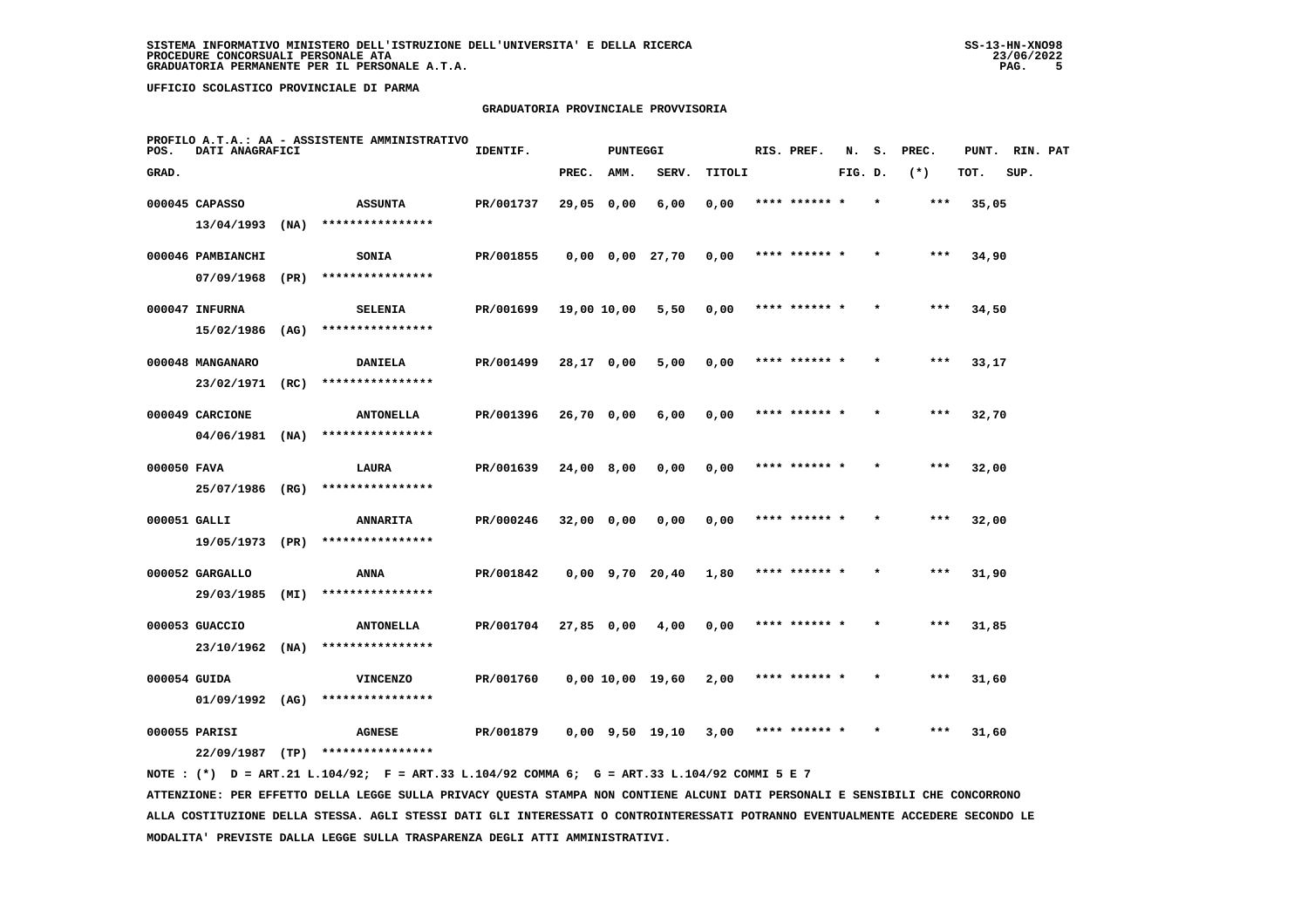## **GRADUATORIA PROVINCIALE PROVVISORIA**

| POS.         | DATI ANAGRAFICI   |      | PROFILO A.T.A.: AA - ASSISTENTE AMMINISTRATIVO | IDENTIF.  |              | <b>PUNTEGGI</b> |                       |        | RIS. PREF.    | N.      | s.      | PREC. | PUNT. | RIN. PAT |  |
|--------------|-------------------|------|------------------------------------------------|-----------|--------------|-----------------|-----------------------|--------|---------------|---------|---------|-------|-------|----------|--|
| GRAD.        |                   |      |                                                |           | PREC.        | AMM.            | SERV.                 | TITOLI |               | FIG. D. |         | $(*)$ | TOT.  | SUP.     |  |
|              | 000045 CAPASSO    |      | <b>ASSUNTA</b>                                 | PR/001737 | 29,05 0,00   |                 | 6,00                  | 0,00   | **** ****** * |         |         | ***   | 35,05 |          |  |
|              | 13/04/1993        | (NA) | ****************                               |           |              |                 |                       |        |               |         |         |       |       |          |  |
|              | 000046 PAMBIANCHI |      | <b>SONIA</b>                                   | PR/001855 |              |                 | $0,00$ $0,00$ $27,70$ | 0,00   | **** ****** * |         |         | $***$ | 34,90 |          |  |
|              | 07/09/1968        | (PR) | ****************                               |           |              |                 |                       |        |               |         |         |       |       |          |  |
|              | 000047 INFURNA    |      | <b>SELENIA</b>                                 | PR/001699 | 19,00 10,00  |                 | 5,50                  | 0,00   | **** ****** * |         | $\star$ | ***   | 34,50 |          |  |
|              | 15/02/1986        | (AG) | ****************                               |           |              |                 |                       |        |               |         |         |       |       |          |  |
|              | 000048 MANGANARO  |      | <b>DANIELA</b>                                 | PR/001499 | 28,17 0,00   |                 | 5,00                  | 0,00   | **** ****** * |         |         | $***$ | 33,17 |          |  |
|              | 23/02/1971        | (RC) | ****************                               |           |              |                 |                       |        |               |         |         |       |       |          |  |
|              | 000049 CARCIONE   |      | <b>ANTONELLA</b>                               | PR/001396 | 26,70 0,00   |                 | 6,00                  | 0,00   | **** ****** * |         |         | $***$ | 32,70 |          |  |
|              | 04/06/1981        | (NA) | ****************                               |           |              |                 |                       |        |               |         |         |       |       |          |  |
| 000050 FAVA  |                   |      | LAURA                                          | PR/001639 | 24,00 8,00   |                 | 0,00                  | 0,00   | **** ****** * |         |         | $***$ | 32,00 |          |  |
|              | 25/07/1986 (RG)   |      | ****************                               |           |              |                 |                       |        |               |         |         |       |       |          |  |
| 000051 GALLI |                   |      | <b>ANNARITA</b>                                | PR/000246 | $32,00$ 0,00 |                 | 0,00                  | 0,00   |               |         |         | ***   | 32,00 |          |  |
|              | 19/05/1973 (PR)   |      | ****************                               |           |              |                 |                       |        |               |         |         |       |       |          |  |
|              | 000052 GARGALLO   |      | ANNA                                           | PR/001842 |              |                 | $0,00$ 9,70 20,40     | 1,80   | **** ****** * |         |         | $***$ | 31,90 |          |  |
|              | 29/03/1985        | (MI) | ****************                               |           |              |                 |                       |        |               |         |         |       |       |          |  |
|              | 000053 GUACCIO    |      | <b>ANTONELLA</b>                               | PR/001704 | 27,85 0,00   |                 | 4,00                  | 0,00   | **** ****** * |         | $\star$ | $***$ | 31,85 |          |  |
|              | 23/10/1962        | (NA) | ****************                               |           |              |                 |                       |        |               |         |         |       |       |          |  |
| 000054 GUIDA |                   |      | <b>VINCENZO</b>                                | PR/001760 |              |                 | $0,00$ 10,00 19,60    | 2,00   |               |         |         | ***   | 31,60 |          |  |
|              | $01/09/1992$ (AG) |      | ****************                               |           |              |                 |                       |        |               |         |         |       |       |          |  |
|              | 000055 PARISI     |      | <b>AGNESE</b>                                  | PR/001879 |              |                 | $0,00$ $9,50$ $19,10$ | 3,00   | **** ****** * |         |         | $***$ | 31,60 |          |  |
|              | 22/09/1987        | (TP) | ****************                               |           |              |                 |                       |        |               |         |         |       |       |          |  |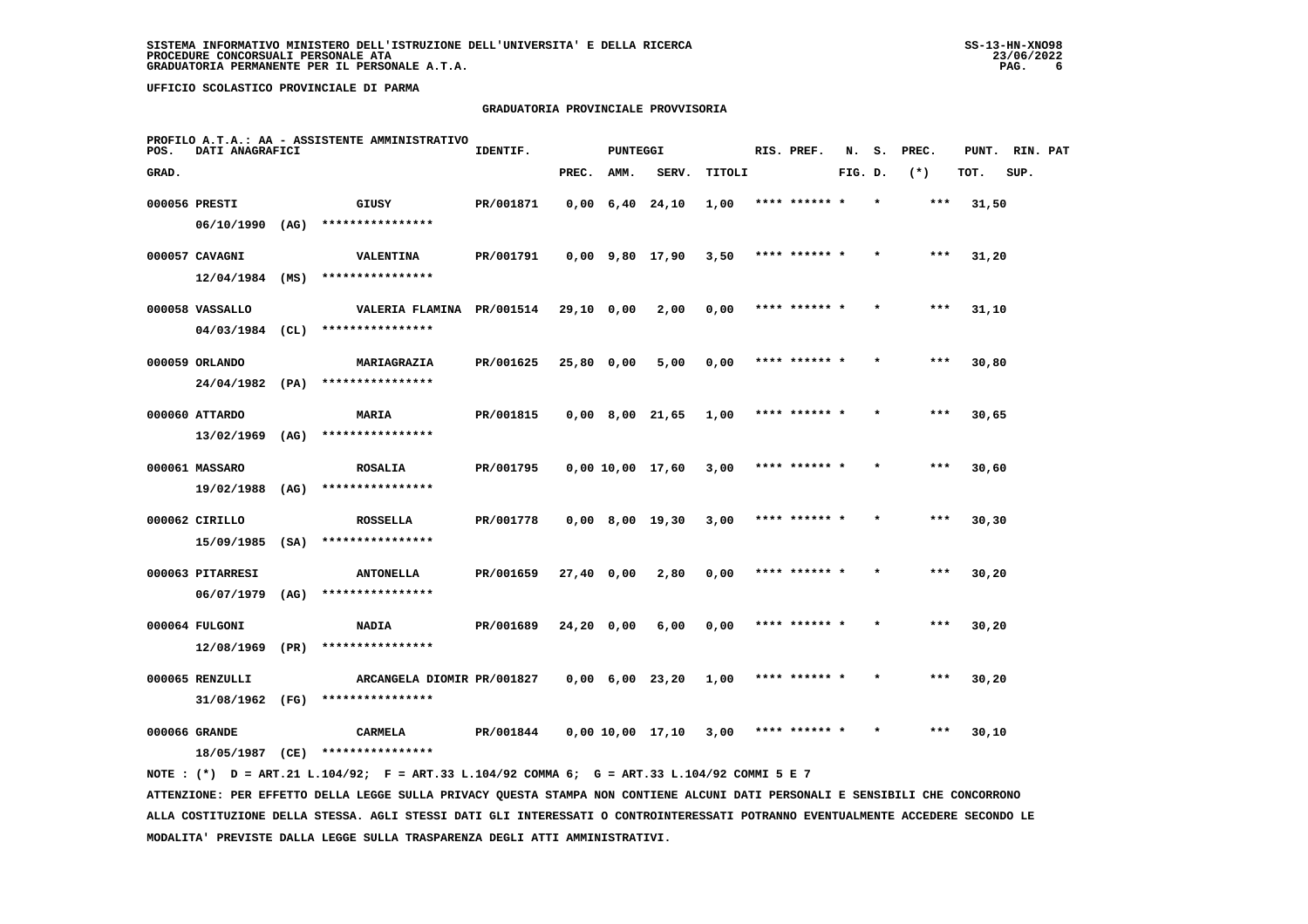## **GRADUATORIA PROVINCIALE PROVVISORIA**

| POS.  | DATI ANAGRAFICI   |      | PROFILO A.T.A.: AA - ASSISTENTE AMMINISTRATIVO | IDENTIF.  |              | <b>PUNTEGGI</b> |                               |        |      | RIS. PREF.    | N.      | s. | PREC. | PUNT. | RIN. PAT |  |
|-------|-------------------|------|------------------------------------------------|-----------|--------------|-----------------|-------------------------------|--------|------|---------------|---------|----|-------|-------|----------|--|
| GRAD. |                   |      |                                                |           | PREC.        | AMM.            | SERV.                         | TITOLI |      |               | FIG. D. |    | $(*)$ | TOT.  | SUP.     |  |
|       | 000056 PRESTI     |      | GIUSY                                          | PR/001871 |              |                 | $0,00 \quad 6,40 \quad 24,10$ | 1,00   |      |               |         |    | $***$ | 31,50 |          |  |
|       | $06/10/1990$ (AG) |      | ****************                               |           |              |                 |                               |        |      |               |         |    |       |       |          |  |
|       | 000057 CAVAGNI    |      | <b>VALENTINA</b>                               | PR/001791 |              |                 | $0,00$ 9,80 17,90             | 3,50   |      | **** ****** * |         |    | ***   | 31,20 |          |  |
|       | $12/04/1984$ (MS) |      | ****************                               |           |              |                 |                               |        |      |               |         |    |       |       |          |  |
|       | 000058 VASSALLO   |      | VALERIA FLAMINA PR/001514                      |           | 29,10 0,00   |                 | 2,00                          | 0,00   |      | **** ****** * |         |    | $***$ | 31,10 |          |  |
|       | $04/03/1984$ (CL) |      | ****************                               |           |              |                 |                               |        |      |               |         |    |       |       |          |  |
|       | 000059 ORLANDO    |      | MARIAGRAZIA                                    | PR/001625 |              | 25,80 0,00      | 5,00                          | 0,00   |      | **** ****** * |         |    | $***$ | 30,80 |          |  |
|       | 24/04/1982 (PA)   |      | ****************                               |           |              |                 |                               |        |      |               |         |    |       |       |          |  |
|       | 000060 ATTARDO    |      | MARIA                                          | PR/001815 |              |                 | $0,00$ 8,00 21,65             | 1,00   |      | **** ****** * |         |    | $***$ | 30,65 |          |  |
|       | $13/02/1969$ (AG) |      | ****************                               |           |              |                 |                               |        |      |               |         |    |       |       |          |  |
|       | 000061 MASSARO    |      | <b>ROSALIA</b>                                 | PR/001795 |              |                 | 0,00 10,00 17,60              | 3,00   |      | **** ******   |         |    | $***$ | 30,60 |          |  |
|       | 19/02/1988 (AG)   |      | ****************                               |           |              |                 |                               |        |      |               |         |    |       |       |          |  |
|       | 000062 CIRILLO    |      | <b>ROSSELLA</b>                                | PR/001778 |              |                 | $0,00$ 8,00 19,30             | 3,00   |      | **** ******   |         |    | ***   | 30,30 |          |  |
|       | $15/09/1985$ (SA) |      | ****************                               |           |              |                 |                               |        |      |               |         |    |       |       |          |  |
|       | 000063 PITARRESI  |      | <b>ANTONELLA</b>                               | PR/001659 | $27,40$ 0,00 |                 | 2,80                          | 0,00   |      | **** ****** * |         |    | $***$ | 30,20 |          |  |
|       | 06/07/1979        | (AG) | ****************                               |           |              |                 |                               |        |      |               |         |    |       |       |          |  |
|       | 000064 FULGONI    |      | <b>NADIA</b>                                   | PR/001689 | $24,20$ 0,00 |                 | 6,00                          | 0,00   |      | **** ****** * |         |    | ***   | 30,20 |          |  |
|       | 12/08/1969        | (PR) | ****************                               |           |              |                 |                               |        |      |               |         |    |       |       |          |  |
|       | 000065 RENZULLI   |      | ARCANGELA DIOMIR PR/001827                     |           |              |                 | $0,00 \quad 6,00 \quad 23,20$ | 1,00   |      | **** ****** * |         |    | $***$ | 30,20 |          |  |
|       | 31/08/1962 (FG)   |      | ****************                               |           |              |                 |                               |        |      |               |         |    |       |       |          |  |
|       | 000066 GRANDE     |      | CARMELA                                        | PR/001844 |              |                 | 0,00 10,00 17,10              | 3,00   | **** |               |         |    | ***   | 30,10 |          |  |
|       | 18/05/1987        | (CE) | ****************                               |           |              |                 |                               |        |      |               |         |    |       |       |          |  |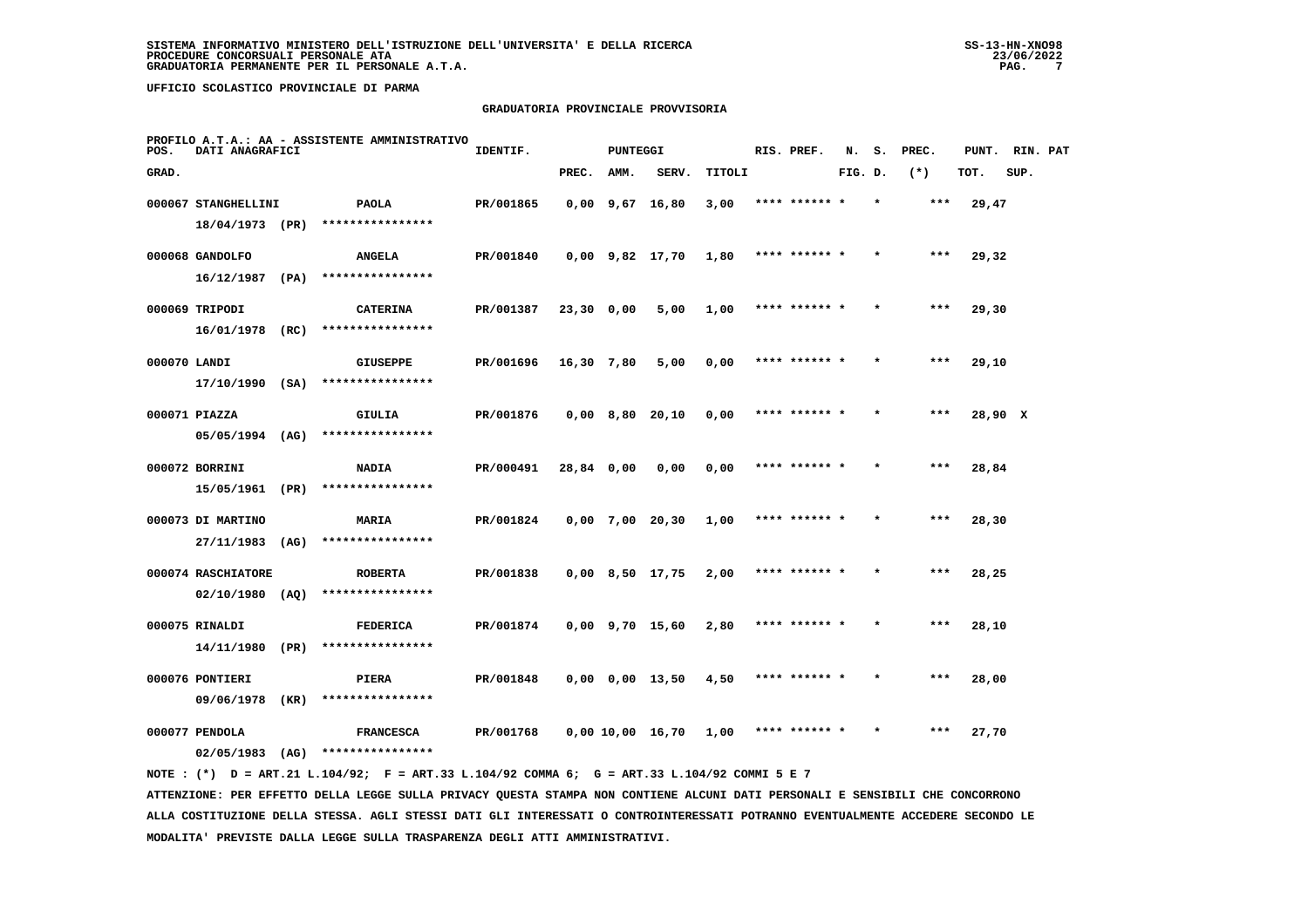## **GRADUATORIA PROVINCIALE PROVVISORIA**

| POS.         | DATI ANAGRAFICI     |      | PROFILO A.T.A.: AA - ASSISTENTE AMMINISTRATIVO | IDENTIF.  |            | PUNTEGGI |                       |               | RIS. PREF.    | N.      | s. | PREC. | PUNT.   | RIN. PAT |  |
|--------------|---------------------|------|------------------------------------------------|-----------|------------|----------|-----------------------|---------------|---------------|---------|----|-------|---------|----------|--|
| GRAD.        |                     |      |                                                |           | PREC.      | AMM.     | SERV.                 | <b>TITOLI</b> |               | FIG. D. |    | $(*)$ | TOT.    | SUP.     |  |
|              | 000067 STANGHELLINI |      | <b>PAOLA</b>                                   | PR/001865 |            |          | $0,00$ $9,67$ $16,80$ | 3,00          | **** ****** * |         |    | $***$ | 29,47   |          |  |
|              | 18/04/1973 (PR)     |      | ****************                               |           |            |          |                       |               |               |         |    |       |         |          |  |
|              | 000068 GANDOLFO     |      | <b>ANGELA</b>                                  | PR/001840 |            |          | $0,00$ $9,82$ $17,70$ | 1,80          | **** ****** * |         |    | $***$ | 29,32   |          |  |
|              | $16/12/1987$ (PA)   |      | ****************                               |           |            |          |                       |               |               |         |    |       |         |          |  |
|              | 000069 TRIPODI      |      | <b>CATERINA</b>                                | PR/001387 | 23,30 0,00 |          | 5,00                  | 1,00          | **** ****** * |         |    | ***   | 29,30   |          |  |
|              | 16/01/1978          | (RC) | ****************                               |           |            |          |                       |               |               |         |    |       |         |          |  |
| 000070 LANDI |                     |      | <b>GIUSEPPE</b>                                | PR/001696 | 16,30 7,80 |          | 5,00                  | 0,00          | **** ****** * |         |    | ***   | 29,10   |          |  |
|              | $17/10/1990$ (SA)   |      | ****************                               |           |            |          |                       |               |               |         |    |       |         |          |  |
|              | 000071 PIAZZA       |      | GIULIA                                         | PR/001876 |            |          | $0,00$ 8,80 20,10     | 0,00          | **** ****** * |         |    | $***$ | 28,90 X |          |  |
|              | 05/05/1994 (AG)     |      | ****************                               |           |            |          |                       |               |               |         |    |       |         |          |  |
|              | 000072 BORRINI      |      | <b>NADIA</b>                                   | PR/000491 | 28,84 0,00 |          | 0.00                  | 0,00          | **** ****** * |         |    | $***$ | 28,84   |          |  |
|              | 15/05/1961          | (PR) | ****************                               |           |            |          |                       |               |               |         |    |       |         |          |  |
|              | 000073 DI MARTINO   |      | MARIA                                          | PR/001824 |            |          | $0,00$ 7,00 20,30     | 1,00          | **** ****** * |         |    | ***   | 28,30   |          |  |
|              | 27/11/1983          | (AG) | ****************                               |           |            |          |                       |               |               |         |    |       |         |          |  |
|              | 000074 RASCHIATORE  |      | <b>ROBERTA</b>                                 | PR/001838 |            |          | $0,00$ $8,50$ $17,75$ | 2,00          | **** ******   |         |    | ***   | 28,25   |          |  |
|              | $02/10/1980$ (AQ)   |      | ****************                               |           |            |          |                       |               |               |         |    |       |         |          |  |
|              | 000075 RINALDI      |      | <b>FEDERICA</b>                                | PR/001874 |            |          | $0,00$ 9,70 15,60     | 2,80          | **** ****** * |         |    | $***$ | 28,10   |          |  |
|              | 14/11/1980          | (PR) | ****************                               |           |            |          |                       |               |               |         |    |       |         |          |  |
|              | 000076 PONTIERI     |      | PIERA                                          | PR/001848 |            |          | $0,00$ $0,00$ $13,50$ | 4,50          | **** ****** * |         |    | $***$ | 28,00   |          |  |
|              | 09/06/1978          | (KR) | ****************                               |           |            |          |                       |               |               |         |    |       |         |          |  |
|              | 000077 PENDOLA      |      | <b>FRANCESCA</b>                               | PR/001768 |            |          | 0,00 10,00 16,70      | 1,00          |               |         |    | ***   | 27,70   |          |  |
|              | 02/05/1983          | (AG) | ****************                               |           |            |          |                       |               |               |         |    |       |         |          |  |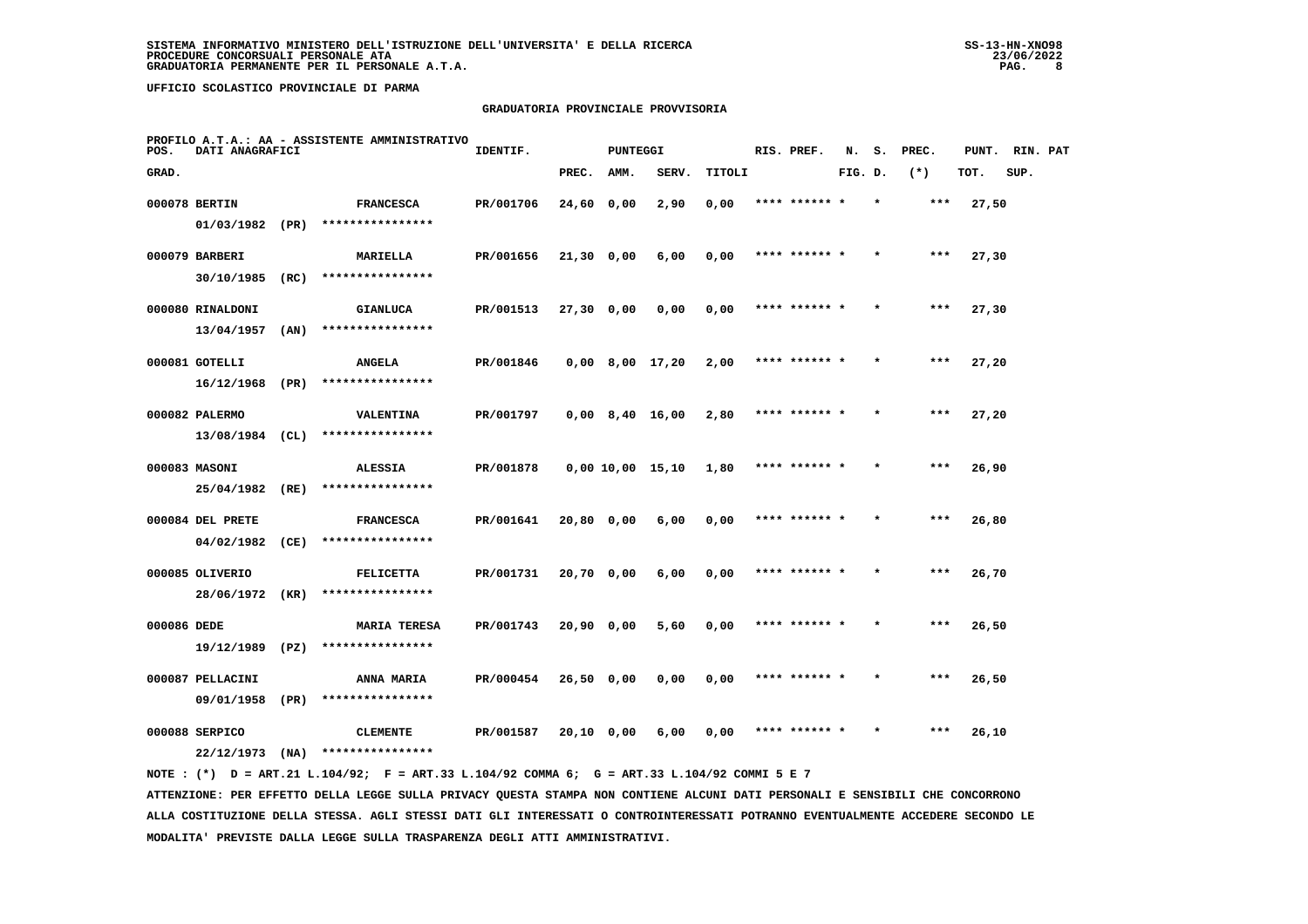## **GRADUATORIA PROVINCIALE PROVVISORIA**

| POS.        | DATI ANAGRAFICI                   |      | PROFILO A.T.A.: AA - ASSISTENTE AMMINISTRATIVO | IDENTIF.  |              | <b>PUNTEGGI</b> |                   |        | RIS. PREF.    | N.      | s.      | PREC.  | PUNT. | RIN. PAT |  |
|-------------|-----------------------------------|------|------------------------------------------------|-----------|--------------|-----------------|-------------------|--------|---------------|---------|---------|--------|-------|----------|--|
| GRAD.       |                                   |      |                                                |           | PREC.        | AMM.            | SERV.             | TITOLI |               | FIG. D. |         | $(* )$ | TOT.  | SUP.     |  |
|             | 000078 BERTIN                     |      | <b>FRANCESCA</b><br>****************           | PR/001706 | 24,60 0,00   |                 | 2,90              | 0,00   |               |         |         |        | 27,50 |          |  |
|             | 01/03/1982 (PR)<br>000079 BARBERI |      | <b>MARIELLA</b>                                | PR/001656 | $21,30$ 0,00 |                 | 6,00              | 0,00   | **** ****** * |         |         | $***$  | 27,30 |          |  |
|             | 30/10/1985                        | (RC) | ****************                               |           |              |                 |                   |        |               |         |         |        |       |          |  |
|             | 000080 RINALDONI<br>13/04/1957    | (AN) | <b>GIANLUCA</b><br>****************            | PR/001513 | 27,30 0,00   |                 | 0,00              | 0,00   | **** ****** * |         | $\star$ | $***$  | 27,30 |          |  |
|             | 000081 GOTELLI                    |      | <b>ANGELA</b>                                  | PR/001846 |              |                 | $0,00$ 8,00 17,20 | 2,00   | **** ****** * |         |         | $***$  | 27,20 |          |  |
|             | 16/12/1968 (PR)                   |      | ****************                               |           |              |                 |                   |        | **** ****** * |         |         | $***$  |       |          |  |
|             | 000082 PALERMO<br>13/08/1984 (CL) |      | <b>VALENTINA</b><br>****************           | PR/001797 |              |                 | $0,00$ 8,40 16,00 | 2,80   |               |         |         |        | 27,20 |          |  |
|             | 000083 MASONI<br>25/04/1982       | (RE) | <b>ALESSIA</b><br>****************             | PR/001878 |              |                 | 0,00 10,00 15,10  | 1,80   | **** ****** * |         |         | $***$  | 26,90 |          |  |
|             | 000084 DEL PRETE                  |      | <b>FRANCESCA</b>                               | PR/001641 | 20,80 0,00   |                 | 6,00              | 0,00   | **** ****** * |         |         | ***    | 26,80 |          |  |
|             | 04/02/1982<br>000085 OLIVERIO     | (CE) | ****************<br><b>FELICETTA</b>           | PR/001731 | 20,70 0,00   |                 | 6,00              | 0,00   | **** ****** * |         |         | ***    | 26,70 |          |  |
|             | 28/06/1972                        | (KR) | ****************                               |           |              |                 |                   |        |               |         |         |        |       |          |  |
| 000086 DEDE | 19/12/1989                        | (PZ) | <b>MARIA TERESA</b><br>****************        | PR/001743 | 20,90 0,00   |                 | 5,60              | 0,00   | **** ****** * |         |         | $***$  | 26,50 |          |  |
|             | 000087 PELLACINI                  |      | <b>ANNA MARIA</b>                              | PR/000454 | 26,50 0,00   |                 | 0,00              | 0,00   | **** ****** * |         |         | $***$  | 26,50 |          |  |
|             | 09/01/1958<br>000088 SERPICO      | (PR) | ****************<br><b>CLEMENTE</b>            | PR/001587 | 20,10 0,00   |                 | 6,00              | 0,00   | **** ****** * |         |         | ***    | 26,10 |          |  |
|             | 22/12/1973                        | (NA) | ****************                               |           |              |                 |                   |        |               |         |         |        |       |          |  |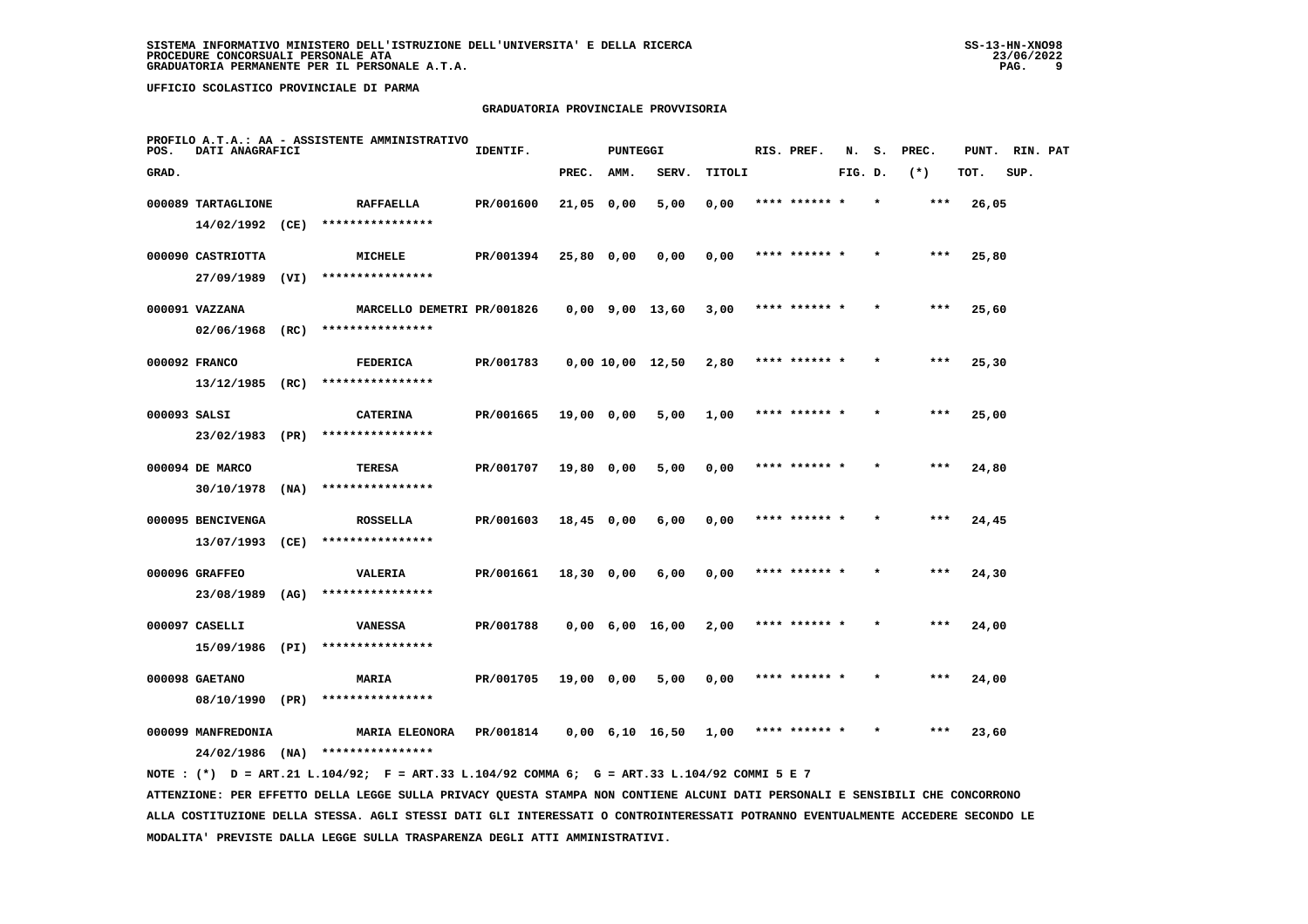## **GRADUATORIA PROVINCIALE PROVVISORIA**

| POS.  | DATI ANAGRAFICI                       |      | PROFILO A.T.A.: AA - ASSISTENTE AMMINISTRATIVO | IDENTIF.  |              | <b>PUNTEGGI</b> |                               |        | RIS. PREF.    | N.      | s. | PREC. | PUNT. | RIN. PAT |  |
|-------|---------------------------------------|------|------------------------------------------------|-----------|--------------|-----------------|-------------------------------|--------|---------------|---------|----|-------|-------|----------|--|
| GRAD. |                                       |      |                                                |           | PREC.        | AMM.            | SERV.                         | TITOLI |               | FIG. D. |    | $(*)$ | TOT.  | SUP.     |  |
|       | 000089 TARTAGLIONE<br>14/02/1992 (CE) |      | <b>RAFFAELLA</b><br>****************           | PR/001600 | 21,05 0,00   |                 | 5,00                          | 0,00   | **** ****** * |         |    | ***   | 26,05 |          |  |
|       | 000090 CASTRIOTTA<br>27/09/1989 (VI)  |      | MICHELE<br>****************                    | PR/001394 | $25,80$ 0,00 |                 | 0,00                          | 0,00   | **** ****** * |         |    | ***   | 25,80 |          |  |
|       | 000091 VAZZANA<br>$02/06/1968$ (RC)   |      | MARCELLO DEMETRI PR/001826<br>**************** |           |              |                 | $0,00$ 9,00 13,60             | 3,00   | **** ****** * |         |    | $***$ | 25,60 |          |  |
|       | 000092 FRANCO<br>13/12/1985           | (RC) | <b>FEDERICA</b><br>****************            | PR/001783 |              |                 | 0,00 10,00 12,50              | 2,80   | **** ****** * |         |    | ***   | 25,30 |          |  |
|       | 000093 SALSI<br>23/02/1983 (PR)       |      | <b>CATERINA</b><br>****************            | PR/001665 | 19,00 0,00   |                 | 5,00                          | 1,00   | **** ****** * |         |    | ***   | 25,00 |          |  |
|       | 000094 DE MARCO<br>30/10/1978         | (NA) | <b>TERESA</b><br>****************              | PR/001707 | 19,80 0,00   |                 | 5,00                          | 0,00   | **** ****** * |         |    | ***   | 24,80 |          |  |
|       | 000095 BENCIVENGA<br>13/07/1993       | (CE) | <b>ROSSELLA</b><br>****************            | PR/001603 | 18,45 0,00   |                 | 6,00                          | 0,00   | **** ****** * |         |    | ***   | 24,45 |          |  |
|       | 000096 GRAFFEO<br>23/08/1989 (AG)     |      | VALERIA<br>****************                    | PR/001661 | 18,30 0,00   |                 | 6,00                          | 0,00   | **** ****** * |         |    | ***   | 24,30 |          |  |
|       | 000097 CASELLI<br>15/09/1986 (PI)     |      | <b>VANESSA</b><br>****************             | PR/001788 |              |                 | $0,00 \quad 6,00 \quad 16,00$ | 2,00   | **** ****** * |         |    | ***   | 24,00 |          |  |
|       | 000098 GAETANO<br>08/10/1990 (PR)     |      | <b>MARIA</b><br>****************               | PR/001705 | 19,00 0,00   |                 | 5,00                          | 0,00   | **** ****** * |         |    | $***$ | 24,00 |          |  |
|       | 000099 MANFREDONIA<br>24/02/1986      | (NA) | <b>MARIA ELEONORA</b><br>****************      | PR/001814 |              |                 | $0,00 \quad 6,10 \quad 16,50$ | 1,00   | **** ****** * |         |    | ***   | 23,60 |          |  |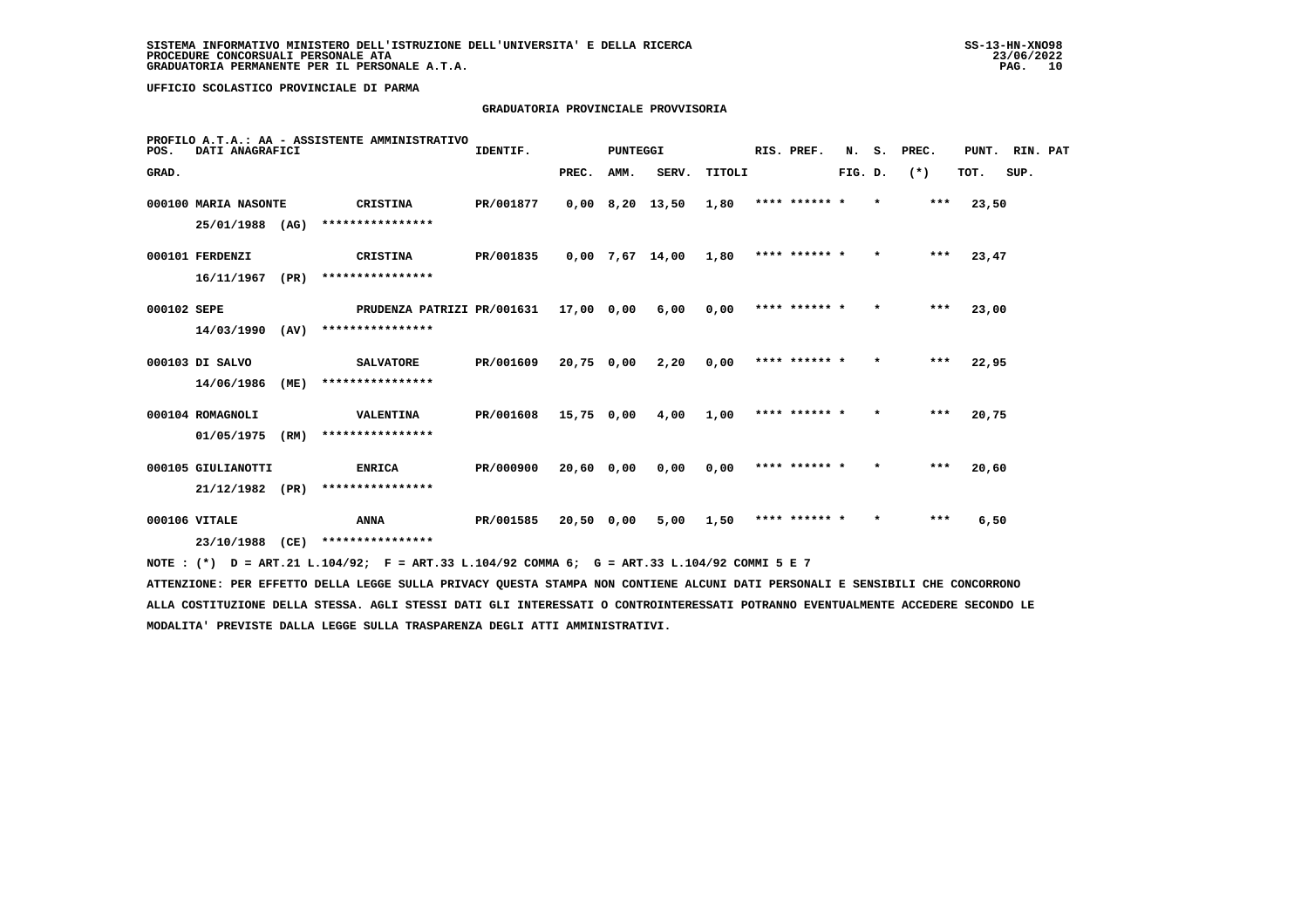## **GRADUATORIA PROVINCIALE PROVVISORIA**

| POS.        | DATI ANAGRAFICI      |      | PROFILO A.T.A.: AA - ASSISTENTE AMMINISTRATIVO                                                                                | IDENTIF.                  |            | <b>PUNTEGGI</b> |                      |           | RIS. PREF.      |         |         | N. S. PREC. | PUNT. RIN. PAT |      |  |
|-------------|----------------------|------|-------------------------------------------------------------------------------------------------------------------------------|---------------------------|------------|-----------------|----------------------|-----------|-----------------|---------|---------|-------------|----------------|------|--|
| GRAD.       |                      |      |                                                                                                                               |                           | PREC. AMM. |                 | SERV.                | TITOLI    |                 | FIG. D. |         | $(* )$      | TOT.           | SUP. |  |
|             | 000100 MARIA NASONTE |      | CRISTINA                                                                                                                      | PR/001877                 |            |                 | 0,00 8,20 13,50 1,80 |           | **** ****** * * |         |         | ***         | 23,50          |      |  |
|             | 25/01/1988 (AG)      |      | ****************                                                                                                              |                           |            |                 |                      |           |                 |         |         |             |                |      |  |
|             | 000101 FERDENZI      |      | CRISTINA                                                                                                                      | PR/001835                 |            |                 | 0,00 7,67 14,00 1,80 |           | **** ****** *   |         | $\star$ | $***$       | 23,47          |      |  |
|             | $16/11/1967$ (PR)    |      | ****************                                                                                                              |                           |            |                 |                      |           |                 |         |         |             |                |      |  |
| 000102 SEPE |                      |      | PRUDENZA PATRIZI PR/001631 17,00 0,00                                                                                         |                           |            |                 | 6,00                 | 0.00      | **** ****** *   |         | $\star$ | ***         | 23,00          |      |  |
|             | 14/03/1990           | (AV) | ****************                                                                                                              |                           |            |                 |                      |           |                 |         |         |             |                |      |  |
|             | 000103 DI SALVO      |      | <b>SALVATORE</b>                                                                                                              | PR/001609                 | 20,75 0,00 |                 | 2,20                 | 0.00      | **** ****** *   |         | $\star$ | $***$       | 22,95          |      |  |
|             | 14/06/1986           | (ME) | ****************                                                                                                              |                           |            |                 |                      |           |                 |         |         |             |                |      |  |
|             | 000104 ROMAGNOLI     |      | <b>VALENTINA</b>                                                                                                              | PR/001608 15,75 0,00 4,00 |            |                 |                      | 1,00      | **** ****** *   |         | $\star$ | $***$       | 20,75          |      |  |
|             | 01/05/1975 (RM)      |      | ****************                                                                                                              |                           |            |                 |                      |           |                 |         |         |             |                |      |  |
|             | 000105 GIULIANOTTI   |      | <b>ENRICA</b>                                                                                                                 | PR/000900                 | 20,60 0,00 |                 | 0.00                 | 0.00      | **** ****** *   |         | $\star$ | ***         | 20,60          |      |  |
|             | 21/12/1982 (PR)      |      | ****************                                                                                                              |                           |            |                 |                      |           |                 |         |         |             |                |      |  |
|             | 000106 VITALE        |      | <b>ANNA</b>                                                                                                                   | PR/001585                 | 20,50 0,00 |                 |                      | 5,00 1,50 | **** ****** *   |         | $\star$ | ***         | 6,50           |      |  |
|             | 23/10/1988 (CE)      |      | ****************                                                                                                              |                           |            |                 |                      |           |                 |         |         |             |                |      |  |
|             |                      |      | NOTE: (*) D = ART.21 L.104/92; F = ART.33 L.104/92 COMMA 6; G = ART.33 L.104/92 COMMI 5 E 7                                   |                           |            |                 |                      |           |                 |         |         |             |                |      |  |
|             |                      |      | ATTENZIONE: PER EFFETTO DELLA LEGGE SULLA PRIVACY QUESTA STAMPA NON CONTIENE ALCUNI DATI PERSONALI E SENSIBILI CHE CONCORRONO |                           |            |                 |                      |           |                 |         |         |             |                |      |  |

 **ALLA COSTITUZIONE DELLA STESSA. AGLI STESSI DATI GLI INTERESSATI O CONTROINTERESSATI POTRANNO EVENTUALMENTE ACCEDERE SECONDO LE MODALITA' PREVISTE DALLA LEGGE SULLA TRASPARENZA DEGLI ATTI AMMINISTRATIVI.**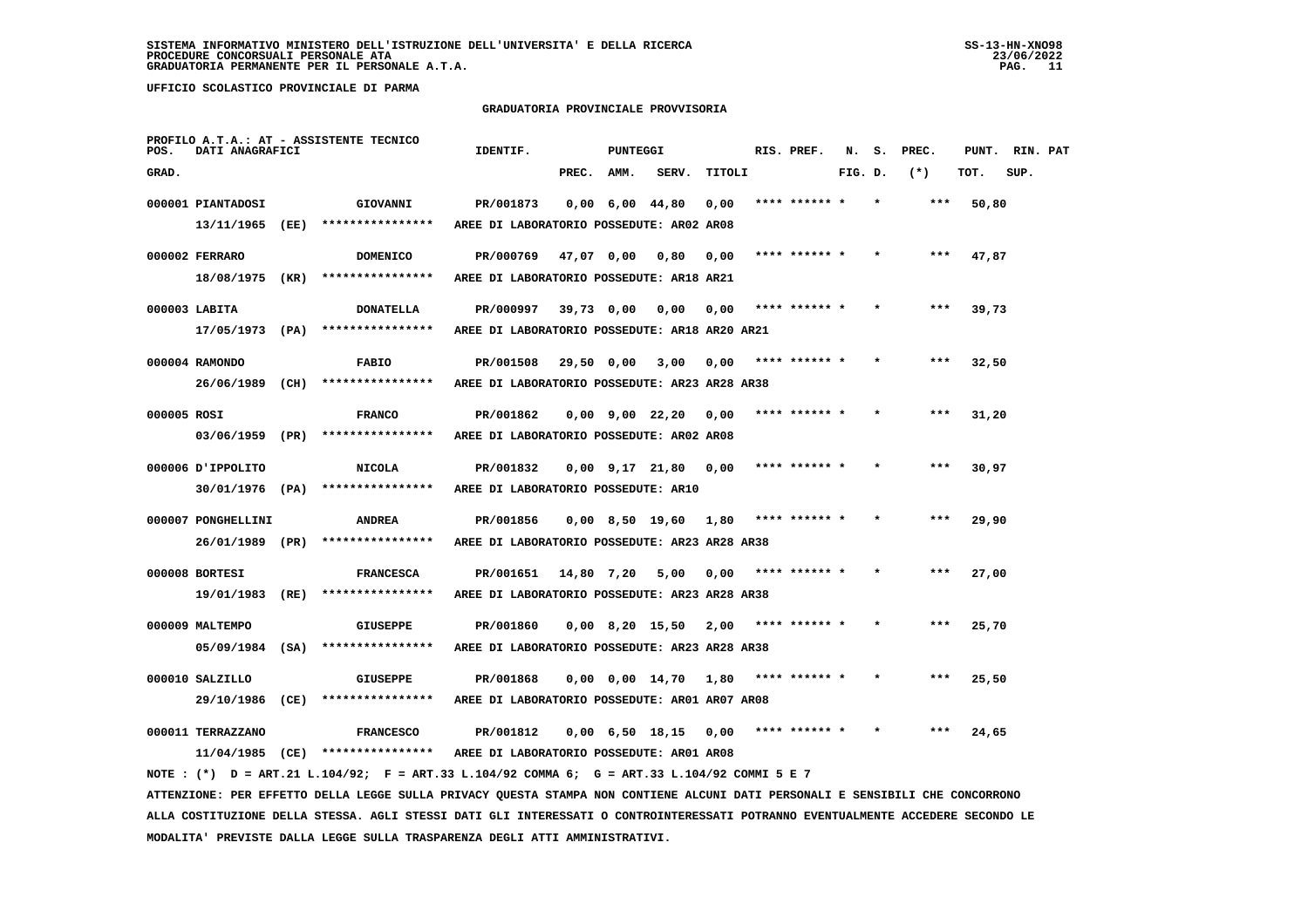#### **GRADUATORIA PROVINCIALE PROVVISORIA**

| POS.        | DATI ANAGRAFICI                       | PROFILO A.T.A.: AT - ASSISTENTE TECNICO                                                                                       | IDENTIF.                                      |            | PUNTEGGI          |                              |        | RIS. PREF.    | N.      | s. | PREC. | PUNT. | RIN. PAT |  |
|-------------|---------------------------------------|-------------------------------------------------------------------------------------------------------------------------------|-----------------------------------------------|------------|-------------------|------------------------------|--------|---------------|---------|----|-------|-------|----------|--|
| GRAD.       |                                       |                                                                                                                               |                                               | PREC. AMM. |                   | SERV.                        | TITOLI |               | FIG. D. |    | $(*)$ | TOT.  | SUP.     |  |
|             | 000001 PIANTADOSI                     | GIOVANNI                                                                                                                      | PR/001873                                     |            | $0,00$ 6,00 44,80 |                              | 0.00   | **** ****** * |         |    | ***   | 50,80 |          |  |
|             | 13/11/1965 (EE)                       | ****************                                                                                                              | AREE DI LABORATORIO POSSEDUTE: AR02 AR08      |            |                   |                              |        |               |         |    |       |       |          |  |
|             | 000002 FERRARO                        | <b>DOMENICO</b>                                                                                                               | PR/000769                                     |            | 47,07 0,00        | 0,80                         | 0,00   | **** ****** * |         |    | $***$ | 47,87 |          |  |
|             | 18/08/1975 (KR)                       | ****************                                                                                                              | AREE DI LABORATORIO POSSEDUTE: AR18 AR21      |            |                   |                              |        |               |         |    |       |       |          |  |
|             | 000003 LABITA                         | <b>DONATELLA</b>                                                                                                              | PR/000997                                     |            | 39,73 0,00        | 0,00                         | 0,00   | **** ****** * |         |    | ***   | 39,73 |          |  |
|             | 17/05/1973 (PA)                       | ****************                                                                                                              | AREE DI LABORATORIO POSSEDUTE: AR18 AR20 AR21 |            |                   |                              |        |               |         |    |       |       |          |  |
|             | 000004 RAMONDO                        | <b>FABIO</b>                                                                                                                  | PR/001508                                     |            | 29,50 0,00        | 3,00                         | 0,00   | **** ****** * |         |    | $***$ | 32,50 |          |  |
|             | 26/06/1989 (CH)                       | ****************                                                                                                              | AREE DI LABORATORIO POSSEDUTE: AR23 AR28 AR38 |            |                   |                              |        |               |         |    |       |       |          |  |
| 000005 ROSI |                                       | <b>FRANCO</b>                                                                                                                 | PR/001862                                     |            |                   | 0,00 9,00 22,20              | 0,00   | **** ****** * |         |    | ***   | 31,20 |          |  |
|             | 03/06/1959 (PR)                       | ****************                                                                                                              | AREE DI LABORATORIO POSSEDUTE: AR02 AR08      |            |                   |                              |        |               |         |    |       |       |          |  |
|             | O00006 JPPOLITO                       | <b>NICOLA</b>                                                                                                                 | PR/001832                                     |            |                   | 0,00 9,17 21,80              | 0,00   | **** ****** * |         |    | $***$ | 30,97 |          |  |
|             | 30/01/1976 (PA)                       | ****************                                                                                                              | AREE DI LABORATORIO POSSEDUTE: AR10           |            |                   |                              |        |               |         |    |       |       |          |  |
|             |                                       |                                                                                                                               |                                               |            |                   |                              |        |               |         |    |       |       |          |  |
|             | 000007 PONGHELLINI<br>26/01/1989 (PR) | <b>ANDREA</b><br>****************                                                                                             | PR/001856                                     |            |                   | $0,00$ 8,50 19,60 1,80       |        | **** ****** * |         |    |       | 29,90 |          |  |
|             |                                       |                                                                                                                               | AREE DI LABORATORIO POSSEDUTE: AR23 AR28 AR38 |            |                   |                              |        |               |         |    |       |       |          |  |
|             | 000008 BORTESI                        | <b>FRANCESCA</b>                                                                                                              | PR/001651                                     |            | 14,80 7,20        | 5,00                         | 0,00   | **** ****** * |         |    |       | 27,00 |          |  |
|             | 19/01/1983 (RE)                       | ****************                                                                                                              | AREE DI LABORATORIO POSSEDUTE: AR23 AR28 AR38 |            |                   |                              |        |               |         |    |       |       |          |  |
|             | 000009 MALTEMPO                       | GIUSEPPE                                                                                                                      | PR/001860                                     |            | $0,00$ 8,20 15,50 |                              | 2,00   | **** ****** * |         |    | ***   | 25,70 |          |  |
|             | $05/09/1984$ (SA)                     | ****************                                                                                                              | AREE DI LABORATORIO POSSEDUTE: AR23 AR28 AR38 |            |                   |                              |        |               |         |    |       |       |          |  |
|             | 000010 SALZILLO                       | GIUSEPPE                                                                                                                      | PR/001868                                     |            |                   | $0,00$ $0,00$ $14,70$ $1,80$ |        | **** ****** * |         |    | $***$ | 25,50 |          |  |
|             | 29/10/1986 (CE)                       | ****************                                                                                                              | AREE DI LABORATORIO POSSEDUTE: AR01 AR07 AR08 |            |                   |                              |        |               |         |    |       |       |          |  |
|             | 000011 TERRAZZANO                     | <b>FRANCESCO</b>                                                                                                              | PR/001812                                     |            |                   | 0,00 6,50 18,15              | 0.00   | **** ****** * |         |    | ***   | 24,65 |          |  |
|             |                                       | $11/04/1985$ (CE) ****************                                                                                            | AREE DI LABORATORIO POSSEDUTE: AR01 AR08      |            |                   |                              |        |               |         |    |       |       |          |  |
|             |                                       | NOTE : $(*)$ D = ART.21 L.104/92; F = ART.33 L.104/92 COMMA 6; G = ART.33 L.104/92 COMMI 5 E 7                                |                                               |            |                   |                              |        |               |         |    |       |       |          |  |
|             |                                       | ATTENZIONE: PER EFFETTO DELLA LEGGE SULLA PRIVACY QUESTA STAMPA NON CONTIENE ALCUNI DATI PERSONALI E SENSIBILI CHE CONCORRONO |                                               |            |                   |                              |        |               |         |    |       |       |          |  |

 **ALLA COSTITUZIONE DELLA STESSA. AGLI STESSI DATI GLI INTERESSATI O CONTROINTERESSATI POTRANNO EVENTUALMENTE ACCEDERE SECONDO LE MODALITA' PREVISTE DALLA LEGGE SULLA TRASPARENZA DEGLI ATTI AMMINISTRATIVI.**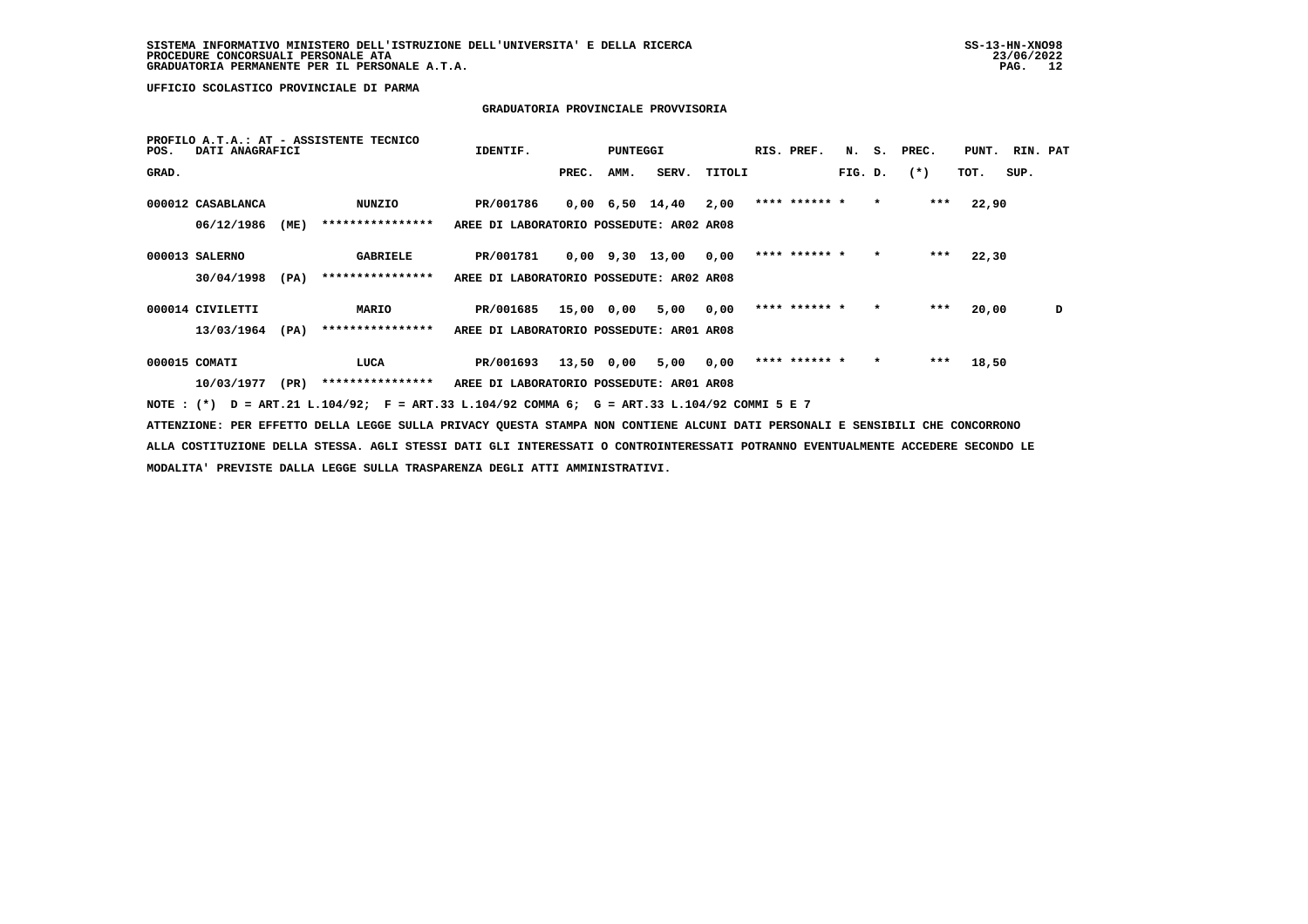## **GRADUATORIA PROVINCIALE PROVVISORIA**

| POS.  | DATI ANAGRAFICI   |      | PROFILO A.T.A.: AT - ASSISTENTE TECNICO                                                                                         | IDENTIF.                                 |       | PUNTEGGI |                                          |        | RIS. PREF.    |         |           | N. S. PREC. | PUNT. | RIN. PAT |   |
|-------|-------------------|------|---------------------------------------------------------------------------------------------------------------------------------|------------------------------------------|-------|----------|------------------------------------------|--------|---------------|---------|-----------|-------------|-------|----------|---|
| GRAD. |                   |      |                                                                                                                                 |                                          | PREC. | AMM.     | SERV.                                    | TITOLI |               | FIG. D. |           | $(*)$       | TOT.  | SUP.     |   |
|       | 000012 CASABLANCA |      | NUNZIO                                                                                                                          | PR/001786                                |       |          | $0,00 \quad 6,50 \quad 14,40 \quad 2,00$ |        | **** ****** * | $\star$ |           | $***$       | 22,90 |          |   |
|       | 06/12/1986        | (ME) | ****************                                                                                                                | AREE DI LABORATORIO POSSEDUTE: AR02 AR08 |       |          |                                          |        |               |         |           |             |       |          |   |
|       | 000013 SALERNO    |      | GABRIELE                                                                                                                        | PR/001781                                |       |          | $0,00$ 9,30 13,00 0,00                   |        | **** ****** * |         | $\bullet$ | $***$       | 22,30 |          |   |
|       | 30/04/1998        | (PA) | ****************                                                                                                                | AREE DI LABORATORIO POSSEDUTE: AR02 AR08 |       |          |                                          |        |               |         |           |             |       |          |   |
|       | 000014 CIVILETTI  |      | <b>MARIO</b>                                                                                                                    | PR/001685                                |       |          | 15,00 0,00 5,00 0,00                     |        | **** ****** * |         | $\star$   | ***         | 20,00 |          | D |
|       | 13/03/1964        | (PA) | ****************                                                                                                                | AREE DI LABORATORIO POSSEDUTE: AR01 AR08 |       |          |                                          |        |               |         |           |             |       |          |   |
|       | 000015 COMATI     |      | LUCA                                                                                                                            | PR/001693                                |       |          | 13,50 0,00 5,00 0,00                     |        | **** ****** * |         | $\star$   | ***         | 18,50 |          |   |
|       |                   |      | 10/03/1977 (PR) **************** AREE DI LABORATORIO POSSEDUTE: AR01 AR08                                                       |                                          |       |          |                                          |        |               |         |           |             |       |          |   |
|       |                   |      | NOTE: (*) D = ART.21 L.104/92; F = ART.33 L.104/92 COMMA 6; G = ART.33 L.104/92 COMMI 5 E 7                                     |                                          |       |          |                                          |        |               |         |           |             |       |          |   |
|       |                   |      | ATTENZIONE: PER EFFETTO DELLA LEGGE SULLA PRIVACY QUESTA STAMPA NON CONTIENE ALCUNI DATI PERSONALI E SENSIBILI CHE CONCORRONO   |                                          |       |          |                                          |        |               |         |           |             |       |          |   |
|       |                   |      | ALLA COSTITUZIONE DELLA STESSA. AGLI STESSI DATI GLI INTERESSATI O CONTROINTERESSATI POTRANNO EVENTUALMENTE ACCEDERE SECONDO LE |                                          |       |          |                                          |        |               |         |           |             |       |          |   |
|       |                   |      | MODALITA' PREVISTE DALLA LEGGE SULLA TRASPARENZA DEGLI ATTI AMMINISTRATIVI.                                                     |                                          |       |          |                                          |        |               |         |           |             |       |          |   |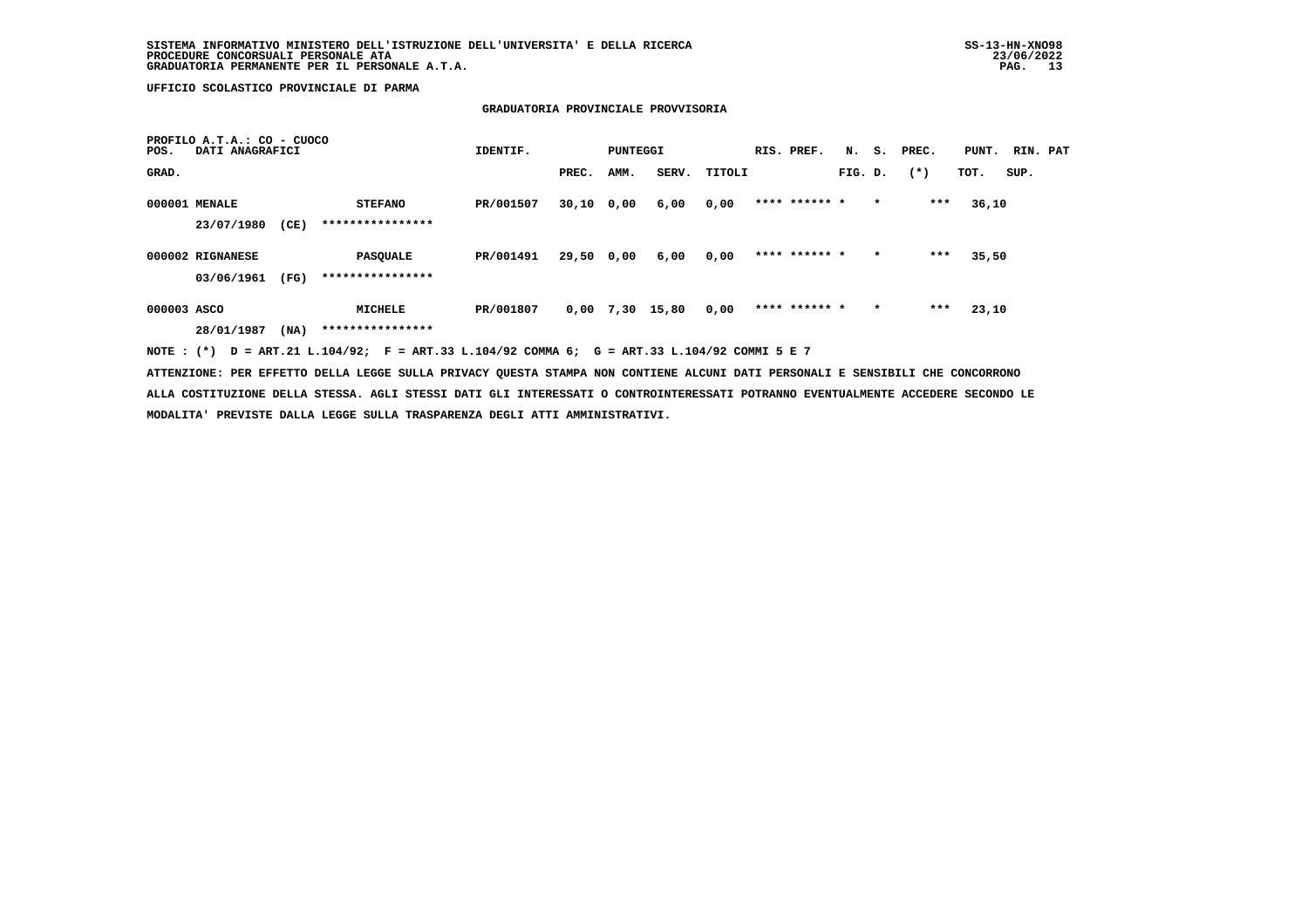#### **GRADUATORIA PROVINCIALE PROVVISORIA**

| POS.        | PROFILO A.T.A.: CO - CUOCO<br>DATI ANAGRAFICI |      |                                     | IDENTIF.  |              | PUNTEGGI |       |        | RIS. PREF.    | N.      | s.      | PREC. | PUNT. | RIN. PAT |  |
|-------------|-----------------------------------------------|------|-------------------------------------|-----------|--------------|----------|-------|--------|---------------|---------|---------|-------|-------|----------|--|
| GRAD.       |                                               |      |                                     |           | PREC.        | AMM.     | SERV. | TITOLI |               | FIG. D. |         | $(*)$ | TOT.  | SUP.     |  |
|             | 000001 MENALE<br>23/07/1980                   | (CE) | <b>STEFANO</b><br>****************  | PR/001507 | $30,10$ 0,00 |          | 6,00  | 0,00   | **** ****** * |         | $\star$ | ***   | 36,10 |          |  |
|             | 000002 RIGNANESE<br>03/06/1961                | (FG) | <b>PASQUALE</b><br>**************** | PR/001491 | 29,50 0,00   |          | 6,00  | 0,00   | **** ****** * |         | $\star$ | ***   | 35,50 |          |  |
| 000003 ASCO | 28/01/1987                                    | (NA) | MICHELE<br>****************         | PR/001807 | 0,00         | 7,30     | 15,80 | 0,00   | **** ****** * |         | $\star$ | ***   | 23,10 |          |  |

 **NOTE : (\*) D = ART.21 L.104/92; F = ART.33 L.104/92 COMMA 6; G = ART.33 L.104/92 COMMI 5 E 7**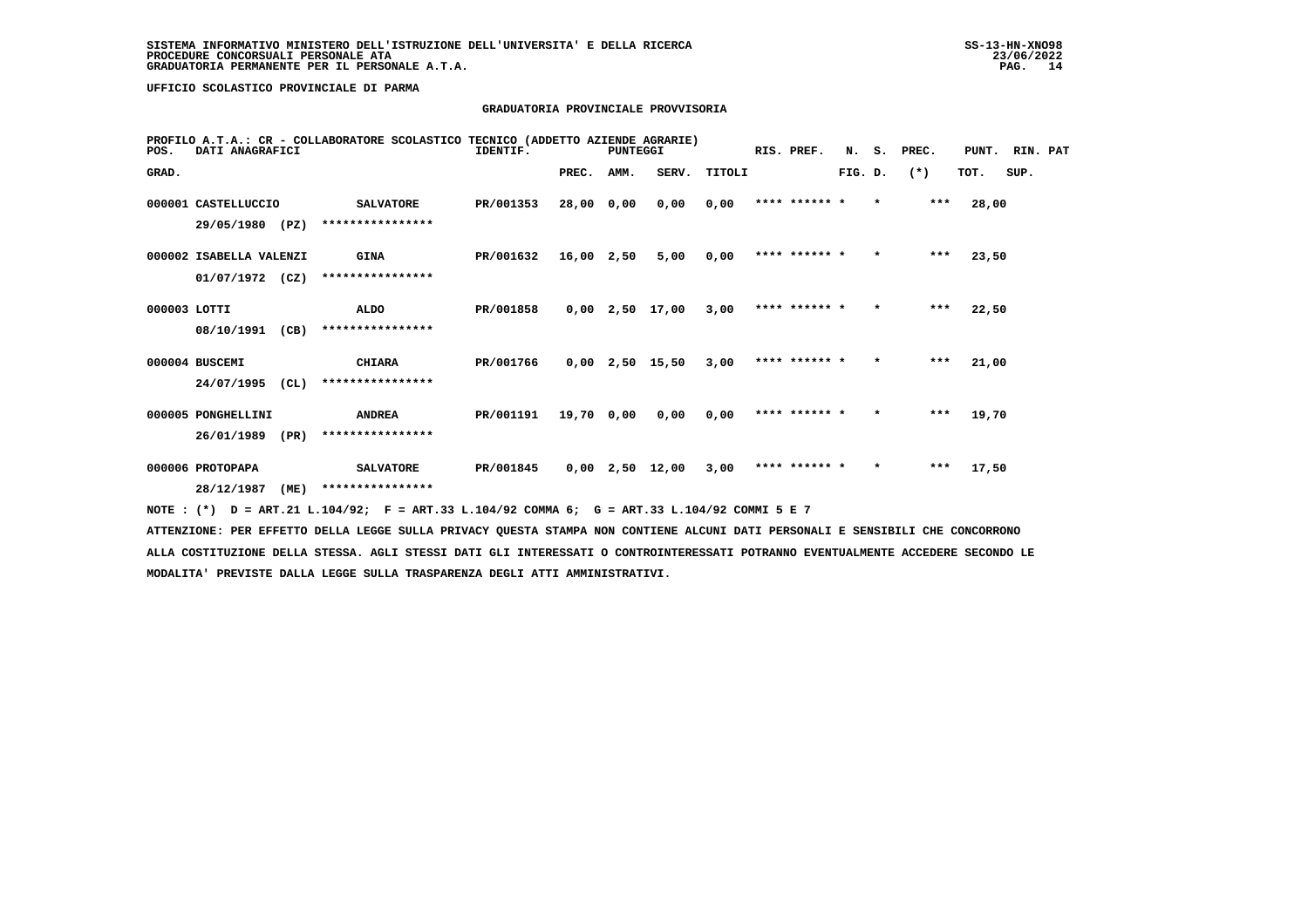#### **GRADUATORIA PROVINCIALE PROVVISORIA**

| POS.         | DATI ANAGRAFICI         |      | PROFILO A.T.A.: CR - COLLABORATORE SCOLASTICO TECNICO (ADDETTO AZIENDE AGRARIE) | IDENTIF.  |              | PUNTEGGI |                   |        | RIS. PREF.    |         |         | N. S. PREC. | PUNT. RIN. PAT |      |  |
|--------------|-------------------------|------|---------------------------------------------------------------------------------|-----------|--------------|----------|-------------------|--------|---------------|---------|---------|-------------|----------------|------|--|
| GRAD.        |                         |      |                                                                                 |           | PREC.        | AMM.     | SERV.             | TITOLI |               | FIG. D. |         | $(*)$       | TOT.           | SUP. |  |
|              | 000001 CASTELLUCCIO     |      | <b>SALVATORE</b>                                                                | PR/001353 | 28,00 0,00   |          | 0,00              | 0,00   | **** ****** * |         | $\star$ | $***$       | 28,00          |      |  |
|              | 29/05/1980              | (PZ) | ****************                                                                |           |              |          |                   |        |               |         |         |             |                |      |  |
|              | 000002 ISABELLA VALENZI |      | <b>GINA</b>                                                                     | PR/001632 | $16,00$ 2,50 |          | 5,00              | 0,00   | **** ****** * |         |         | $***$       | 23,50          |      |  |
|              | $01/07/1972$ (CZ)       |      | ****************                                                                |           |              |          |                   |        |               |         |         |             |                |      |  |
| 000003 LOTTI |                         |      | ALDO                                                                            | PR/001858 |              |          | $0,00$ 2,50 17,00 | 3,00   | **** ****** * |         | $\star$ | $***$       | 22,50          |      |  |
|              | 08/10/1991              | (CB) | ****************                                                                |           |              |          |                   |        |               |         |         |             |                |      |  |
|              | 000004 BUSCEMI          |      | <b>CHIARA</b>                                                                   | PR/001766 |              |          | $0,00$ 2,50 15,50 | 3,00   | **** ****** * |         | $\star$ | $***$       | 21,00          |      |  |
|              | 24/07/1995              | (CL) | ****************                                                                |           |              |          |                   |        |               |         |         |             |                |      |  |
|              | 000005 PONGHELLINI      |      | <b>ANDREA</b>                                                                   | PR/001191 | 19,70 0,00   |          | 0,00              | 0,00   | **** ****** * |         | $\star$ | ***         | 19,70          |      |  |
|              | 26/01/1989              | (PR) | ****************                                                                |           |              |          |                   |        |               |         |         |             |                |      |  |
|              | 000006 PROTOPAPA        |      | <b>SALVATORE</b>                                                                | PR/001845 |              |          | $0,00$ 2,50 12,00 | 3,00   | **** ****** * |         | $\star$ | $***$       | 17,50          |      |  |
|              | 28/12/1987              | (ME) | ****************                                                                |           |              |          |                   |        |               |         |         |             |                |      |  |

 **NOTE : (\*) D = ART.21 L.104/92; F = ART.33 L.104/92 COMMA 6; G = ART.33 L.104/92 COMMI 5 E 7**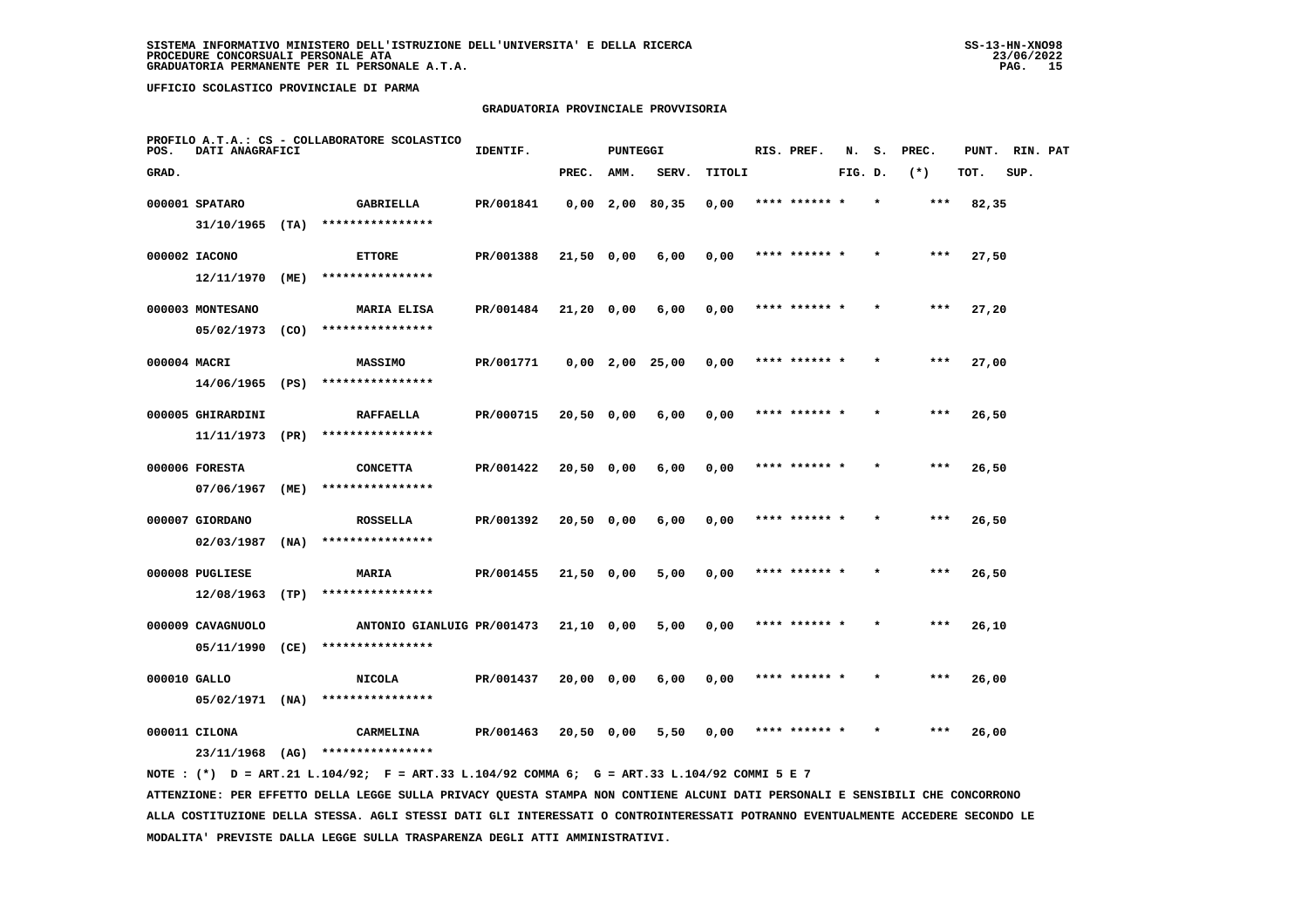## **GRADUATORIA PROVINCIALE PROVVISORIA**

| POS.         | DATI ANAGRAFICI               |      | PROFILO A.T.A.: CS - COLLABORATORE SCOLASTICO | IDENTIF.  |              | <b>PUNTEGGI</b> |                   |        | RIS. PREF.    | N.      | s.      | PREC.  | PUNT. | RIN. PAT |  |
|--------------|-------------------------------|------|-----------------------------------------------|-----------|--------------|-----------------|-------------------|--------|---------------|---------|---------|--------|-------|----------|--|
| GRAD.        |                               |      |                                               |           | PREC.        | AMM.            | SERV.             | TITOLI |               | FIG. D. |         | $(* )$ | TOT.  | SUP.     |  |
|              | 000001 SPATARO                |      | GABRIELLA                                     | PR/001841 |              |                 | $0,00$ 2,00 80,35 | 0,00   | **** ****** * |         | $\star$ | $***$  | 82,35 |          |  |
|              | $31/10/1965$ (TA)             |      | ****************                              |           |              |                 |                   |        |               |         |         |        |       |          |  |
|              | 000002 IACONO                 |      | <b>ETTORE</b>                                 | PR/001388 | $21,50$ 0,00 |                 | 6,00              | 0,00   |               |         |         | ***    | 27,50 |          |  |
|              | 12/11/1970 (ME)               |      | ****************                              |           |              |                 |                   |        |               |         |         |        |       |          |  |
|              | 000003 MONTESANO              |      | MARIA ELISA                                   | PR/001484 | 21,20 0,00   |                 | 6,00              | 0,00   | **** ****** * |         |         | ***    | 27,20 |          |  |
|              | 05/02/1973                    | (CO) | ****************                              |           |              |                 |                   |        |               |         |         |        |       |          |  |
|              | 000004 MACRI                  |      | MASSIMO                                       | PR/001771 |              |                 | $0,00$ 2,00 25,00 | 0,00   | **** ****** * |         |         | $***$  | 27,00 |          |  |
|              | $14/06/1965$ (PS)             |      | ****************                              |           |              |                 |                   |        |               |         |         |        |       |          |  |
|              | 000005 GHIRARDINI             |      | <b>RAFFAELLA</b>                              | PR/000715 | 20,50 0,00   |                 | 6,00              | 0,00   | **** ****** * |         |         | ***    | 26,50 |          |  |
|              | 11/11/1973                    | (PR) | ****************                              |           |              |                 |                   |        |               |         |         |        |       |          |  |
|              | 000006 FORESTA                |      | <b>CONCETTA</b><br>****************           | PR/001422 | 20,50 0,00   |                 | 6,00              | 0,00   | **** ****** * |         |         | ***    | 26,50 |          |  |
|              | 07/06/1967                    | (ME) |                                               |           |              |                 |                   |        |               |         |         |        |       |          |  |
|              | 000007 GIORDANO<br>02/03/1987 | (NA) | <b>ROSSELLA</b><br>****************           | PR/001392 | 20,50 0,00   |                 | 6,00              | 0,00   | **** ****** * |         |         | $***$  | 26,50 |          |  |
|              |                               |      |                                               |           |              |                 |                   |        |               |         |         |        |       |          |  |
|              | 000008 PUGLIESE<br>12/08/1963 | (TP) | <b>MARIA</b><br>****************              | PR/001455 | 21,50 0,00   |                 | 5,00              | 0,00   | **** ****** * |         |         | ***    | 26,50 |          |  |
|              | 000009 CAVAGNUOLO             |      | ANTONIO GIANLUIG PR/001473                    |           | 21,10 0,00   |                 | 5,00              | 0,00   | **** ****** * |         |         | $***$  | 26,10 |          |  |
|              | 05/11/1990                    | (CE) | ****************                              |           |              |                 |                   |        |               |         |         |        |       |          |  |
| 000010 GALLO |                               |      | <b>NICOLA</b>                                 | PR/001437 | 20,00 0,00   |                 | 6,00              | 0,00   | **** ****** * |         |         | ***    | 26,00 |          |  |
|              | $05/02/1971$ (NA)             |      | ****************                              |           |              |                 |                   |        |               |         |         |        |       |          |  |
|              | 000011 CILONA                 |      | CARMELINA                                     | PR/001463 | 20,50 0,00   |                 | 5,50              | 0,00   | **** ****** * |         |         | ***    | 26,00 |          |  |
|              | $23/11/1968$ (AG)             |      | ****************                              |           |              |                 |                   |        |               |         |         |        |       |          |  |
|              |                               |      |                                               |           |              |                 |                   |        |               |         |         |        |       |          |  |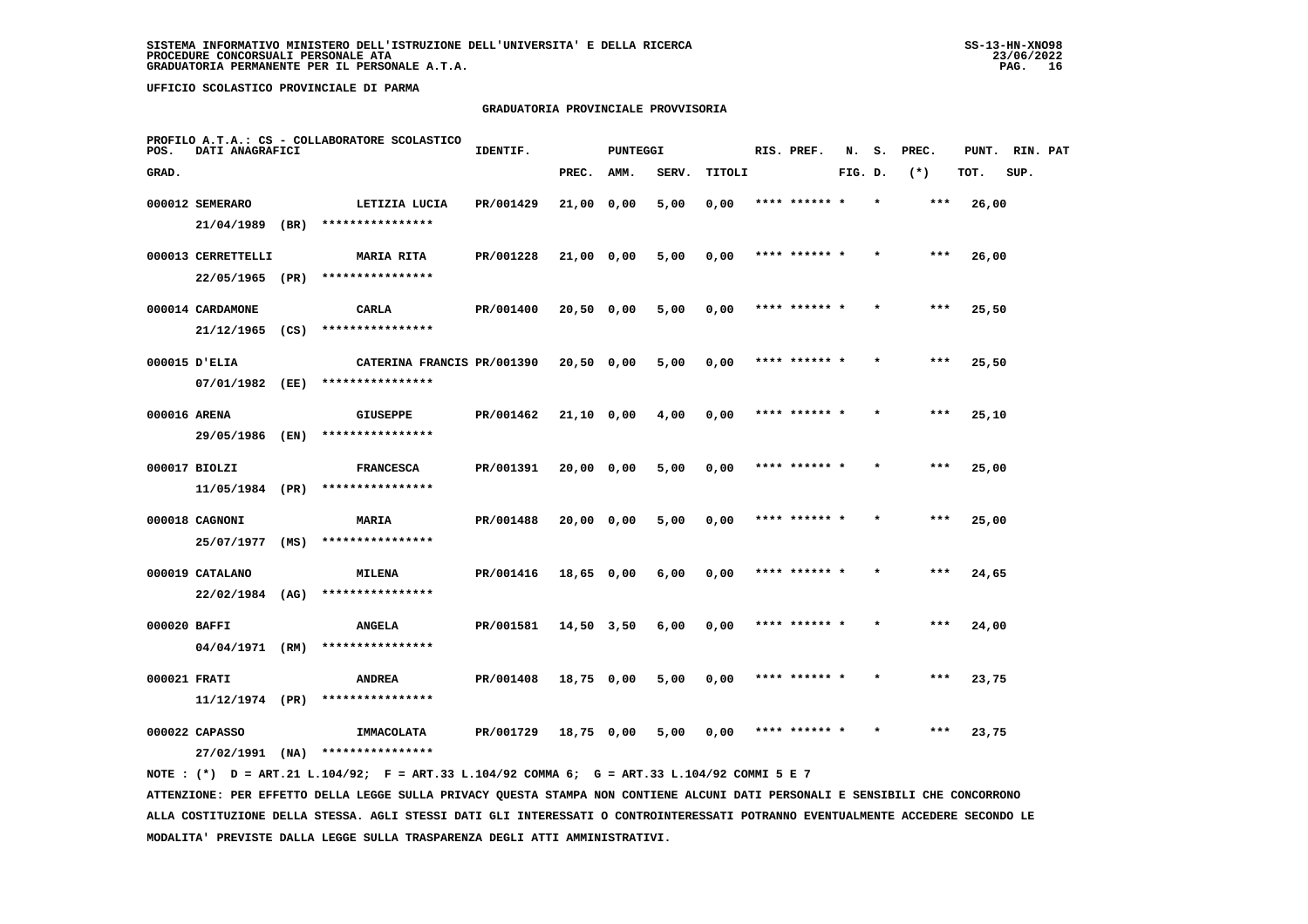## **GRADUATORIA PROVINCIALE PROVVISORIA**

| POS.  | DATI ANAGRAFICI                       |      | PROFILO A.T.A.: CS - COLLABORATORE SCOLASTICO  | IDENTIF.  |              | <b>PUNTEGGI</b> |       |        | RIS. PREF.    | N.      | s. | PREC. | PUNT. RIN. PAT |      |  |
|-------|---------------------------------------|------|------------------------------------------------|-----------|--------------|-----------------|-------|--------|---------------|---------|----|-------|----------------|------|--|
| GRAD. |                                       |      |                                                |           | PREC.        | AMM.            | SERV. | TITOLI |               | FIG. D. |    | $(*)$ | TOT.           | SUP. |  |
|       | 000012 SEMERARO<br>21/04/1989 (BR)    |      | LETIZIA LUCIA<br>****************              | PR/001429 | 21,00 0,00   |                 | 5,00  | 0,00   | **** ******   |         |    | ***   | 26,00          |      |  |
|       | 000013 CERRETTELLI<br>22/05/1965 (PR) |      | <b>MARIA RITA</b><br>****************          | PR/001228 | $21,00$ 0,00 |                 | 5,00  | 0,00   | **** ****** * |         |    | $***$ | 26,00          |      |  |
|       | 000014 CARDAMONE<br>$21/12/1965$ (CS) |      | CARLA<br>****************                      | PR/001400 | $20,50$ 0,00 |                 | 5,00  | 0,00   | **** ****** * |         |    | $***$ | 25,50          |      |  |
|       | 000015 D'ELIA<br>07/01/1982           | (EE) | CATERINA FRANCIS PR/001390<br>**************** |           | $20,50$ 0,00 |                 | 5,00  | 0,00   | **** ****** * |         |    | ***   | 25,50          |      |  |
|       | 000016 ARENA<br>29/05/1986 (EN)       |      | <b>GIUSEPPE</b><br>****************            | PR/001462 | $21,10$ 0,00 |                 | 4,00  | 0,00   | **** ****** * |         |    | $***$ | 25,10          |      |  |
|       | 000017 BIOLZI<br>11/05/1984 (PR)      |      | <b>FRANCESCA</b><br>****************           | PR/001391 | 20,00 0,00   |                 | 5,00  | 0,00   | **** ****** * |         |    | ***   | 25,00          |      |  |
|       | 000018 CAGNONI<br>25/07/1977 (MS)     |      | <b>MARIA</b><br>****************               | PR/001488 | 20,00 0,00   |                 | 5,00  | 0,00   | **** ****** * |         |    | ***   | 25,00          |      |  |
|       | 000019 CATALANO<br>22/02/1984 (AG)    |      | MILENA<br>****************                     | PR/001416 | 18,65 0,00   |                 | 6,00  | 0,00   |               |         |    | ***   | 24,65          |      |  |
|       | 000020 BAFFI<br>04/04/1971 (RM)       |      | <b>ANGELA</b><br>****************              | PR/001581 | 14,50 3,50   |                 | 6,00  | 0,00   | **** ****** * |         |    | ***   | 24,00          |      |  |
|       | 000021 FRATI<br>11/12/1974 (PR)       |      | <b>ANDREA</b><br>****************              | PR/001408 | 18,75 0,00   |                 | 5,00  | 0,00   | **** ****** * |         |    | $***$ | 23,75          |      |  |
|       | 000022 CAPASSO<br>27/02/1991          | (NA) | <b>IMMACOLATA</b><br>****************          | PR/001729 | 18,75 0,00   |                 | 5,00  | 0,00   | **** ****** * |         |    | ***   | 23,75          |      |  |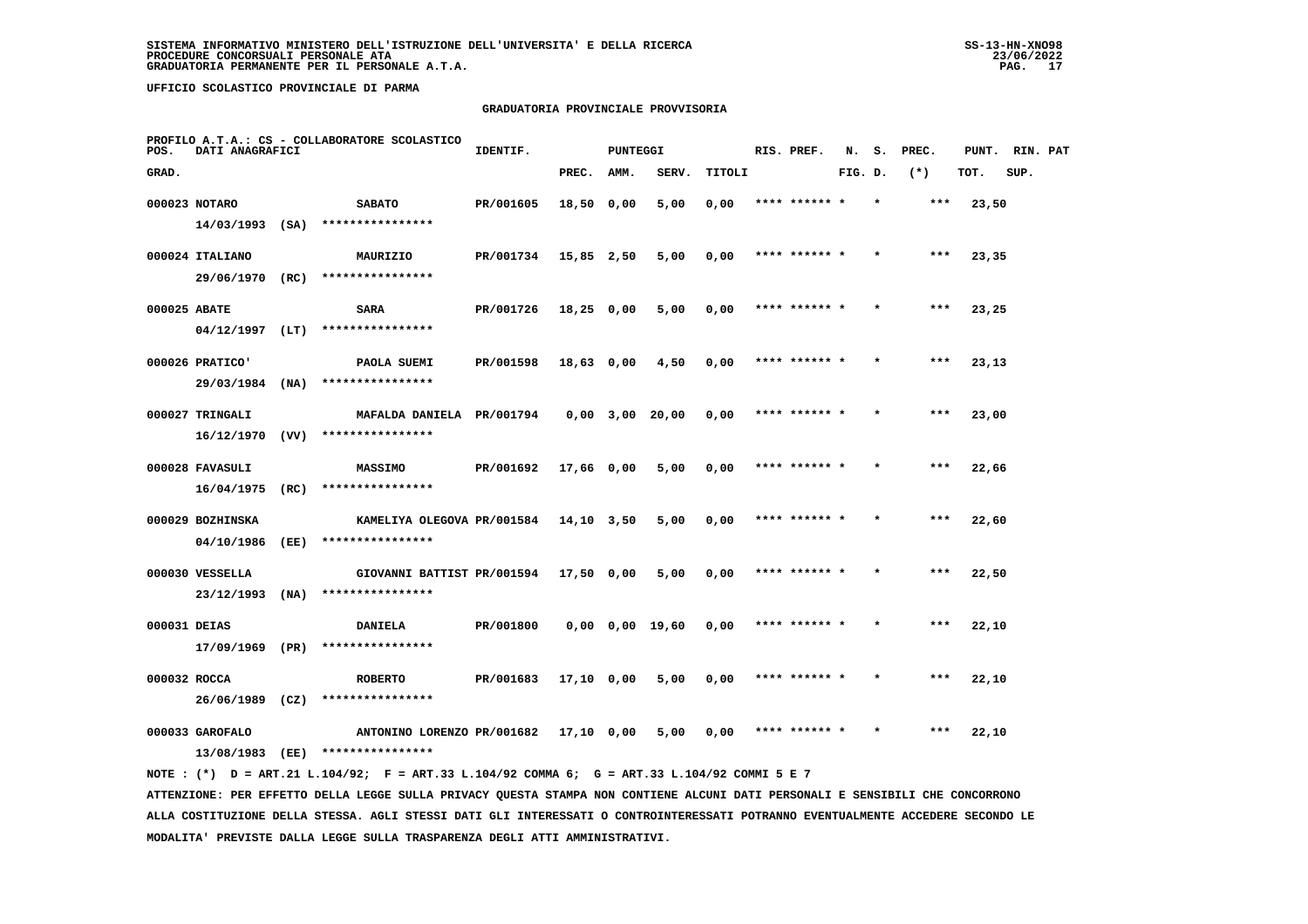## **GRADUATORIA PROVINCIALE PROVVISORIA**

| POS.         | DATI ANAGRAFICI  | PROFILO A.T.A.: CS - COLLABORATORE SCOLASTICO                                                     | IDENTIF.                  |            | PUNTEGGI |       |                      | RIS. PREF.    |         |         | N. S. PREC. | PUNT. RIN. PAT |      |  |
|--------------|------------------|---------------------------------------------------------------------------------------------------|---------------------------|------------|----------|-------|----------------------|---------------|---------|---------|-------------|----------------|------|--|
| GRAD.        |                  |                                                                                                   |                           | PREC. AMM. |          | SERV. | TITOLI               |               | FIG. D. |         | $(*)$       | TOT.           | SUP. |  |
|              | 000023 NOTARO    | <b>SABATO</b><br>14/03/1993 (SA) ****************                                                 | PR/001605                 | 18,50 0,00 |          | 5,00  | 0,00                 | **** ****** * |         | $\star$ | ***         | 23,50          |      |  |
|              | 000024 ITALIANO  | MAURIZIO                                                                                          | PR/001734 15,85 2,50 5,00 |            |          |       | 0,00                 | **** ****** * |         | $\star$ | ***         | 23,35          |      |  |
|              |                  | 29/06/1970 (RC) ****************                                                                  |                           |            |          |       |                      |               |         |         |             |                |      |  |
|              | 000025 ABATE     | <b>SARA</b><br>04/12/1997 (LT) ****************                                                   | PR/001726 18,25 0,00 5,00 |            |          |       | 0,00                 | **** ****** * |         |         | $***$       | 23,25          |      |  |
|              | 000026 PRATICO'  | <b>PAOLA SUEMI</b>                                                                                | PR/001598 18,63 0,00 4,50 |            |          |       | 0,00                 | **** ****** * |         | $\star$ | $***$       | 23,13          |      |  |
|              |                  | 29/03/1984 (NA) ****************                                                                  |                           |            |          |       |                      |               |         |         |             |                |      |  |
|              | 000027 TRINGALI  | MAFALDA DANIELA PR/001794     0,00     3,00     20,00     0,00                                    |                           |            |          |       |                      | **** ****** * |         | $\star$ | ***         | 23,00          |      |  |
|              |                  | $16/12/1970$ (VV) ****************                                                                |                           |            |          |       |                      |               |         | $\star$ | $***$       |                |      |  |
|              | 000028 FAVASULI  | <b>MASSIMO</b><br>16/04/1975 (RC) ****************                                                | PR/001692 17,66 0,00 5,00 |            |          |       | 0.00                 | **** ****** * |         |         |             | 22,66          |      |  |
|              | 000029 BOZHINSKA | KAMELIYA OLEGOVA PR/001584 14,10 3,50 5,00                                                        |                           |            |          |       | 0,00                 | **** ****** * |         | $\star$ | ***         | 22,60          |      |  |
|              |                  | 04/10/1986 (EE) ****************                                                                  |                           |            |          |       |                      |               |         |         |             |                |      |  |
|              | 000030 VESSELLA  | GIOVANNI BATTIST PR/001594 17,50 0,00 5,00<br>23/12/1993 (NA) ****************                    |                           |            |          |       | $0,00$ **** ****** * |               |         |         | ***         | 22,50          |      |  |
| 000031 DEIAS |                  | <b>DANIELA</b>                                                                                    |                           |            |          |       |                      | **** ****** * |         | $\star$ | ***         | 22,10          |      |  |
|              |                  | $17/09/1969$ (PR) ****************                                                                |                           |            |          |       |                      |               |         |         |             |                |      |  |
|              | 000032 ROCCA     | <b>ROBERTO</b>                                                                                    | PR/001683 17,10 0,00 5,00 |            |          |       | $0,00$ **** ****** * |               |         |         | ***         | 22,10          |      |  |
|              |                  | 26/06/1989 (CZ) ****************                                                                  |                           |            |          |       |                      |               |         | $\star$ | ***         |                |      |  |
|              | 000033 GAROFALO  | ANTONINO LORENZO PR/001682 17,10 0,00 5,00 0,00 **** ****** *<br>13/08/1983 (EE) **************** |                           |            |          |       |                      |               |         |         |             | 22,10          |      |  |
|              |                  | NOTE: (*) D = ART.21 L.104/92; F = ART.33 L.104/92 COMMA 6; G = ART.33 L.104/92 COMMI 5 E 7       |                           |            |          |       |                      |               |         |         |             |                |      |  |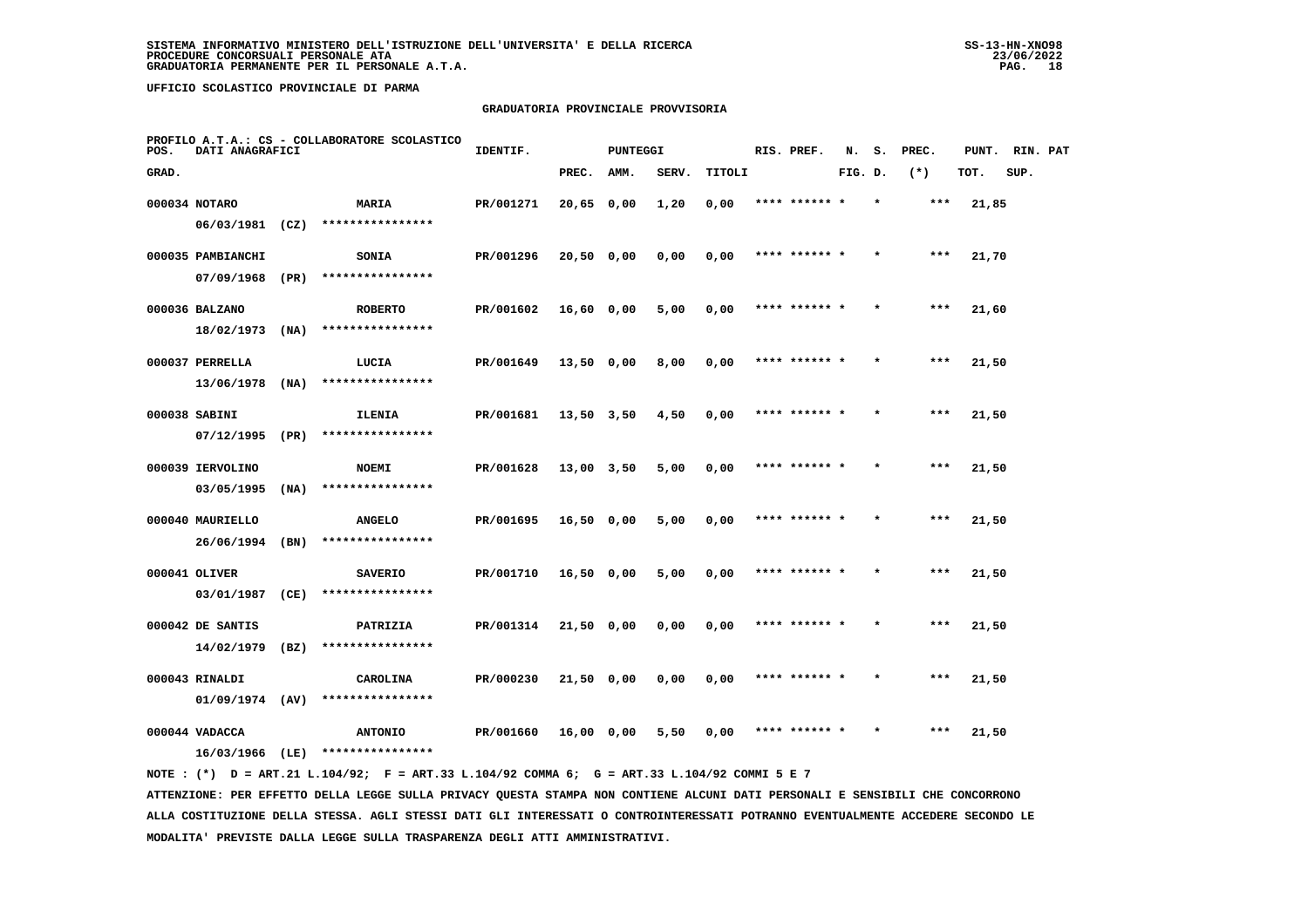## **GRADUATORIA PROVINCIALE PROVVISORIA**

| POS.  | DATI ANAGRAFICI   |      | PROFILO A.T.A.: CS - COLLABORATORE SCOLASTICO | IDENTIF.  |                | <b>PUNTEGGI</b> |       |        | RIS. PREF.    | N.      | s. | PREC. | PUNT. | RIN. PAT |  |
|-------|-------------------|------|-----------------------------------------------|-----------|----------------|-----------------|-------|--------|---------------|---------|----|-------|-------|----------|--|
| GRAD. |                   |      |                                               |           | PREC.          | AMM.            | SERV. | TITOLI |               | FIG. D. |    | $(*)$ | TOT.  | SUP.     |  |
|       | 000034 NOTARO     |      | <b>MARIA</b>                                  | PR/001271 | 20,65 0,00     |                 | 1,20  | 0,00   | **** ****** * |         |    | ***   | 21,85 |          |  |
|       | $06/03/1981$ (CZ) |      | ****************                              |           |                |                 |       |        |               |         |    |       |       |          |  |
|       | 000035 PAMBIANCHI |      | SONIA                                         | PR/001296 | $20,50$ 0,00   |                 | 0,00  | 0,00   | **** ****** * |         |    | $***$ | 21,70 |          |  |
|       | 07/09/1968        | (PR) | ****************                              |           |                |                 |       |        |               |         |    |       |       |          |  |
|       | 000036 BALZANO    |      | <b>ROBERTO</b>                                | PR/001602 | $16,60$ 0,00   |                 | 5,00  | 0,00   | **** ****** * |         |    | $***$ | 21,60 |          |  |
|       | 18/02/1973        | (NA) | ****************                              |           |                |                 |       |        |               |         |    |       |       |          |  |
|       | 000037 PERRELLA   |      | LUCIA                                         | PR/001649 | 13,50 0,00     |                 | 8,00  | 0,00   | **** ****** * |         |    | $***$ | 21,50 |          |  |
|       | 13/06/1978        | (NA) | ****************                              |           |                |                 |       |        |               |         |    |       |       |          |  |
|       | 000038 SABINI     |      | ILENIA                                        | PR/001681 | 13,50 3,50     |                 | 4,50  | 0,00   | **** ****** * |         |    | ***   | 21,50 |          |  |
|       | 07/12/1995        | (PR) | ****************                              |           |                |                 |       |        |               |         |    |       |       |          |  |
|       | 000039 IERVOLINO  |      | <b>NOEMI</b>                                  | PR/001628 | $13,00$ $3,50$ |                 | 5,00  | 0,00   | **** ****** * |         |    | $***$ | 21,50 |          |  |
|       | 03/05/1995        | (NA) | ****************                              |           |                |                 |       |        |               |         |    |       |       |          |  |
|       | 000040 MAURIELLO  |      | <b>ANGELO</b>                                 | PR/001695 | $16,50$ 0,00   |                 | 5,00  | 0,00   | **** ****** * |         |    | ***   | 21,50 |          |  |
|       | 26/06/1994        | (BN) | ****************                              |           |                |                 |       |        |               |         |    |       |       |          |  |
|       | 000041 OLIVER     |      | <b>SAVERIO</b>                                | PR/001710 | 16,50 0,00     |                 | 5,00  | 0,00   | **** ****** * |         |    | ***   | 21,50 |          |  |
|       | 03/01/1987        | (CE) | ****************                              |           |                |                 |       |        |               |         |    |       |       |          |  |
|       | 000042 DE SANTIS  |      | PATRIZIA                                      | PR/001314 | 21,50 0,00     |                 | 0,00  | 0,00   | **** ****** * |         |    | ***   | 21,50 |          |  |
|       | 14/02/1979        | (BZ) | ****************                              |           |                |                 |       |        |               |         |    |       |       |          |  |
|       | 000043 RINALDI    |      | CAROLINA                                      | PR/000230 | $21,50$ 0,00   |                 | 0,00  | 0,00   | **** ****** * |         |    | ***   | 21,50 |          |  |
|       | $01/09/1974$ (AV) |      | ****************                              |           |                |                 |       |        |               |         |    |       |       |          |  |
|       | 000044 VADACCA    |      | <b>ANTONIO</b>                                | PR/001660 | 16,00 0,00     |                 | 5,50  | 0,00   |               |         |    | ***   | 21,50 |          |  |
|       | 16/03/1966 (LE)   |      | ****************                              |           |                |                 |       |        |               |         |    |       |       |          |  |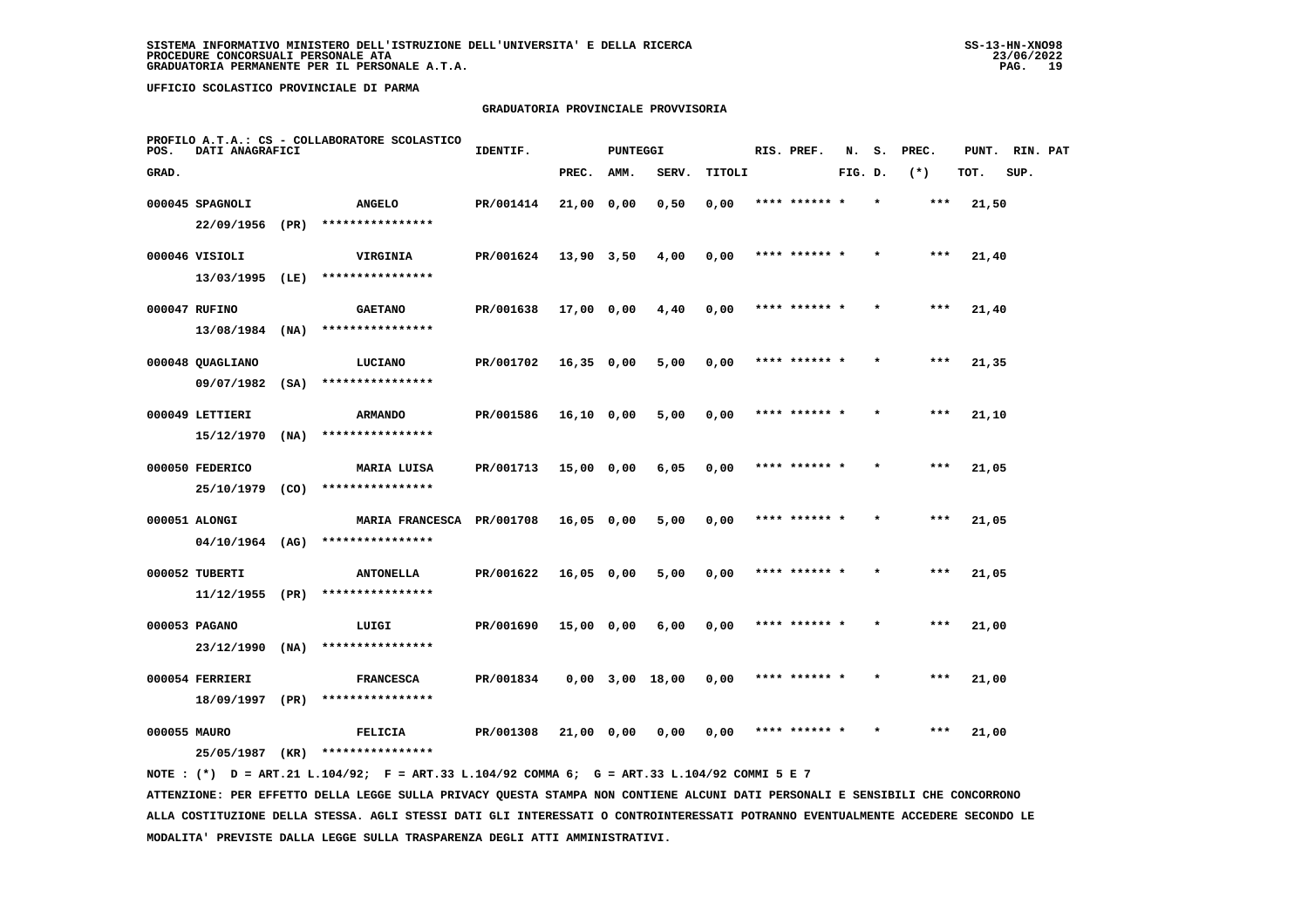## **GRADUATORIA PROVINCIALE PROVVISORIA**

| POS.         | DATI ANAGRAFICI   |      | PROFILO A.T.A.: CS - COLLABORATORE SCOLASTICO | IDENTIF.  |              | <b>PUNTEGGI</b> |                       |        | RIS. PREF.    | N.      | s.      | PREC. | PUNT. RIN. PAT |      |  |
|--------------|-------------------|------|-----------------------------------------------|-----------|--------------|-----------------|-----------------------|--------|---------------|---------|---------|-------|----------------|------|--|
| GRAD.        |                   |      |                                               |           | PREC.        | AMM.            | SERV.                 | TITOLI |               | FIG. D. |         | $(*)$ | TOT.           | SUP. |  |
|              | 000045 SPAGNOLI   |      | <b>ANGELO</b>                                 | PR/001414 | 21,00 0,00   |                 | 0,50                  | 0,00   |               |         |         | ***   | 21,50          |      |  |
|              | 22/09/1956 (PR)   |      | ****************                              |           |              |                 |                       |        |               |         |         |       |                |      |  |
|              | 000046 VISIOLI    |      | VIRGINIA                                      | PR/001624 | 13,90 3,50   |                 | 4,00                  | 0,00   | **** ****** * |         |         | ***   | 21,40          |      |  |
|              | 13/03/1995 (LE)   |      | ****************                              |           |              |                 |                       |        |               |         |         |       |                |      |  |
|              | 000047 RUFINO     |      | <b>GAETANO</b>                                | PR/001638 | 17,00 0,00   |                 | 4,40                  | 0,00   | **** ****** * |         | $\star$ | ***   | 21,40          |      |  |
|              | 13/08/1984        | (NA) | ****************                              |           |              |                 |                       |        |               |         |         |       |                |      |  |
|              | 000048 QUAGLIANO  |      | LUCIANO                                       | PR/001702 | $16,35$ 0,00 |                 | 5,00                  | 0,00   | **** ****** * |         |         | $***$ | 21,35          |      |  |
|              | 09/07/1982        | (SA) | ****************                              |           |              |                 |                       |        |               |         |         |       |                |      |  |
|              | 000049 LETTIERI   |      | <b>ARMANDO</b>                                | PR/001586 | $16,10$ 0,00 |                 | 5,00                  | 0,00   | **** ****** * |         |         | $***$ | 21,10          |      |  |
|              | 15/12/1970        | (NA) | ****************                              |           |              |                 |                       |        |               |         |         |       |                |      |  |
|              | 000050 FEDERICO   |      | MARIA LUISA                                   | PR/001713 | 15,00 0,00   |                 | 6,05                  | 0,00   | **** ****** * |         |         | $***$ | 21,05          |      |  |
|              | 25/10/1979 (CO)   |      | ****************                              |           |              |                 |                       |        |               |         |         |       |                |      |  |
|              | 000051 ALONGI     |      | MARIA FRANCESCA PR/001708                     |           | 16,05 0,00   |                 | 5,00                  | 0,00   | **** ****** * |         |         | $***$ | 21,05          |      |  |
|              | 04/10/1964 (AG)   |      | ****************                              |           |              |                 |                       |        |               |         |         |       |                |      |  |
|              | 000052 TUBERTI    |      | <b>ANTONELLA</b>                              | PR/001622 | 16,05 0,00   |                 | 5,00                  | 0,00   | **** ****** * |         |         | ***   | 21,05          |      |  |
|              | $11/12/1955$ (PR) |      | ****************                              |           |              |                 |                       |        |               |         |         |       |                |      |  |
|              | 000053 PAGANO     |      | LUIGI                                         | PR/001690 | $15,00$ 0,00 |                 | 6,00                  | 0,00   | **** ****** * |         |         | $***$ | 21,00          |      |  |
|              | 23/12/1990        | (NA) | ****************                              |           |              |                 |                       |        |               |         |         |       |                |      |  |
|              | 000054 FERRIERI   |      | <b>FRANCESCA</b>                              | PR/001834 |              |                 | $0,00$ $3,00$ $18,00$ | 0,00   | **** ****** * |         |         | $***$ | 21,00          |      |  |
|              | 18/09/1997        | (PR) | ****************                              |           |              |                 |                       |        |               |         |         |       |                |      |  |
| 000055 MAURO |                   |      | FELICIA                                       | PR/001308 | 21,00 0,00   |                 | 0,00                  | 0,00   |               |         |         | ***   | 21,00          |      |  |
|              | 25/05/1987        | (KR) | ****************                              |           |              |                 |                       |        |               |         |         |       |                |      |  |
|              |                   |      |                                               |           |              |                 |                       |        |               |         |         |       |                |      |  |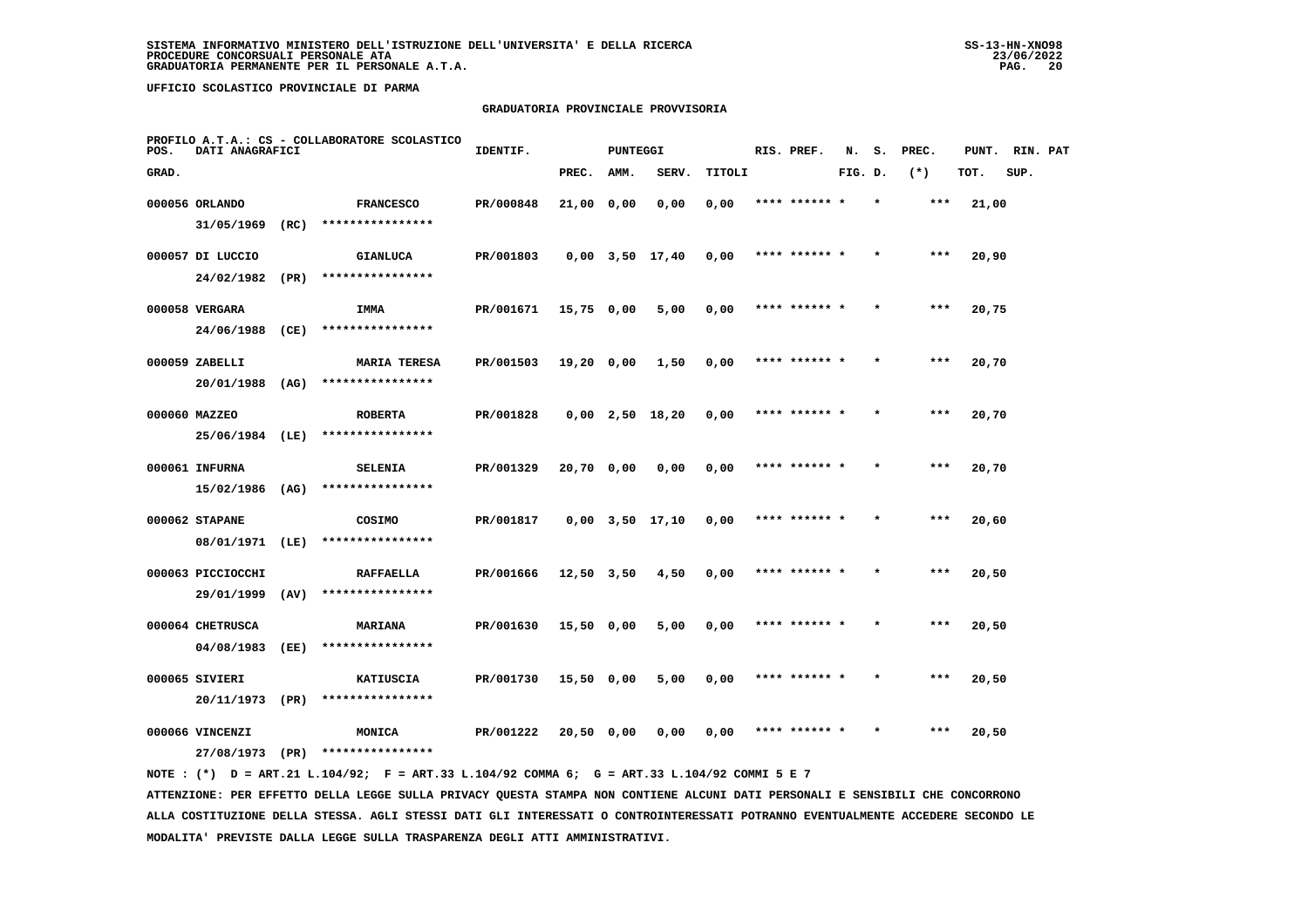## **GRADUATORIA PROVINCIALE PROVVISORIA**

| POS.  | DATI ANAGRAFICI   |      | PROFILO A.T.A.: CS - COLLABORATORE SCOLASTICO | IDENTIF.  |              | <b>PUNTEGGI</b> |                       |        | RIS. PREF.    | N.      | s. | PREC. | PUNT. | RIN. PAT |  |
|-------|-------------------|------|-----------------------------------------------|-----------|--------------|-----------------|-----------------------|--------|---------------|---------|----|-------|-------|----------|--|
| GRAD. |                   |      |                                               |           | PREC.        | AMM.            | SERV.                 | TITOLI |               | FIG. D. |    | $(*)$ | TOT.  | SUP.     |  |
|       | 000056 ORLANDO    |      | <b>FRANCESCO</b>                              | PR/000848 | 21,00 0,00   |                 | 0,00                  | 0,00   | **** ****** * |         |    | ***   | 21,00 |          |  |
|       | 31/05/1969        | (RC) | ****************                              |           |              |                 |                       |        |               |         |    |       |       |          |  |
|       | 000057 DI LUCCIO  |      | <b>GIANLUCA</b>                               | PR/001803 |              |                 | $0,00$ $3,50$ $17,40$ | 0,00   | **** ****** * |         |    | ***   | 20,90 |          |  |
|       | 24/02/1982        | (PR) | ****************                              |           |              |                 |                       |        |               |         |    |       |       |          |  |
|       | 000058 VERGARA    |      | IMMA                                          | PR/001671 | $15,75$ 0,00 |                 | 5,00                  | 0,00   | **** ****** * |         |    | $***$ | 20,75 |          |  |
|       | 24/06/1988        | (CE) | ****************                              |           |              |                 |                       |        |               |         |    |       |       |          |  |
|       | 000059 ZABELLI    |      | <b>MARIA TERESA</b>                           | PR/001503 | 19,20 0,00   |                 | 1,50                  | 0,00   | **** ****** * |         |    | $***$ | 20,70 |          |  |
|       | 20/01/1988        | (AG) | ****************                              |           |              |                 |                       |        |               |         |    |       |       |          |  |
|       | 000060 MAZZEO     |      | <b>ROBERTA</b>                                | PR/001828 |              |                 | $0,00$ 2,50 18,20     | 0,00   | **** ****** * |         |    | $***$ | 20,70 |          |  |
|       | 25/06/1984 (LE)   |      | ****************                              |           |              |                 |                       |        |               |         |    |       |       |          |  |
|       | 000061 INFURNA    |      | <b>SELENIA</b>                                | PR/001329 | 20,70 0,00   |                 | 0,00                  | 0,00   | **** ****** * |         |    | ***   | 20,70 |          |  |
|       | 15/02/1986 (AG)   |      | ****************                              |           |              |                 |                       |        |               |         |    |       |       |          |  |
|       | 000062 STAPANE    |      | COSIMO                                        | PR/001817 |              |                 | $0,00$ $3,50$ $17,10$ | 0,00   | **** ****** * |         |    | $***$ | 20,60 |          |  |
|       | 08/01/1971 (LE)   |      | ****************                              |           |              |                 |                       |        |               |         |    |       |       |          |  |
|       | 000063 PICCIOCCHI |      | <b>RAFFAELLA</b>                              | PR/001666 | 12,50 3,50   |                 | 4,50                  | 0,00   | **** ****** * |         |    | ***   | 20,50 |          |  |
|       | 29/01/1999        | (AV) | ****************                              |           |              |                 |                       |        |               |         |    |       |       |          |  |
|       | 000064 CHETRUSCA  |      | MARIANA                                       | PR/001630 | $15,50$ 0,00 |                 | 5,00                  | 0,00   | **** ****** * |         |    | $***$ | 20,50 |          |  |
|       | 04/08/1983        | (EE) | ****************                              |           |              |                 |                       |        |               |         |    |       |       |          |  |
|       | 000065 SIVIERI    |      | KATIUSCIA                                     | PR/001730 | $15,50$ 0,00 |                 | 5,00                  | 0,00   | **** ****** * |         |    | ***   | 20,50 |          |  |
|       | 20/11/1973        | (PR) | ****************                              |           |              |                 |                       |        |               |         |    |       |       |          |  |
|       | 000066 VINCENZI   |      | MONICA                                        | PR/001222 | 20,50 0,00   |                 | 0,00                  | 0,00   | **** ****** * |         |    | ***   | 20,50 |          |  |
|       | 27/08/1973        | (PR) | ****************                              |           |              |                 |                       |        |               |         |    |       |       |          |  |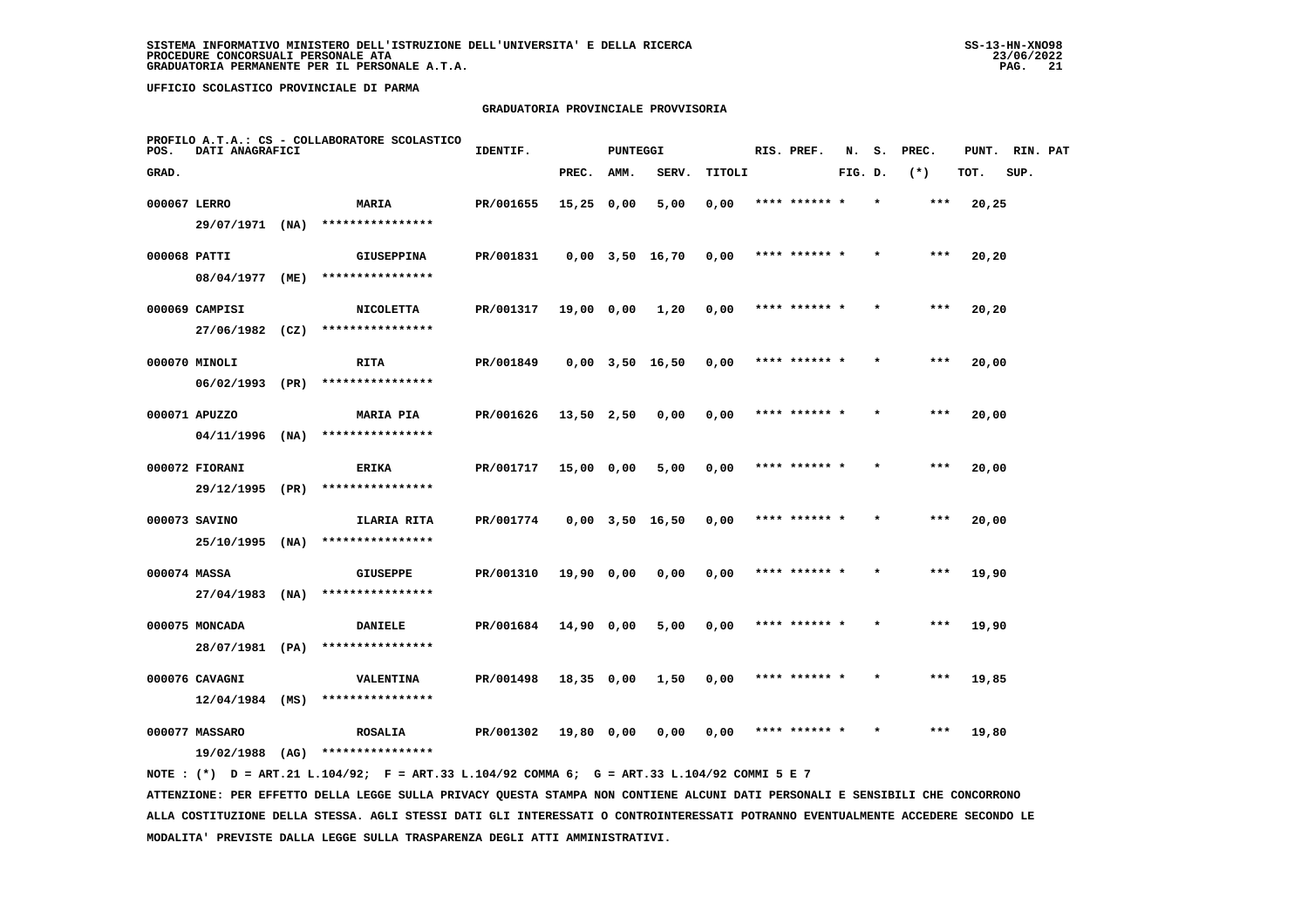## **GRADUATORIA PROVINCIALE PROVVISORIA**

| POS.  | DATI ANAGRAFICI                   |      | PROFILO A.T.A.: CS - COLLABORATORE SCOLASTICO | IDENTIF.  |              | <b>PUNTEGGI</b> |                       |        | RIS. PREF.    | N.      | s.      | PREC. | PUNT. | RIN. PAT |  |
|-------|-----------------------------------|------|-----------------------------------------------|-----------|--------------|-----------------|-----------------------|--------|---------------|---------|---------|-------|-------|----------|--|
| GRAD. |                                   |      |                                               |           | PREC.        | AMM.            | SERV.                 | TITOLI |               | FIG. D. |         | $(*)$ | TOT.  | SUP.     |  |
|       | 000067 LERRO                      |      | MARIA                                         | PR/001655 | $15,25$ 0,00 |                 | 5,00                  | 0,00   | **** ****** * |         | $\star$ | ***   | 20,25 |          |  |
|       | 29/07/1971 (NA)                   |      | ****************                              |           |              |                 |                       |        |               |         |         |       |       |          |  |
|       | 000068 PATTI                      |      | <b>GIUSEPPINA</b>                             | PR/001831 |              |                 | 0,00 3,50 16,70       | 0,00   | **** ****** * |         |         | ***   | 20,20 |          |  |
|       | 08/04/1977 (ME)                   |      | ****************                              |           |              |                 |                       |        |               |         |         |       |       |          |  |
|       | 000069 CAMPISI                    |      | <b>NICOLETTA</b>                              | PR/001317 | 19,00 0,00   |                 | 1,20                  | 0,00   | **** ****** * |         |         | $***$ | 20,20 |          |  |
|       | 27/06/1982 (CZ)                   |      | ****************                              |           |              |                 |                       |        |               |         |         |       |       |          |  |
|       | 000070 MINOLI                     |      | RITA                                          | PR/001849 |              |                 | $0,00$ $3,50$ $16,50$ | 0,00   | **** ****** * |         |         | ***   | 20,00 |          |  |
|       | 06/02/1993                        | (PR) | ****************                              |           |              |                 |                       |        |               |         |         |       |       |          |  |
|       | 000071 APUZZO                     |      | <b>MARIA PIA</b>                              | PR/001626 | 13,50 2,50   |                 | 0,00                  | 0,00   | **** ****** * |         |         | $***$ | 20,00 |          |  |
|       | $04/11/1996$ (NA)                 |      | ****************                              |           |              |                 |                       |        |               |         |         |       |       |          |  |
|       | 000072 FIORANI                    |      | ERIKA<br>****************                     | PR/001717 | 15,00 0,00   |                 | 5,00                  | 0,00   | **** ****** * |         |         | $***$ | 20,00 |          |  |
|       | 29/12/1995 (PR)                   |      |                                               |           |              |                 |                       |        |               |         |         |       |       |          |  |
|       | 000073 SAVINO<br>25/10/1995 (NA)  |      | ILARIA RITA<br>****************               | PR/001774 |              |                 | $0,00$ $3,50$ $16,50$ | 0,00   | **** ****** * |         |         | $***$ | 20,00 |          |  |
|       |                                   |      |                                               |           |              |                 |                       |        |               |         |         |       |       |          |  |
|       | 000074 MASSA<br>$27/04/1983$ (NA) |      | <b>GIUSEPPE</b><br>****************           | PR/001310 | 19,90 0,00   |                 | 0,00                  | 0,00   |               |         |         | ***   | 19,90 |          |  |
|       |                                   |      |                                               |           |              |                 |                       |        | **** ****** * |         |         | $***$ |       |          |  |
|       | 000075 MONCADA<br>28/07/1981 (PA) |      | DANIELE<br>****************                   | PR/001684 | 14,90 0,00   |                 | 5,00                  | 0,00   |               |         |         |       | 19,90 |          |  |
|       | 000076 CAVAGNI                    |      | VALENTINA                                     | PR/001498 | 18,35 0,00   |                 | 1,50                  | 0,00   | **** ****** * |         | $\star$ | ***   | 19,85 |          |  |
|       | $12/04/1984$ (MS)                 |      | ****************                              |           |              |                 |                       |        |               |         |         |       |       |          |  |
|       | 000077 MASSARO                    |      | <b>ROSALIA</b>                                | PR/001302 | 19,80 0,00   |                 | 0,00                  | 0,00   | **** ****** * |         |         | $***$ | 19,80 |          |  |
|       | 19/02/1988 (AG)                   |      | ****************                              |           |              |                 |                       |        |               |         |         |       |       |          |  |
|       |                                   |      |                                               |           |              |                 |                       |        |               |         |         |       |       |          |  |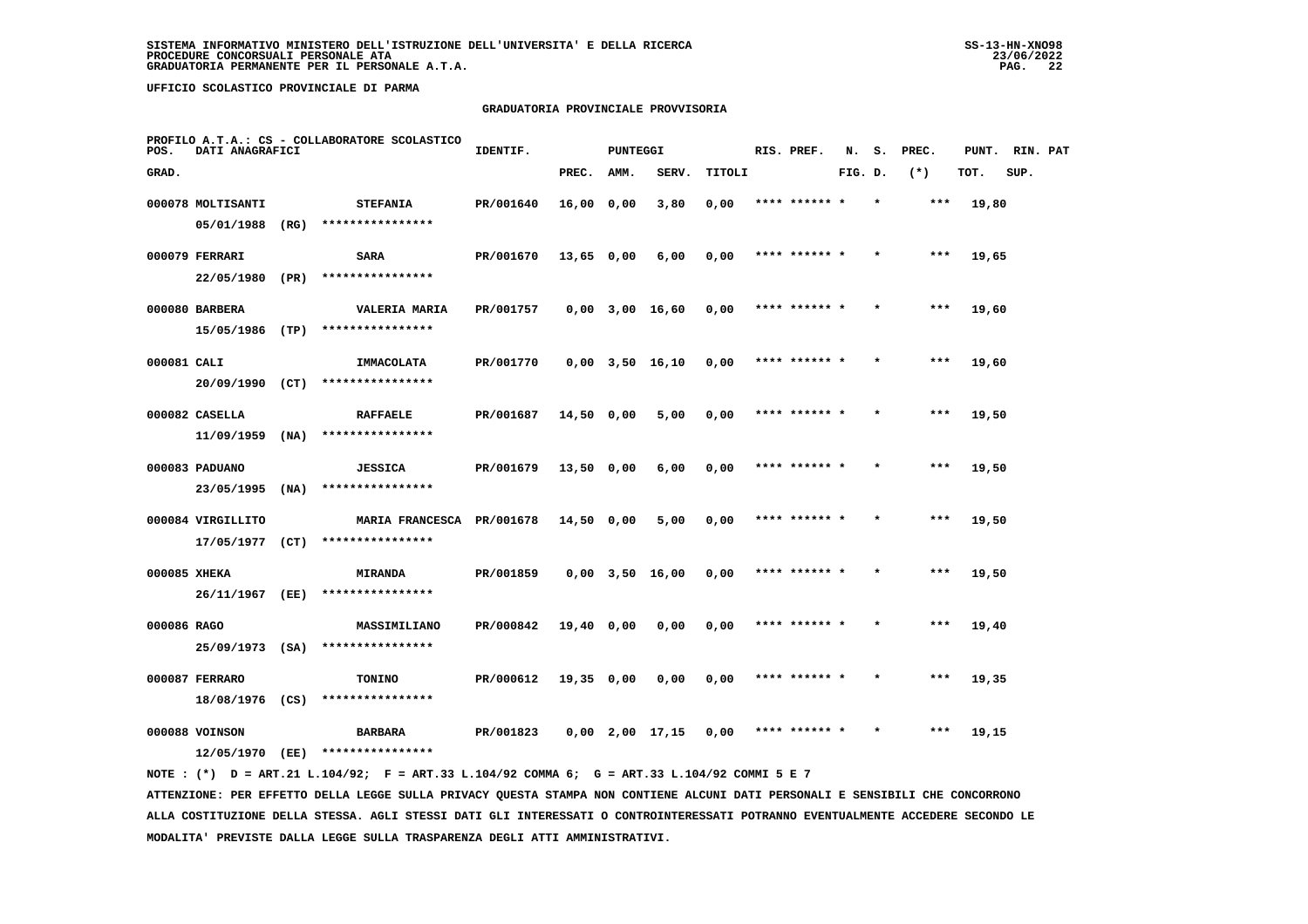## **GRADUATORIA PROVINCIALE PROVVISORIA**

| POS.         | DATI ANAGRAFICI                 |      | PROFILO A.T.A.: CS - COLLABORATORE SCOLASTICO            | IDENTIF.  |              | <b>PUNTEGGI</b> |                       |        | RIS. PREF.    | N.      | s. | PREC. | PUNT. | RIN. PAT |  |
|--------------|---------------------------------|------|----------------------------------------------------------|-----------|--------------|-----------------|-----------------------|--------|---------------|---------|----|-------|-------|----------|--|
| GRAD.        |                                 |      |                                                          |           | PREC.        | AMM.            | SERV.                 | TITOLI |               | FIG. D. |    | $(*)$ | TOT.  | SUP.     |  |
|              | 000078 MOLTISANTI<br>05/01/1988 | (RG) | <b>STEFANIA</b><br>****************                      | PR/001640 | 16,00 0,00   |                 | 3,80                  | 0,00   | **** ****** * |         |    | ***   | 19,80 |          |  |
|              | 000079 FERRARI                  |      | <b>SARA</b>                                              | PR/001670 | $13,65$ 0,00 |                 | 6,00                  | 0,00   | **** ****** * |         |    | $***$ | 19,65 |          |  |
|              | 22/05/1980 (PR)                 |      | ****************                                         |           |              |                 |                       |        |               |         |    |       |       |          |  |
|              | 000080 BARBERA                  |      | <b>VALERIA MARIA</b>                                     | PR/001757 |              |                 | $0,00$ 3,00 16,60     | 0,00   | **** ****** * |         |    | $***$ | 19,60 |          |  |
|              | 15/05/1986 (TP)                 |      | ****************                                         |           |              |                 |                       |        |               |         |    |       |       |          |  |
| 000081 CALI  | 20/09/1990 (CT)                 |      | IMMACOLATA<br>****************                           | PR/001770 |              |                 | $0,00$ $3,50$ $16,10$ | 0,00   | **** ****** * |         |    | ***   | 19,60 |          |  |
|              | 000082 CASELLA                  |      | <b>RAFFAELE</b>                                          | PR/001687 | 14,50 0,00   |                 | 5,00                  | 0,00   | **** ****** * |         |    | ***   | 19,50 |          |  |
|              | 11/09/1959                      | (NA) | ****************                                         |           |              |                 |                       |        |               |         |    |       |       |          |  |
|              | 000083 PADUANO                  |      | <b>JESSICA</b>                                           | PR/001679 | 13,50 0,00   |                 | 6,00                  | 0,00   | **** ****** * |         |    | $***$ | 19,50 |          |  |
|              | 23/05/1995 (NA)                 |      | ****************                                         |           |              |                 |                       |        |               |         |    |       |       |          |  |
|              | 000084 VIRGILLITO               |      | MARIA FRANCESCA PR/001678 14,50 0,00<br>**************** |           |              |                 | 5,00                  | 0,00   | **** ****** * |         |    | ***   | 19,50 |          |  |
|              | 17/05/1977 (CT)                 |      |                                                          |           |              |                 |                       |        |               |         |    |       |       |          |  |
| 000085 XHEKA | 26/11/1967 (EE)                 |      | <b>MIRANDA</b><br>****************                       | PR/001859 |              |                 | $0,00$ $3,50$ $16,00$ | 0,00   | **** ******   |         |    | ***   | 19,50 |          |  |
| 000086 RAGO  |                                 |      | MASSIMILIANO                                             | PR/000842 | 19,40 0,00   |                 | 0,00                  | 0,00   | **** ****** * |         |    | ***   | 19,40 |          |  |
|              | 25/09/1973 (SA)                 |      | ****************                                         |           |              |                 |                       |        |               |         |    |       |       |          |  |
|              | 000087 FERRARO                  |      | <b>TONINO</b>                                            | PR/000612 | $19,35$ 0,00 |                 | 0,00                  | 0,00   | **** ****** * |         |    | $***$ | 19,35 |          |  |
|              | 18/08/1976 (CS)                 |      | ****************                                         |           |              |                 |                       |        |               |         |    |       |       |          |  |
|              | 000088 VOINSON                  |      | <b>BARBARA</b>                                           | PR/001823 |              |                 | $0,00$ 2,00 17,15     | 0,00   | **** ****** * |         |    | ***   | 19,15 |          |  |
|              | 12/05/1970                      | (EE) | ****************                                         |           |              |                 |                       |        |               |         |    |       |       |          |  |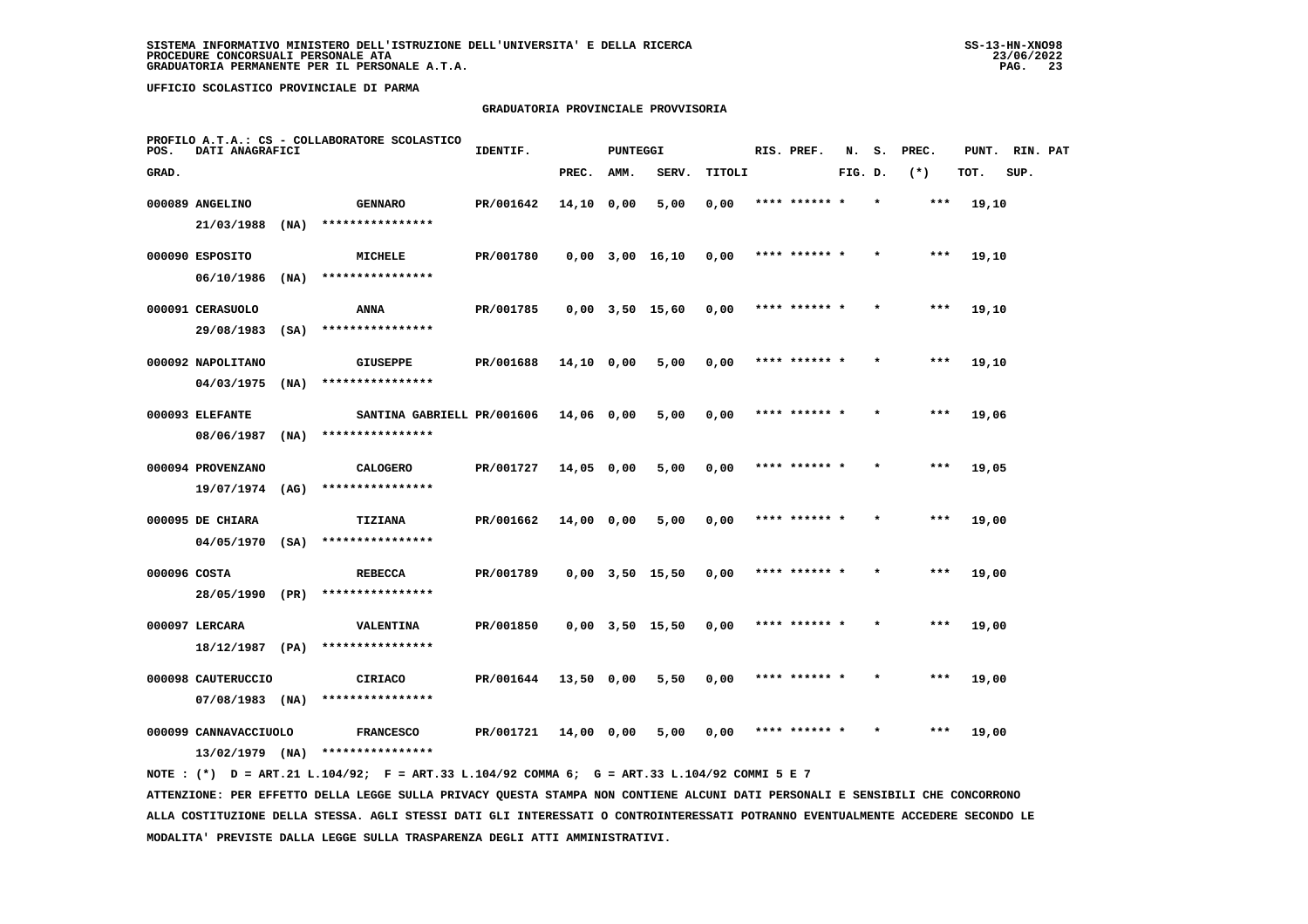#### **GRADUATORIA PROVINCIALE PROVVISORIA**

| POS.         | DATI ANAGRAFICI                         |      | PROFILO A.T.A.: CS - COLLABORATORE SCOLASTICO | IDENTIF.  |            | <b>PUNTEGGI</b> |                       |        | RIS. PREF.    | N.      | s.      | PREC. | PUNT. | RIN. PAT |  |
|--------------|-----------------------------------------|------|-----------------------------------------------|-----------|------------|-----------------|-----------------------|--------|---------------|---------|---------|-------|-------|----------|--|
| GRAD.        |                                         |      |                                               |           | PREC.      | AMM.            | SERV.                 | TITOLI |               | FIG. D. |         | $(*)$ | TOT.  | SUP.     |  |
|              | 000089 ANGELINO                         |      | <b>GENNARO</b>                                | PR/001642 | 14,10 0,00 |                 | 5,00                  | 0,00   | **** ****** * |         | $\star$ | ***   | 19,10 |          |  |
|              | 21/03/1988                              | (NA) | ****************                              |           |            |                 |                       |        |               |         |         |       |       |          |  |
|              | 000090 ESPOSITO                         |      | MICHELE                                       | PR/001780 |            |                 | $0,00$ $3,00$ $16,10$ | 0,00   | **** ****** * |         |         | ***   | 19,10 |          |  |
|              | 06/10/1986                              | (NA) | ****************                              |           |            |                 |                       |        |               |         |         |       |       |          |  |
|              | 000091 CERASUOLO                        |      | ANNA                                          | PR/001785 |            |                 | $0,00$ $3,50$ $15,60$ | 0,00   | **** ****** * |         |         | ***   | 19,10 |          |  |
|              | 29/08/1983                              | (SA) | ****************                              |           |            |                 |                       |        |               |         |         |       |       |          |  |
|              | 000092 NAPOLITANO                       |      | <b>GIUSEPPE</b>                               | PR/001688 | 14,10 0,00 |                 | 5,00                  | 0,00   | **** ****** * |         |         | ***   | 19,10 |          |  |
|              | 04/03/1975                              | (MA) | ****************                              |           |            |                 |                       |        |               |         |         |       |       |          |  |
|              | 000093 ELEFANTE                         |      | SANTINA GABRIELL PR/001606                    |           | 14,06 0,00 |                 | 5,00                  | 0,00   | **** ****** * |         |         | $***$ | 19,06 |          |  |
|              | 08/06/1987                              | (MA) | ****************                              |           |            |                 |                       |        |               |         |         |       |       |          |  |
|              | 000094 PROVENZANO                       |      | <b>CALOGERO</b>                               | PR/001727 | 14,05 0,00 |                 | 5,00                  | 0,00   | **** ****** * |         |         | ***   | 19,05 |          |  |
|              | 19/07/1974 (AG)                         |      | ****************                              |           |            |                 |                       |        |               |         |         |       |       |          |  |
|              | 000095 DE CHIARA<br>$04/05/1970$ (SA)   |      | TIZIANA<br>****************                   | PR/001662 | 14,00 0,00 |                 | 5,00                  | 0,00   | **** ****** * |         | $\star$ | ***   | 19,00 |          |  |
|              |                                         |      |                                               |           |            |                 |                       |        |               |         |         |       |       |          |  |
| 000096 COSTA | 28/05/1990 (PR)                         |      | <b>REBECCA</b><br>****************            | PR/001789 |            |                 | $0,00$ $3,50$ $15,50$ | 0,00   | **** ******   |         |         | ***   | 19,00 |          |  |
|              |                                         |      |                                               |           |            |                 |                       |        |               |         |         |       |       |          |  |
|              | 000097 LERCARA<br>18/12/1987            | (PA) | <b>VALENTINA</b><br>****************          | PR/001850 |            |                 | $0,00$ $3,50$ $15,50$ | 0,00   | **** ****** * |         |         | ***   | 19,00 |          |  |
|              |                                         |      |                                               |           |            |                 |                       |        |               |         |         |       |       |          |  |
|              | 000098 CAUTERUCCIO<br>$07/08/1983$ (NA) |      | <b>CIRIACO</b><br>****************            | PR/001644 | 13,50 0,00 |                 | 5,50                  | 0,00   | **** ****** * |         |         | $***$ | 19,00 |          |  |
|              | 000099 CANNAVACCIUOLO                   |      |                                               |           |            |                 |                       |        | **** ****** * |         |         | ***   |       |          |  |
|              | $13/02/1979$ (NA)                       |      | <b>FRANCESCO</b><br>****************          | PR/001721 | 14,00 0,00 |                 | 5,00                  | 0,00   |               |         |         |       | 19,00 |          |  |
|              |                                         |      |                                               |           |            |                 |                       |        |               |         |         |       |       |          |  |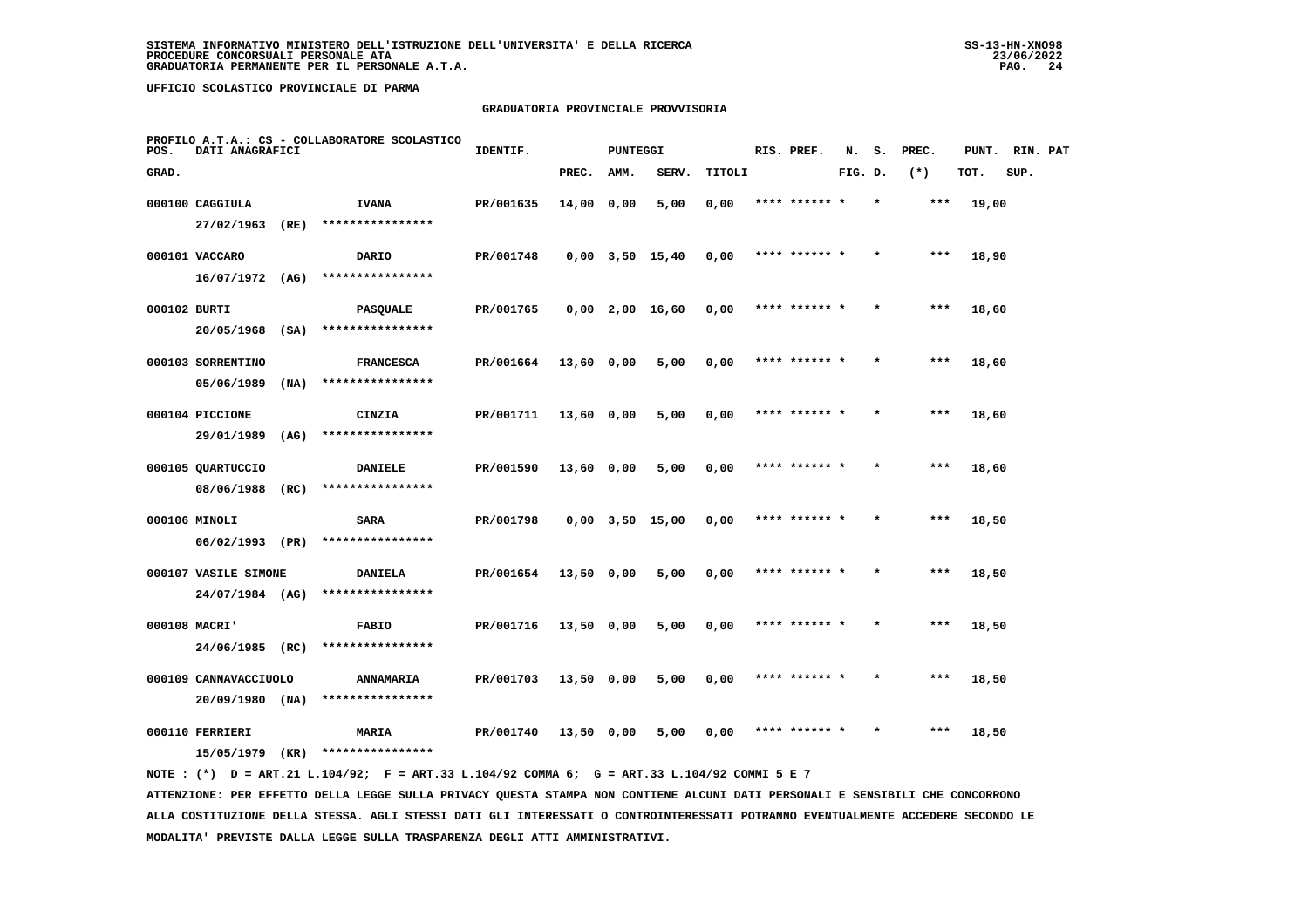#### **GRADUATORIA PROVINCIALE PROVVISORIA**

| POS.         | DATI ANAGRAFICI       |      | PROFILO A.T.A.: CS - COLLABORATORE SCOLASTICO | IDENTIF.  |              | PUNTEGGI |                       |        | RIS. PREF.    | N.      | s.      | PREC. | PUNT. | RIN. PAT |  |
|--------------|-----------------------|------|-----------------------------------------------|-----------|--------------|----------|-----------------------|--------|---------------|---------|---------|-------|-------|----------|--|
| GRAD.        |                       |      |                                               |           | PREC.        | AMM.     | SERV.                 | TITOLI |               | FIG. D. |         | $(*)$ | TOT.  | SUP.     |  |
|              | 000100 CAGGIULA       |      | <b>IVANA</b>                                  | PR/001635 | $14,00$ 0,00 |          | 5,00                  | 0,00   | **** ******   |         |         | $***$ | 19,00 |          |  |
|              | 27/02/1963 (RE)       |      | ****************                              |           |              |          |                       |        |               |         |         |       |       |          |  |
|              | 000101 VACCARO        |      | DARIO                                         | PR/001748 |              |          | $0,00$ $3,50$ $15,40$ | 0,00   | **** ****** * |         |         | $***$ | 18,90 |          |  |
|              | $16/07/1972$ (AG)     |      | ****************                              |           |              |          |                       |        |               |         |         |       |       |          |  |
| 000102 BURTI |                       |      | <b>PASQUALE</b>                               | PR/001765 |              |          | $0,00$ 2,00 16,60     | 0,00   | **** ****** * |         | $\star$ | $***$ | 18,60 |          |  |
|              | 20/05/1968            | (SA) | ****************                              |           |              |          |                       |        |               |         |         |       |       |          |  |
|              | 000103 SORRENTINO     |      | <b>FRANCESCA</b>                              | PR/001664 | $13,60$ 0,00 |          | 5,00                  | 0,00   | **** ****** * |         |         | $***$ | 18,60 |          |  |
|              | 05/06/1989            | (NA) | ****************                              |           |              |          |                       |        |               |         |         |       |       |          |  |
|              | 000104 PICCIONE       |      | CINZIA                                        | PR/001711 | 13,60 0,00   |          | 5,00                  | 0,00   | **** ****** * |         |         | ***   | 18,60 |          |  |
|              | 29/01/1989            | (AG) | ****************                              |           |              |          |                       |        |               |         |         |       |       |          |  |
|              | 000105 QUARTUCCIO     |      | <b>DANIELE</b>                                | PR/001590 | 13,60 0,00   |          | 5,00                  | 0,00   | **** ****** * |         | $\star$ | $***$ | 18,60 |          |  |
|              | 08/06/1988            | (RC) | ****************                              |           |              |          |                       |        |               |         |         |       |       |          |  |
|              | 000106 MINOLI         |      | SARA                                          | PR/001798 |              |          | $0,00$ $3,50$ $15,00$ | 0,00   | **** ******   |         |         | ***   | 18,50 |          |  |
|              | 06/02/1993 (PR)       |      | ****************                              |           |              |          |                       |        |               |         |         |       |       |          |  |
|              | 000107 VASILE SIMONE  |      | <b>DANIELA</b>                                | PR/001654 | 13,50 0,00   |          | 5,00                  | 0,00   | **** ****** * |         |         | $***$ | 18,50 |          |  |
|              | 24/07/1984 (AG)       |      | ****************                              |           |              |          |                       |        |               |         |         |       |       |          |  |
|              | 000108 MACRI'         |      | <b>FABIO</b>                                  | PR/001716 | 13,50 0,00   |          | 5,00                  | 0,00   | **** ****** * |         | $\star$ | $***$ | 18,50 |          |  |
|              | 24/06/1985 (RC)       |      | ****************                              |           |              |          |                       |        |               |         |         |       |       |          |  |
|              | 000109 CANNAVACCIUOLO |      | <b>ANNAMARIA</b>                              | PR/001703 | 13,50 0,00   |          | 5,00                  | 0,00   | **** ****** * |         |         | $***$ | 18,50 |          |  |
|              | $20/09/1980$ (NA)     |      | ****************                              |           |              |          |                       |        |               |         |         |       |       |          |  |
|              | 000110 FERRIERI       |      | MARIA                                         | PR/001740 | 13,50 0,00   |          | 5,00                  | 0,00   | **** ****** * |         |         | $***$ | 18,50 |          |  |
|              | 15/05/1979            | (KR) | ****************                              |           |              |          |                       |        |               |         |         |       |       |          |  |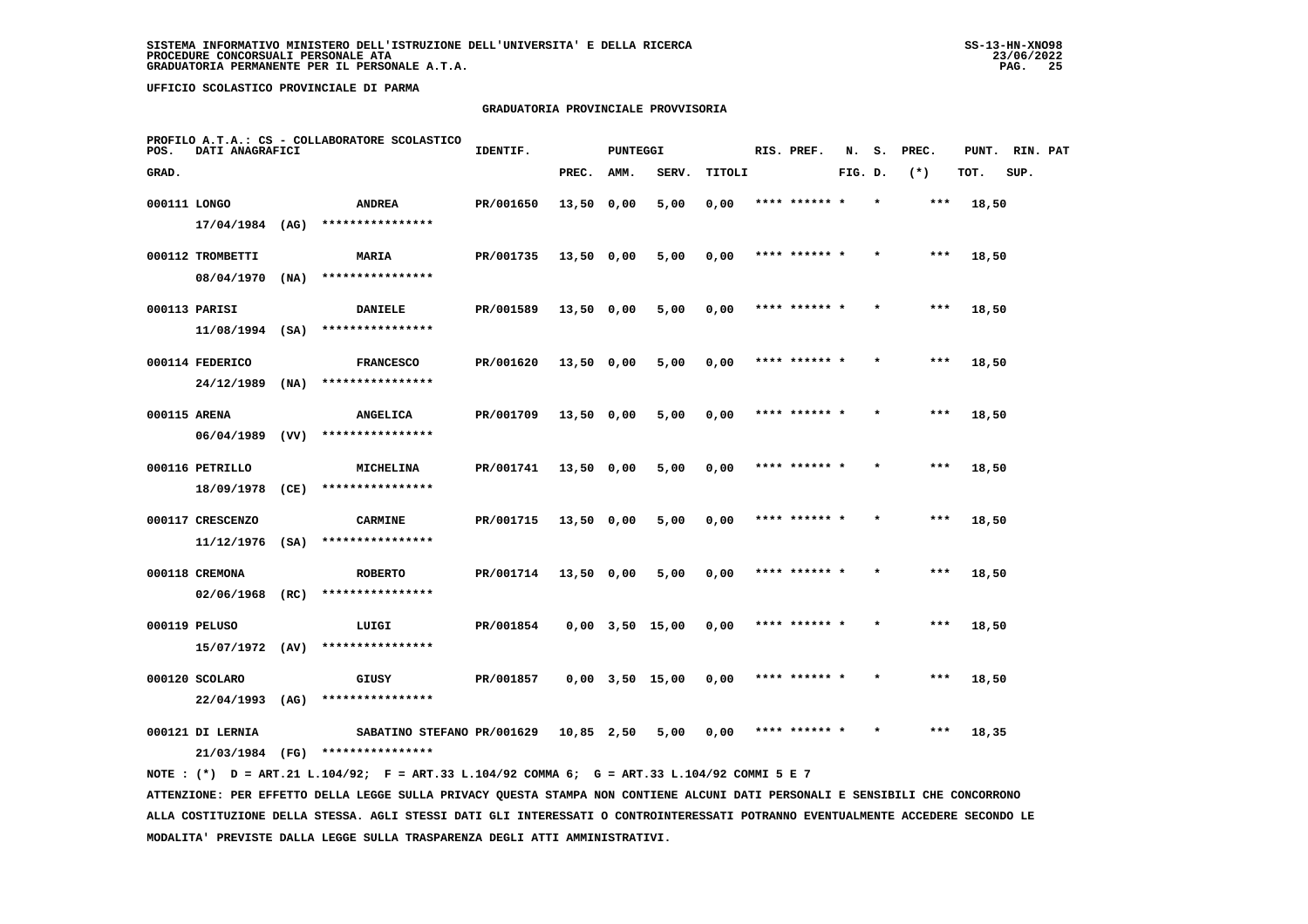#### **GRADUATORIA PROVINCIALE PROVVISORIA**

| POS.         | DATI ANAGRAFICI                     |      | PROFILO A.T.A.: CS - COLLABORATORE SCOLASTICO                                               | IDENTIF.  |            | <b>PUNTEGGI</b> |                       |        | RIS. PREF.    | N.      | s.      | PREC. | PUNT. | RIN. PAT |  |
|--------------|-------------------------------------|------|---------------------------------------------------------------------------------------------|-----------|------------|-----------------|-----------------------|--------|---------------|---------|---------|-------|-------|----------|--|
| GRAD.        |                                     |      |                                                                                             |           | PREC.      | AMM.            | SERV.                 | TITOLI |               | FIG. D. |         | $(*)$ | TOT.  | SUP.     |  |
| 000111 LONGO |                                     |      | <b>ANDREA</b>                                                                               | PR/001650 | 13,50 0,00 |                 | 5,00                  | 0,00   | **** ****** * |         |         | ***   | 18,50 |          |  |
|              | $17/04/1984$ (AG)                   |      | ****************                                                                            |           |            |                 |                       |        |               |         |         |       |       |          |  |
|              | 000112 TROMBETTI                    |      | <b>MARIA</b>                                                                                | PR/001735 | 13,50 0,00 |                 | 5,00                  | 0,00   | **** ****** * |         |         | ***   | 18,50 |          |  |
|              | 08/04/1970                          | (NA) | ****************                                                                            |           |            |                 |                       |        |               |         |         |       |       |          |  |
|              | 000113 PARISI                       |      | <b>DANIELE</b>                                                                              | PR/001589 | 13,50 0,00 |                 | 5,00                  | 0,00   | **** ****** * |         |         | $***$ | 18,50 |          |  |
|              | $11/08/1994$ (SA)                   |      | ****************                                                                            |           |            |                 |                       |        |               |         |         |       |       |          |  |
|              | 000114 FEDERICO                     |      | <b>FRANCESCO</b>                                                                            | PR/001620 | 13,50 0,00 |                 | 5,00                  | 0,00   | **** ****** * |         |         | ***   | 18,50 |          |  |
|              | $24/12/1989$ (NA)                   |      | ****************                                                                            |           |            |                 |                       |        |               |         |         |       |       |          |  |
| 000115 ARENA |                                     |      | <b>ANGELICA</b>                                                                             | PR/001709 | 13,50 0,00 |                 | 5,00                  | 0,00   | **** ****** * |         |         | ***   | 18,50 |          |  |
|              |                                     |      | $06/04/1989$ (VV) ****************                                                          |           |            |                 |                       |        |               |         |         |       |       |          |  |
|              | 000116 PETRILLO                     |      | <b>MICHELINA</b>                                                                            | PR/001741 | 13,50 0,00 |                 | 5,00                  | 0,00   | **** ****** * |         |         | $***$ | 18,50 |          |  |
|              | 18/09/1978 (CE)                     |      | ****************                                                                            |           |            |                 |                       |        |               |         |         |       |       |          |  |
|              | 000117 CRESCENZO                    |      | CARMINE                                                                                     | PR/001715 | 13,50 0,00 |                 | 5,00                  | 0,00   | **** ****** * |         |         | ***   | 18,50 |          |  |
|              | $11/12/1976$ (SA)                   |      | ****************                                                                            |           |            |                 |                       |        |               |         |         |       |       |          |  |
|              |                                     |      |                                                                                             |           |            |                 |                       |        |               |         |         |       |       |          |  |
|              | 000118 CREMONA<br>$02/06/1968$ (RC) |      | <b>ROBERTO</b><br>****************                                                          | PR/001714 | 13,50 0,00 |                 | 5,00                  | 0,00   | **** ****** * |         |         | ***   | 18,50 |          |  |
|              |                                     |      |                                                                                             |           |            |                 |                       |        |               |         |         |       |       |          |  |
|              | 000119 PELUSO                       |      | LUIGI                                                                                       | PR/001854 |            |                 | $0,00$ $3,50$ $15,00$ | 0,00   | **** ****** * |         | $\star$ | $***$ | 18,50 |          |  |
|              | 15/07/1972 (AV)                     |      | ****************                                                                            |           |            |                 |                       |        |               |         |         |       |       |          |  |
|              | 000120 SCOLARO                      |      | GIUSY                                                                                       | PR/001857 |            |                 | $0,00$ $3,50$ $15,00$ | 0,00   | **** ****** * |         |         | ***   | 18,50 |          |  |
|              | 22/04/1993 (AG)                     |      | ****************                                                                            |           |            |                 |                       |        |               |         |         |       |       |          |  |
|              | 000121 DI LERNIA                    |      | SABATINO STEFANO PR/001629                                                                  |           | 10,85 2,50 |                 | 5,00                  | 0,00   | **** ****** * |         |         | $***$ | 18,35 |          |  |
|              |                                     |      | 21/03/1984 (FG) ****************                                                            |           |            |                 |                       |        |               |         |         |       |       |          |  |
|              |                                     |      | NOTE: (*) D = ART.21 L.104/92; F = ART.33 L.104/92 COMMA 6; G = ART.33 L.104/92 COMMI 5 E 7 |           |            |                 |                       |        |               |         |         |       |       |          |  |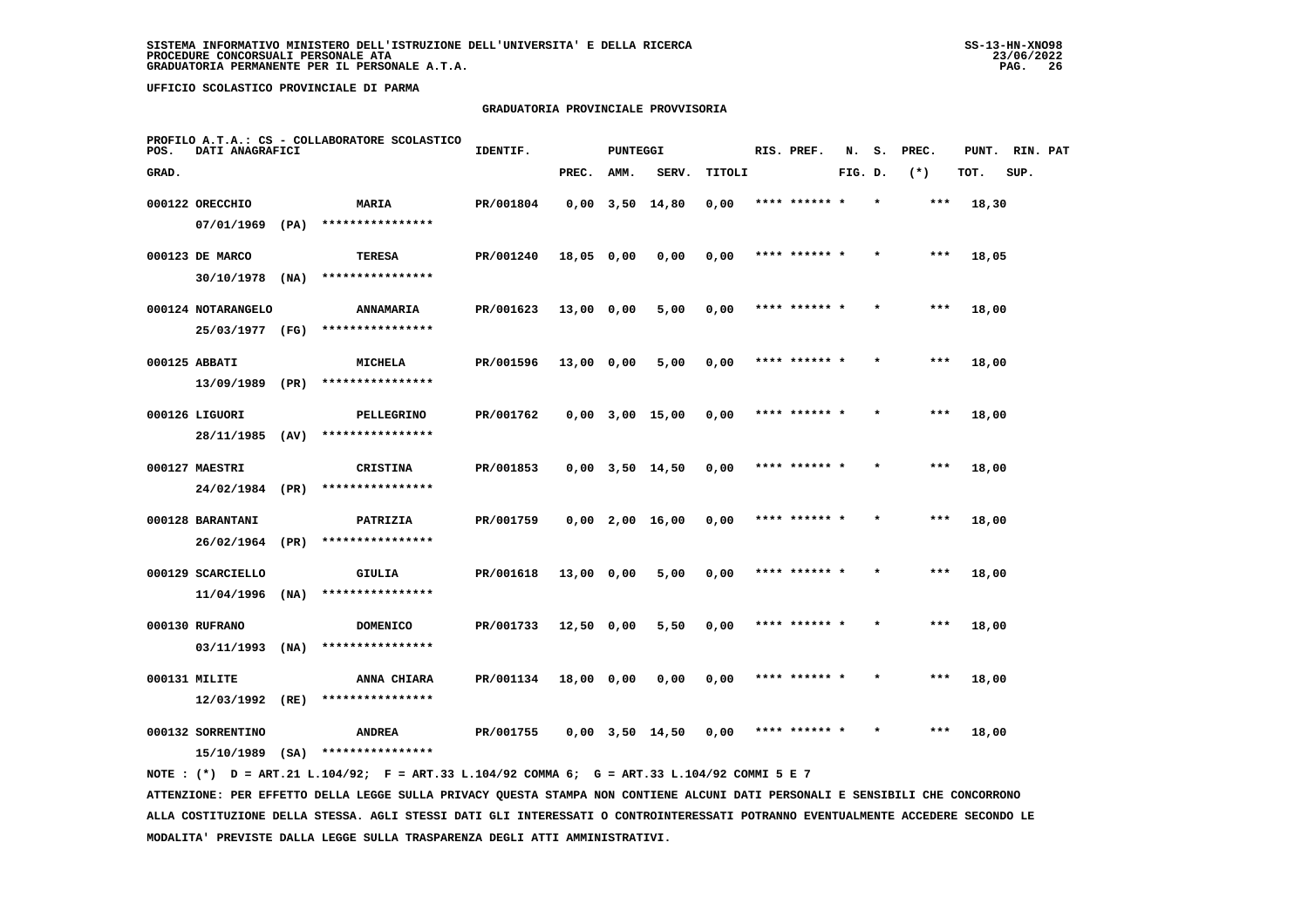#### **GRADUATORIA PROVINCIALE PROVVISORIA**

| POS.  | DATI ANAGRAFICI    |      | PROFILO A.T.A.: CS - COLLABORATORE SCOLASTICO | IDENTIF.  |            | PUNTEGGI |                       |        | RIS. PREF.    | N.      |         | S. PREC. | PUNT. RIN. PAT |      |  |
|-------|--------------------|------|-----------------------------------------------|-----------|------------|----------|-----------------------|--------|---------------|---------|---------|----------|----------------|------|--|
| GRAD. |                    |      |                                               |           | PREC.      | AMM.     | SERV.                 | TITOLI |               | FIG. D. |         | $(*)$    | TOT.           | SUP. |  |
|       | 000122 ORECCHIO    |      | MARIA                                         | PR/001804 |            |          | $0,00$ $3,50$ $14,80$ | 0,00   | **** ******   |         |         | ***      | 18,30          |      |  |
|       | $07/01/1969$ (PA)  |      | ****************                              |           |            |          |                       |        |               |         |         |          |                |      |  |
|       | 000123 DE MARCO    |      | <b>TERESA</b>                                 | PR/001240 | 18,05 0,00 |          | 0,00                  | 0,00   | **** ****** * |         |         | $***$    | 18,05          |      |  |
|       | $30/10/1978$ (NA)  |      | ****************                              |           |            |          |                       |        |               |         |         |          |                |      |  |
|       | 000124 NOTARANGELO |      | <b>ANNAMARIA</b>                              | PR/001623 | 13,00 0,00 |          | 5,00                  | 0,00   | **** ****** * |         | $\star$ | $***$    | 18,00          |      |  |
|       | 25/03/1977         | (FG) | ****************                              |           |            |          |                       |        |               |         |         |          |                |      |  |
|       | 000125 ABBATI      |      | <b>MICHELA</b>                                | PR/001596 | 13,00 0,00 |          | 5,00                  | 0,00   | **** ****** * |         |         | $***$    | 18,00          |      |  |
|       | 13/09/1989 (PR)    |      | ****************                              |           |            |          |                       |        |               |         |         |          |                |      |  |
|       | 000126 LIGUORI     |      | PELLEGRINO                                    | PR/001762 |            |          | $0,00$ $3,00$ $15,00$ | 0,00   | **** ****** * |         |         | $***$    | 18,00          |      |  |
|       | 28/11/1985 (AV)    |      | ****************                              |           |            |          |                       |        |               |         |         |          |                |      |  |
|       | 000127 MAESTRI     |      | <b>CRISTINA</b>                               | PR/001853 |            |          | $0,00$ $3,50$ $14,50$ | 0,00   | **** ****** * |         |         | $***$    | 18,00          |      |  |
|       | 24/02/1984 (PR)    |      | ****************                              |           |            |          |                       |        |               |         |         |          |                |      |  |
|       | 000128 BARANTANI   |      | PATRIZIA                                      | PR/001759 |            |          | $0,00$ 2,00 16,00     | 0,00   | **** ******   |         |         | $***$    | 18,00          |      |  |
|       | 26/02/1964         | (PR) | ****************                              |           |            |          |                       |        |               |         |         |          |                |      |  |
|       | 000129 SCARCIELLO  |      | <b>GIULIA</b>                                 | PR/001618 | 13,00 0,00 |          | 5,00                  | 0,00   | **** ****** * |         |         | $***$    | 18,00          |      |  |
|       | 11/04/1996         | (NA) | ****************                              |           |            |          |                       |        |               |         |         |          |                |      |  |
|       | 000130 RUFRANO     |      | <b>DOMENICO</b>                               | PR/001733 | 12,50 0,00 |          | 5,50                  | 0,00   | **** ****** * |         |         | $***$    | 18,00          |      |  |
|       | 03/11/1993         | (NA) | ****************                              |           |            |          |                       |        |               |         |         |          |                |      |  |
|       | 000131 MILITE      |      | ANNA CHIARA                                   | PR/001134 | 18,00 0,00 |          | 0,00                  | 0,00   | **** ****** * |         |         | $***$    | 18,00          |      |  |
|       | $12/03/1992$ (RE)  |      | ****************                              |           |            |          |                       |        |               |         |         |          |                |      |  |
|       | 000132 SORRENTINO  |      | ANDREA                                        | PR/001755 |            |          | 0,00 3,50 14,50       | 0,00   |               |         |         | ***      | 18,00          |      |  |
|       | 15/10/1989         | (SA) | ****************                              |           |            |          |                       |        |               |         |         |          |                |      |  |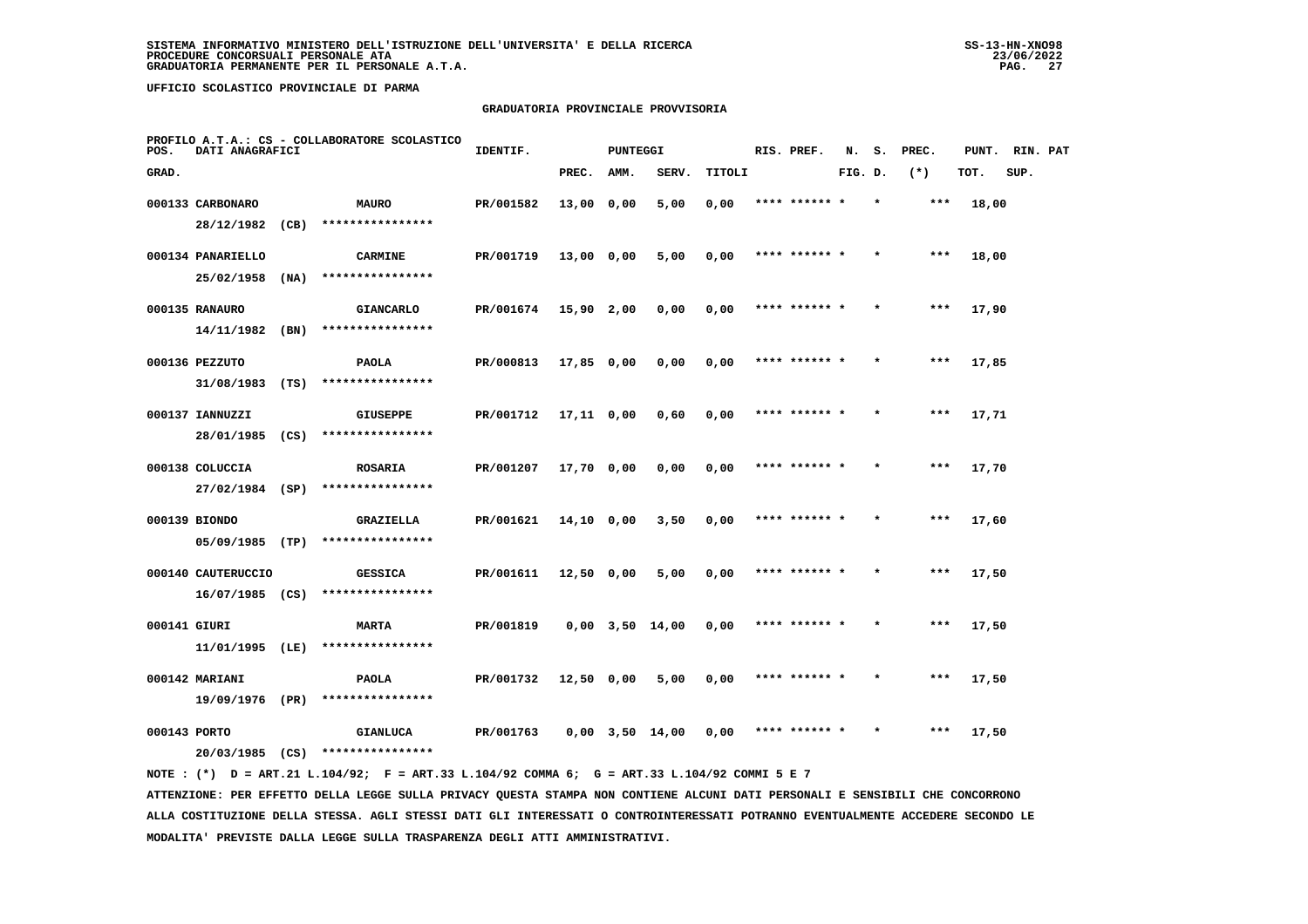#### **GRADUATORIA PROVINCIALE PROVVISORIA**

| POS.         | DATI ANAGRAFICI    |      | PROFILO A.T.A.: CS - COLLABORATORE SCOLASTICO | IDENTIF.  |              | <b>PUNTEGGI</b> |                       |        | RIS. PREF.    | N.      | s.      | PREC.  | PUNT. | RIN. PAT |  |
|--------------|--------------------|------|-----------------------------------------------|-----------|--------------|-----------------|-----------------------|--------|---------------|---------|---------|--------|-------|----------|--|
| GRAD.        |                    |      |                                               |           | PREC.        | AMM.            | SERV.                 | TITOLI |               | FIG. D. |         | $(* )$ | TOT.  | SUP.     |  |
|              | 000133 CARBONARO   |      | <b>MAURO</b>                                  | PR/001582 | 13,00 0,00   |                 | 5,00                  | 0,00   |               |         |         |        | 18,00 |          |  |
|              | 28/12/1982         | (CB) | ****************                              |           |              |                 |                       |        |               |         |         |        |       |          |  |
|              | 000134 PANARIELLO  |      | <b>CARMINE</b>                                | PR/001719 | 13,00 0,00   |                 | 5,00                  | 0,00   | **** ****** * |         |         | $***$  | 18,00 |          |  |
|              | 25/02/1958         | (NA) | ****************                              |           |              |                 |                       |        |               |         |         |        |       |          |  |
|              | 000135 RANAURO     |      | <b>GIANCARLO</b>                              | PR/001674 | 15,90 2,00   |                 | 0,00                  | 0,00   | **** ****** * |         | $\star$ | $***$  | 17,90 |          |  |
|              | 14/11/1982         | (BN) | ****************                              |           |              |                 |                       |        |               |         |         |        |       |          |  |
|              | 000136 PEZZUTO     |      | <b>PAOLA</b>                                  | PR/000813 | $17,85$ 0,00 |                 | 0,00                  | 0,00   | **** ****** * |         |         | $***$  | 17,85 |          |  |
|              | $31/08/1983$ (TS)  |      | ****************                              |           |              |                 |                       |        |               |         |         |        |       |          |  |
|              | 000137 IANNUZZI    |      | <b>GIUSEPPE</b>                               | PR/001712 | 17,11 0,00   |                 | 0,60                  | 0,00   | **** ****** * |         |         | $***$  | 17,71 |          |  |
|              | 28/01/1985         | (CS) | ****************                              |           |              |                 |                       |        |               |         |         |        |       |          |  |
|              | 000138 COLUCCIA    |      | <b>ROSARIA</b>                                | PR/001207 | 17,70 0,00   |                 | 0.00                  | 0,00   | **** ****** * |         |         | $***$  | 17,70 |          |  |
|              | 27/02/1984 (SP)    |      | ****************                              |           |              |                 |                       |        |               |         |         |        |       |          |  |
|              | 000139 BIONDO      |      | GRAZIELLA                                     | PR/001621 | 14,10 0,00   |                 | 3,50                  | 0,00   | **** ****** * |         |         | $***$  | 17,60 |          |  |
|              | $05/09/1985$ (TP)  |      | ****************                              |           |              |                 |                       |        |               |         |         |        |       |          |  |
|              | 000140 CAUTERUCCIO |      | <b>GESSICA</b>                                | PR/001611 | $12,50$ 0,00 |                 | 5,00                  | 0,00   | **** ****** * |         |         | ***    | 17,50 |          |  |
|              | $16/07/1985$ (CS)  |      | ****************                              |           |              |                 |                       |        |               |         |         |        |       |          |  |
| 000141 GIURI |                    |      | <b>MARTA</b>                                  | PR/001819 |              |                 | $0,00$ $3,50$ $14,00$ | 0,00   | **** ****** * |         |         | $***$  | 17,50 |          |  |
|              | 11/01/1995         | (LE) | ****************                              |           |              |                 |                       |        |               |         |         |        |       |          |  |
|              | 000142 MARIANI     |      | <b>PAOLA</b>                                  | PR/001732 | 12,50 0,00   |                 | 5,00                  | 0,00   | **** ****** * |         |         | $***$  | 17,50 |          |  |
|              | 19/09/1976 (PR)    |      | ****************                              |           |              |                 |                       |        |               |         |         |        |       |          |  |
| 000143 PORTO |                    |      | <b>GIANLUCA</b>                               | PR/001763 |              |                 | $0,00$ $3,50$ $14,00$ | 0,00   | **** ****** * |         |         | ***    | 17,50 |          |  |
|              | $20/03/1985$ (CS)  |      | ****************                              |           |              |                 |                       |        |               |         |         |        |       |          |  |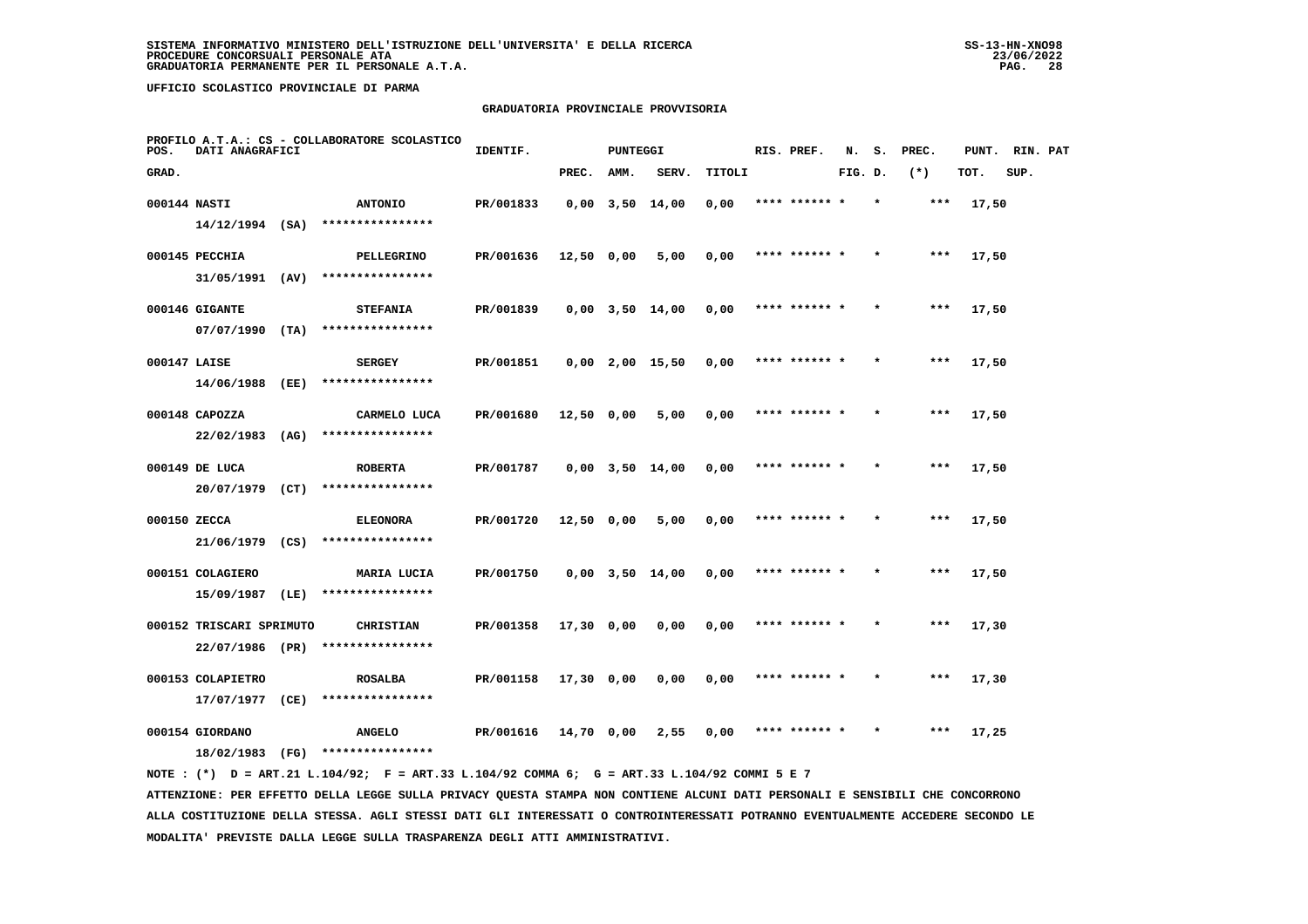## **GRADUATORIA PROVINCIALE PROVVISORIA**

| POS.         | DATI ANAGRAFICI                             |      | PROFILO A.T.A.: CS - COLLABORATORE SCOLASTICO | IDENTIF.  |            | <b>PUNTEGGI</b> |                       |        | RIS. PREF.    | N.      | s.      | PREC. | PUNT. | RIN. PAT |  |
|--------------|---------------------------------------------|------|-----------------------------------------------|-----------|------------|-----------------|-----------------------|--------|---------------|---------|---------|-------|-------|----------|--|
| GRAD.        |                                             |      |                                               |           | PREC.      | AMM.            | SERV.                 | TITOLI |               | FIG. D. |         | $(*)$ | TOT.  | SUP.     |  |
| 000144 NASTI |                                             |      | <b>ANTONIO</b>                                | PR/001833 |            |                 | $0,00$ $3,50$ $14,00$ | 0,00   | **** ****** * |         | $\star$ | $***$ | 17,50 |          |  |
|              | $14/12/1994$ (SA)                           |      | ****************                              |           |            |                 |                       |        |               |         |         |       |       |          |  |
|              | 000145 PECCHIA                              |      | PELLEGRINO                                    | PR/001636 | 12,50 0,00 |                 | 5,00                  | 0,00   | **** ****** * |         |         | $***$ | 17,50 |          |  |
|              | 31/05/1991 (AV)                             |      | ****************                              |           |            |                 |                       |        |               |         |         |       |       |          |  |
|              | 000146 GIGANTE                              |      | <b>STEFANIA</b>                               | PR/001839 |            |                 | $0,00$ $3,50$ $14,00$ | 0,00   | **** ****** * |         |         | $***$ | 17,50 |          |  |
|              | 07/07/1990                                  | (TA) | ****************                              |           |            |                 |                       |        |               |         |         |       |       |          |  |
| 000147 LAISE |                                             |      | <b>SERGEY</b>                                 | PR/001851 |            |                 | $0,00$ 2,00 15,50     | 0,00   | **** ****** * |         |         | $***$ | 17,50 |          |  |
|              | 14/06/1988 (EE)                             |      | ****************                              |           |            |                 |                       |        |               |         |         |       |       |          |  |
|              | 000148 CAPOZZA                              |      | CARMELO LUCA                                  | PR/001680 | 12,50 0,00 |                 | 5,00                  | 0,00   | **** ****** * |         |         | $***$ | 17,50 |          |  |
|              | $22/02/1983$ (AG)                           |      | ****************                              |           |            |                 |                       |        |               |         |         |       |       |          |  |
|              | 000149 DE LUCA                              |      | <b>ROBERTA</b>                                | PR/001787 |            |                 | 0,00 3,50 14,00       | 0,00   | **** ****** * |         |         | ***   | 17,50 |          |  |
|              | 20/07/1979 (CT)                             |      | ****************                              |           |            |                 |                       |        |               |         |         |       |       |          |  |
| 000150 ZECCA |                                             |      | <b>ELEONORA</b>                               | PR/001720 | 12,50 0,00 |                 | 5,00                  | 0,00   | **** ****** * |         |         | ***   | 17,50 |          |  |
|              | 21/06/1979 (CS)                             |      | ****************                              |           |            |                 |                       |        |               |         |         |       |       |          |  |
|              | 000151 COLAGIERO                            |      | MARIA LUCIA<br>****************               | PR/001750 |            |                 | $0,00$ $3,50$ $14,00$ | 0,00   | **** ****** * |         |         | ***   | 17,50 |          |  |
|              | 15/09/1987                                  | (LE) |                                               |           |            |                 |                       |        |               |         |         |       |       |          |  |
|              | 000152 TRISCARI SPRIMUTO<br>22/07/1986 (PR) |      | <b>CHRISTIAN</b><br>****************          | PR/001358 | 17,30 0,00 |                 | 0,00                  | 0,00   | **** ****** * |         | $\star$ | $***$ | 17,30 |          |  |
|              |                                             |      |                                               |           |            |                 |                       |        |               |         |         |       |       |          |  |
|              | 000153 COLAPIETRO<br>17/07/1977             | (CE) | <b>ROSALBA</b><br>****************            | PR/001158 | 17,30 0,00 |                 | 0,00                  | 0,00   | **** ****** * |         |         | ***   | 17,30 |          |  |
|              |                                             |      |                                               |           |            |                 |                       |        |               |         |         |       |       |          |  |
|              | 000154 GIORDANO<br>18/02/1983               | (FG) | <b>ANGELO</b><br>****************             | PR/001616 | 14,70 0,00 |                 | 2,55                  | 0.00   | **** ****** * |         |         | ***   | 17,25 |          |  |
|              |                                             |      |                                               |           |            |                 |                       |        |               |         |         |       |       |          |  |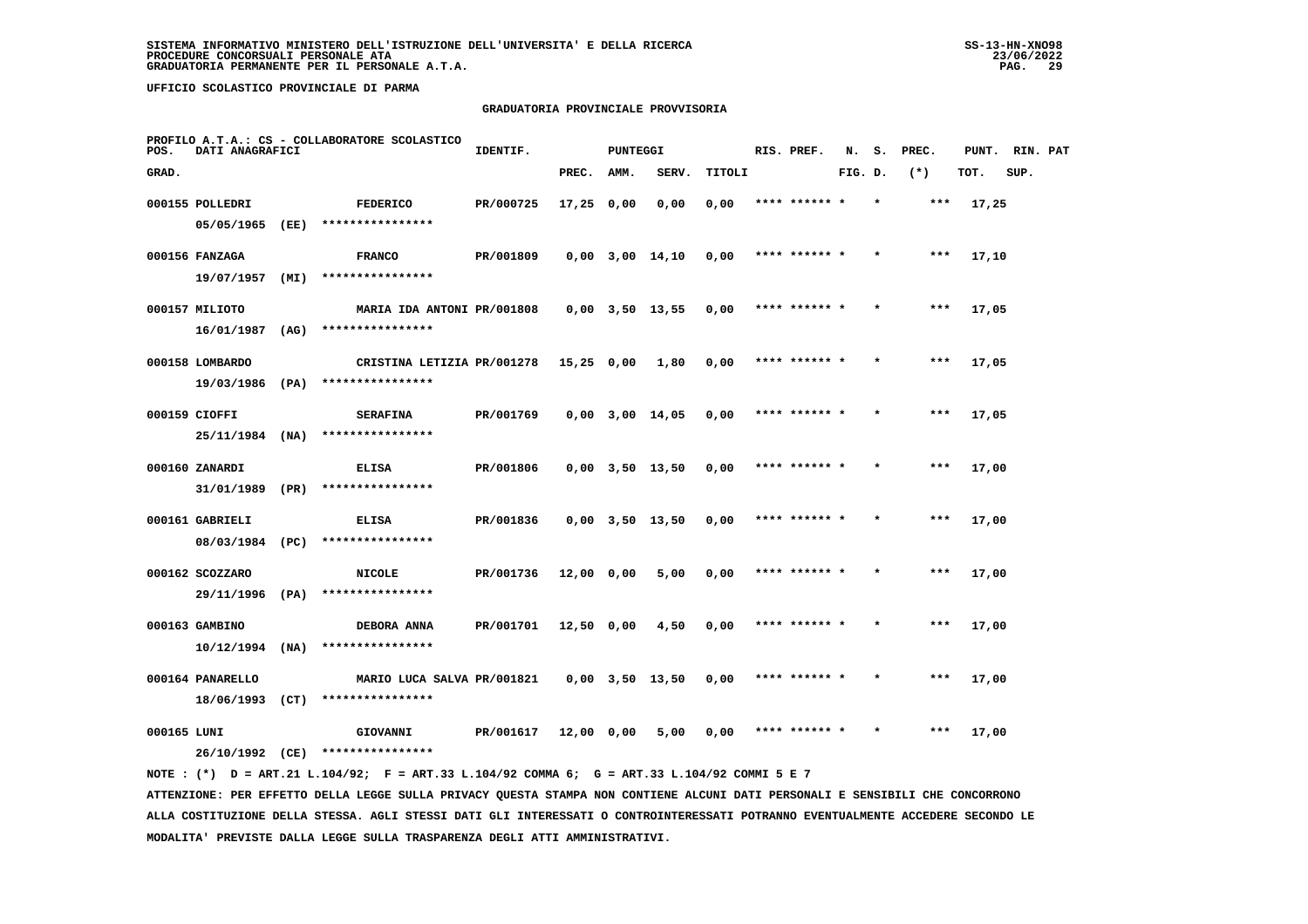#### **GRADUATORIA PROVINCIALE PROVVISORIA**

| POS.        | DATI ANAGRAFICI                   |      | PROFILO A.T.A.: CS - COLLABORATORE SCOLASTICO | IDENTIF.  |              | <b>PUNTEGGI</b> |                       |        | RIS. PREF.    | N.      | s.      | PREC. | PUNT. | RIN. PAT |  |
|-------------|-----------------------------------|------|-----------------------------------------------|-----------|--------------|-----------------|-----------------------|--------|---------------|---------|---------|-------|-------|----------|--|
| GRAD.       |                                   |      |                                               |           | PREC.        | AMM.            | SERV.                 | TITOLI |               | FIG. D. |         | $(*)$ | TOT.  | SUP.     |  |
|             | 000155 POLLEDRI                   |      | <b>FEDERICO</b>                               | PR/000725 | $17,25$ 0,00 |                 | 0.00                  | 0,00   | **** ****** * |         | $\star$ | ***   | 17,25 |          |  |
|             | 05/05/1965                        | (EE) | ****************                              |           |              |                 |                       |        |               |         |         |       |       |          |  |
|             | 000156 FANZAGA                    |      | <b>FRANCO</b>                                 | PR/001809 |              |                 | 0,00 3,00 14,10       | 0,00   | **** ****** * |         |         | ***   | 17,10 |          |  |
|             | 19/07/1957                        | (MI) | ****************                              |           |              |                 |                       |        |               |         |         |       |       |          |  |
|             | 000157 MILIOTO                    |      | MARIA IDA ANTONI PR/001808                    |           |              |                 | $0,00$ $3,50$ $13,55$ | 0,00   | **** ****** * |         |         | ***   | 17,05 |          |  |
|             | 16/01/1987                        | (AG) | ****************                              |           |              |                 |                       |        |               |         |         |       |       |          |  |
|             | 000158 LOMBARDO                   |      | CRISTINA LETIZIA PR/001278                    |           | $15,25$ 0,00 |                 | 1,80                  | 0,00   | **** ****** * |         |         | ***   | 17,05 |          |  |
|             | 19/03/1986                        | (PA) | ****************                              |           |              |                 |                       |        |               |         |         |       |       |          |  |
|             | 000159 CIOFFI<br>25/11/1984       | (NA) | <b>SERAFINA</b><br>****************           | PR/001769 |              |                 | $0,00$ $3,00$ $14,05$ | 0,00   | **** ****** * |         |         | ***   | 17,05 |          |  |
|             |                                   |      |                                               |           |              |                 |                       |        |               |         |         |       |       |          |  |
|             | 000160 ZANARDI<br>31/01/1989 (PR) |      | ELISA<br>****************                     | PR/001806 |              |                 | $0,00$ $3,50$ $13,50$ | 0,00   | **** ****** * |         |         | $***$ | 17,00 |          |  |
|             | 000161 GABRIELI                   |      | ELISA                                         | PR/001836 |              |                 | $0,00$ $3,50$ $13,50$ |        | **** ****** * |         |         | ***   | 17,00 |          |  |
|             | 08/03/1984 (PC)                   |      | ****************                              |           |              |                 |                       | 0,00   |               |         |         |       |       |          |  |
|             | 000162 SCOZZARO                   |      | <b>NICOLE</b>                                 | PR/001736 | 12,00 0,00   |                 | 5,00                  | 0,00   |               |         |         | ***   | 17,00 |          |  |
|             | 29/11/1996 (PA)                   |      | ****************                              |           |              |                 |                       |        |               |         |         |       |       |          |  |
|             | 000163 GAMBINO                    |      | DEBORA ANNA                                   | PR/001701 | 12,50 0,00   |                 | 4,50                  | 0,00   | **** ****** * |         |         | $***$ | 17,00 |          |  |
|             | 10/12/1994                        | (NA) | ****************                              |           |              |                 |                       |        |               |         |         |       |       |          |  |
|             | 000164 PANARELLO                  |      | MARIO LUCA SALVA PR/001821                    |           |              |                 | $0,00$ $3,50$ $13,50$ | 0,00   | **** ****** * |         |         | ***   | 17,00 |          |  |
|             | 18/06/1993                        | (CT) | ****************                              |           |              |                 |                       |        |               |         |         |       |       |          |  |
| 000165 LUNI |                                   |      | GIOVANNI                                      | PR/001617 | 12,00 0,00   |                 | 5,00                  | 0,00   | **** ****** * |         |         | ***   | 17,00 |          |  |
|             | 26/10/1992 (CE)                   |      | ****************                              |           |              |                 |                       |        |               |         |         |       |       |          |  |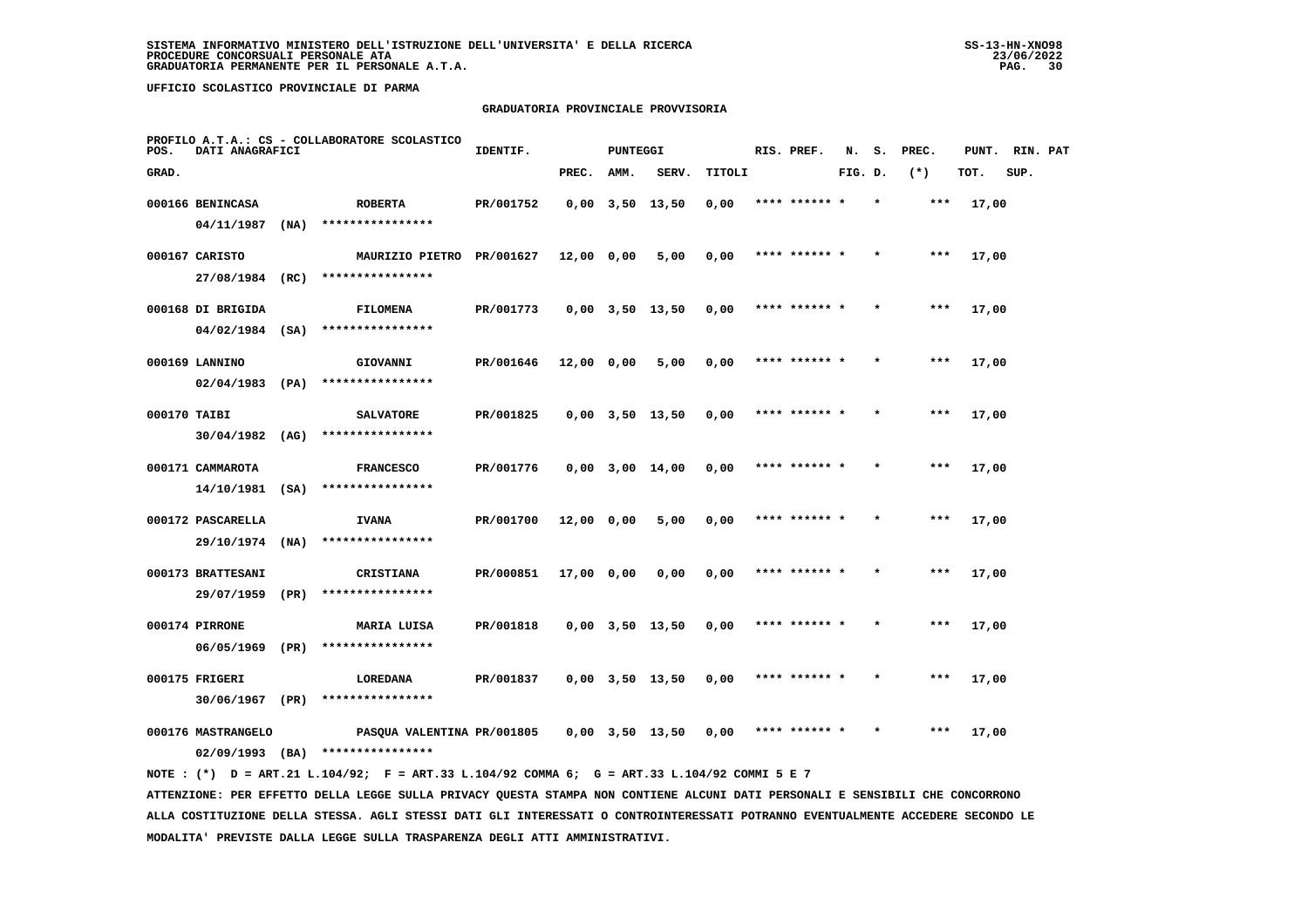## **GRADUATORIA PROVINCIALE PROVVISORIA**

| POS.         | DATI ANAGRAFICI    |      | PROFILO A.T.A.: CS - COLLABORATORE SCOLASTICO | IDENTIF.  |              | <b>PUNTEGGI</b> |                       |        | RIS. PREF.    | N.      | s. | PREC. | PUNT. | RIN. PAT |  |
|--------------|--------------------|------|-----------------------------------------------|-----------|--------------|-----------------|-----------------------|--------|---------------|---------|----|-------|-------|----------|--|
| GRAD.        |                    |      |                                               |           | PREC.        | AMM.            | SERV.                 | TITOLI |               | FIG. D. |    | $(*)$ | TOT.  | SUP.     |  |
|              | 000166 BENINCASA   |      | <b>ROBERTA</b>                                | PR/001752 |              |                 | $0,00$ $3,50$ $13,50$ | 0,00   | **** ****** * |         |    | ***   | 17,00 |          |  |
|              | 04/11/1987         | (MA) | ****************                              |           |              |                 |                       |        |               |         |    |       |       |          |  |
|              | 000167 CARISTO     |      | MAURIZIO PIETRO PR/001627                     |           | $12,00$ 0,00 |                 | 5,00                  | 0,00   | **** ****** * |         |    | $***$ | 17,00 |          |  |
|              | 27/08/1984 (RC)    |      | ****************                              |           |              |                 |                       |        |               |         |    |       |       |          |  |
|              | 000168 DI BRIGIDA  |      | <b>FILOMENA</b>                               | PR/001773 |              |                 | $0,00$ $3,50$ $13,50$ | 0,00   | **** ****** * |         |    | $***$ | 17,00 |          |  |
|              | $04/02/1984$ (SA)  |      | ****************                              |           |              |                 |                       |        |               |         |    |       |       |          |  |
|              | 000169 LANNINO     |      | GIOVANNI                                      | PR/001646 | $12,00$ 0,00 |                 | 5,00                  | 0,00   | **** ****** * |         |    | ***   | 17,00 |          |  |
|              | 02/04/1983         | (PA) | ****************                              |           |              |                 |                       |        |               |         |    |       |       |          |  |
| 000170 TAIBI |                    |      | <b>SALVATORE</b>                              | PR/001825 |              |                 | $0,00$ $3,50$ $13,50$ | 0,00   | **** ****** * |         |    | ***   | 17,00 |          |  |
|              | 30/04/1982         | (AG) | ****************                              |           |              |                 |                       |        |               |         |    |       |       |          |  |
|              | 000171 CAMMAROTA   |      | <b>FRANCESCO</b>                              | PR/001776 |              |                 | $0,00$ 3,00 14,00     | 0,00   | **** ****** * |         |    | ***   | 17,00 |          |  |
|              | $14/10/1981$ (SA)  |      | ****************                              |           |              |                 |                       |        |               |         |    |       |       |          |  |
|              | 000172 PASCARELLA  |      | <b>IVANA</b>                                  | PR/001700 | 12,00 0,00   |                 | 5,00                  | 0,00   | **** ****** * |         |    | $***$ | 17,00 |          |  |
|              | 29/10/1974 (NA)    |      | ****************                              |           |              |                 |                       |        |               |         |    |       |       |          |  |
|              | 000173 BRATTESANI  |      | <b>CRISTIANA</b>                              | PR/000851 | 17,00 0,00   |                 | 0,00                  | 0,00   | **** ******   |         |    | ***   | 17,00 |          |  |
|              | 29/07/1959         | (PR) | ****************                              |           |              |                 |                       |        |               |         |    |       |       |          |  |
|              | 000174 PIRRONE     |      | MARIA LUISA                                   | PR/001818 |              |                 | $0,00$ $3,50$ $13,50$ | 0,00   | **** ****** * |         |    | $***$ | 17,00 |          |  |
|              | 06/05/1969         | (PR) | ****************                              |           |              |                 |                       |        |               |         |    |       |       |          |  |
|              | 000175 FRIGERI     |      | LOREDANA                                      | PR/001837 |              |                 | $0,00$ $3,50$ $13,50$ | 0,00   | **** ****** * |         |    | ***   | 17,00 |          |  |
|              | 30/06/1967         | (PR) | ****************                              |           |              |                 |                       |        |               |         |    |       |       |          |  |
|              | 000176 MASTRANGELO |      | PASQUA VALENTINA PR/001805                    |           |              |                 | $0,00$ $3,50$ $13,50$ | 0,00   | **** ****** * |         |    | ***   | 17,00 |          |  |
|              | $02/09/1993$ (BA)  |      | ****************                              |           |              |                 |                       |        |               |         |    |       |       |          |  |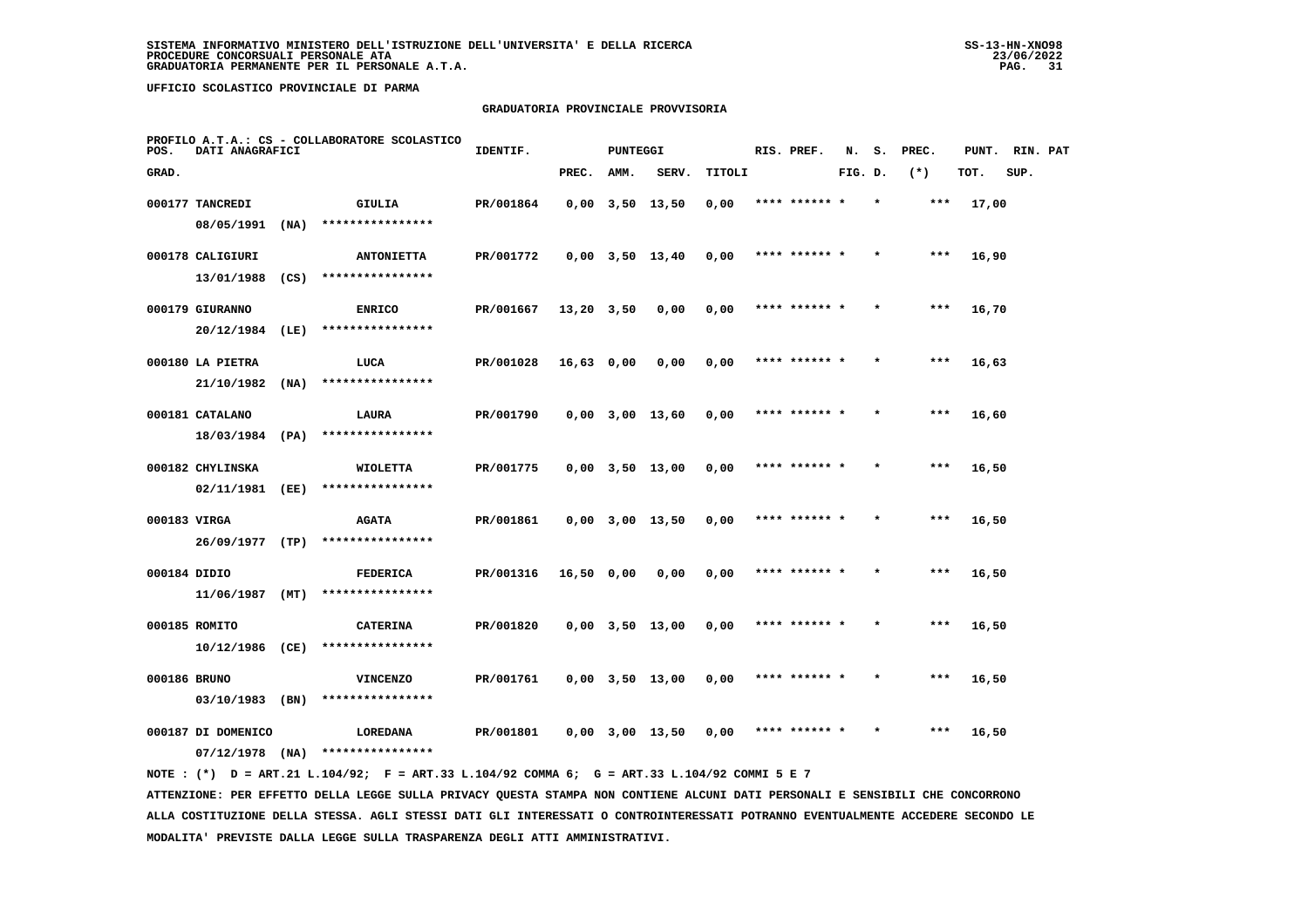## **GRADUATORIA PROVINCIALE PROVVISORIA**

| POS.         | DATI ANAGRAFICI    |      | PROFILO A.T.A.: CS - COLLABORATORE SCOLASTICO | IDENTIF.  |                | <b>PUNTEGGI</b> |                       |        | RIS. PREF.    | N.      | s. | PREC. | PUNT. | RIN. PAT |  |
|--------------|--------------------|------|-----------------------------------------------|-----------|----------------|-----------------|-----------------------|--------|---------------|---------|----|-------|-------|----------|--|
| GRAD.        |                    |      |                                               |           | PREC.          | AMM.            | SERV.                 | TITOLI |               | FIG. D. |    | $(*)$ | TOT.  | SUP.     |  |
|              | 000177 TANCREDI    |      | GIULIA                                        | PR/001864 |                |                 | $0,00$ $3,50$ $13,50$ | 0,00   | **** ****** * |         |    | ***   | 17,00 |          |  |
|              | 08/05/1991         | (NA) | ****************                              |           |                |                 |                       |        |               |         |    |       |       |          |  |
|              | 000178 CALIGIURI   |      | <b>ANTONIETTA</b>                             | PR/001772 |                |                 | $0,00$ $3,50$ $13,40$ | 0,00   | **** ****** * |         |    | $***$ | 16,90 |          |  |
|              | 13/01/1988         | (CS) | ****************                              |           |                |                 |                       |        |               |         |    |       |       |          |  |
|              | 000179 GIURANNO    |      | <b>ENRICO</b>                                 | PR/001667 | $13,20$ $3,50$ |                 | 0,00                  | 0,00   | **** ****** * |         |    | ***   | 16,70 |          |  |
|              | 20/12/1984         | (LE) | ****************                              |           |                |                 |                       |        |               |         |    |       |       |          |  |
|              | 000180 LA PIETRA   |      | LUCA                                          | PR/001028 | 16,63 0,00     |                 | 0,00                  | 0,00   | **** ****** * |         |    | ***   | 16,63 |          |  |
|              | 21/10/1982         | (NA) | ****************                              |           |                |                 |                       |        |               |         |    |       |       |          |  |
|              | 000181 CATALANO    |      | LAURA                                         | PR/001790 |                |                 | $0,00$ 3,00 13,60     | 0,00   | **** ****** * |         |    | ***   | 16,60 |          |  |
|              | 18/03/1984 (PA)    |      | ****************                              |           |                |                 |                       |        |               |         |    |       |       |          |  |
|              | 000182 CHYLINSKA   |      | <b>WIOLETTA</b>                               | PR/001775 |                |                 | $0,00$ $3,50$ $13,00$ | 0,00   | **** ****** * |         |    | $***$ | 16,50 |          |  |
|              | 02/11/1981         | (EE) | ****************                              |           |                |                 |                       |        |               |         |    |       |       |          |  |
| 000183 VIRGA |                    |      | <b>AGATA</b>                                  | PR/001861 |                |                 | $0,00$ $3,00$ $13,50$ | 0,00   | **** ****** * |         |    | $***$ | 16,50 |          |  |
|              | 26/09/1977 (TP)    |      | ****************                              |           |                |                 |                       |        |               |         |    |       |       |          |  |
| 000184 DIDIO |                    |      | FEDERICA                                      | PR/001316 | 16,50 0,00     |                 | 0,00                  | 0,00   | **** ****** * |         |    | ***   | 16,50 |          |  |
|              | 11/06/1987 (MT)    |      | ****************                              |           |                |                 |                       |        |               |         |    |       |       |          |  |
|              | 000185 ROMITO      |      | <b>CATERINA</b>                               | PR/001820 |                |                 | $0,00$ $3,50$ $13,00$ | 0,00   | **** ****** * |         |    | $***$ | 16,50 |          |  |
|              | 10/12/1986 (CE)    |      | ****************                              |           |                |                 |                       |        |               |         |    |       |       |          |  |
| 000186 BRUNO |                    |      | <b>VINCENZO</b>                               | PR/001761 |                |                 | $0,00$ $3,50$ $13,00$ | 0,00   | **** ****** * |         |    | ***   | 16,50 |          |  |
|              | 03/10/1983 (BN)    |      | ****************                              |           |                |                 |                       |        |               |         |    |       |       |          |  |
|              | 000187 DI DOMENICO |      | <b>LOREDANA</b>                               | PR/001801 |                |                 | $0,00$ $3,00$ $13,50$ | 0,00   | **** ****** * |         |    | ***   | 16,50 |          |  |
|              | $07/12/1978$ (NA)  |      | ****************                              |           |                |                 |                       |        |               |         |    |       |       |          |  |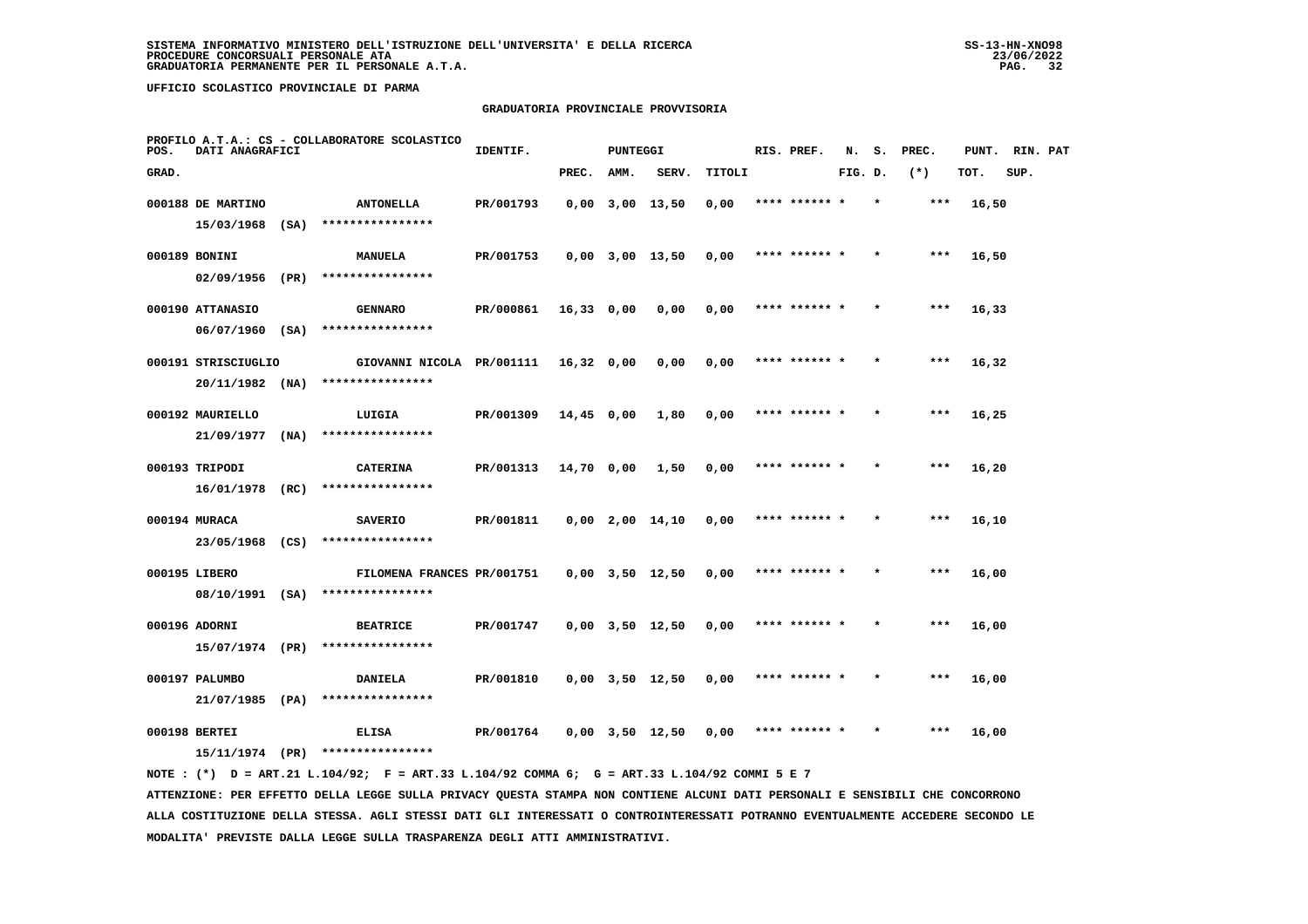## **GRADUATORIA PROVINCIALE PROVVISORIA**

| POS.  | DATI ANAGRAFICI                          |      | PROFILO A.T.A.: CS - COLLABORATORE SCOLASTICO | IDENTIF.  |              | <b>PUNTEGGI</b> |                       |        | RIS. PREF.    | N.      | s. | PREC. | PUNT. | RIN. PAT |  |
|-------|------------------------------------------|------|-----------------------------------------------|-----------|--------------|-----------------|-----------------------|--------|---------------|---------|----|-------|-------|----------|--|
| GRAD. |                                          |      |                                               |           | PREC.        | AMM.            | SERV.                 | TITOLI |               | FIG. D. |    | $(*)$ | TOT.  | SUP.     |  |
|       | 000188 DE MARTINO                        |      | <b>ANTONELLA</b><br>****************          | PR/001793 |              |                 | $0,00$ $3,00$ $13,50$ | 0,00   | **** ****** * |         |    | ***   | 16,50 |          |  |
|       | 15/03/1968 (SA)<br>000189 BONINI         |      | <b>MANUELA</b>                                | PR/001753 |              |                 | 0,00 3,00 13,50       | 0,00   | **** ****** * |         |    | $***$ | 16,50 |          |  |
|       | $02/09/1956$ (PR)                        |      | ****************                              |           |              |                 |                       |        |               |         |    |       |       |          |  |
|       | 000190 ATTANASIO                         |      | <b>GENNARO</b><br>****************            | PR/000861 | $16,33$ 0,00 |                 | 0,00                  | 0,00   | **** ****** * |         |    | ***   | 16,33 |          |  |
|       | $06/07/1960$ (SA)<br>000191 STRISCIUGLIO |      | GIOVANNI NICOLA PR/001111 16,32 0,00          |           |              |                 | 0,00                  | 0,00   | **** ****** * |         |    | ***   | 16,32 |          |  |
|       | $20/11/1982$ (NA)                        |      | ****************                              |           |              |                 |                       |        |               |         |    |       |       |          |  |
|       | 000192 MAURIELLO<br>21/09/1977           |      | LUIGIA<br>****************                    | PR/001309 | 14,45 0,00   |                 | 1,80                  | 0,00   | **** ****** * |         |    | ***   | 16,25 |          |  |
|       | 000193 TRIPODI                           | (NA) | <b>CATERINA</b>                               | PR/001313 | 14,70 0,00   |                 | 1,50                  | 0,00   | **** ****** * |         |    | $***$ | 16,20 |          |  |
|       | $16/01/1978$ (RC)                        |      | ****************                              |           |              |                 |                       |        |               |         |    |       |       |          |  |
|       | 000194 MURACA<br>23/05/1968 (CS)         |      | <b>SAVERIO</b><br>****************            | PR/001811 |              |                 | $0,00$ $2,00$ $14,10$ | 0,00   | **** ****** * |         |    | ***   | 16,10 |          |  |
|       | 000195 LIBERO                            |      | FILOMENA FRANCES PR/001751                    |           |              |                 | $0,00$ $3,50$ $12,50$ | 0,00   | **** ****** 1 |         |    | ***   | 16,00 |          |  |
|       |                                          |      | 08/10/1991 (SA) ****************              |           |              |                 |                       |        |               |         |    |       |       |          |  |
|       | 000196 ADORNI                            |      | <b>BEATRICE</b>                               | PR/001747 |              |                 | $0,00$ $3,50$ $12,50$ | 0,00   | **** ****** * |         |    | $***$ | 16,00 |          |  |
|       | 15/07/1974 (PR)                          |      | ****************                              |           |              |                 |                       |        | **** ****** * |         |    | $***$ |       |          |  |
|       | 000197 PALUMBO<br>21/07/1985 (PA)        |      | <b>DANIELA</b><br>****************            | PR/001810 |              |                 | $0,00$ $3,50$ $12,50$ | 0,00   |               |         |    |       | 16,00 |          |  |
|       | 000198 BERTEI                            |      | <b>ELISA</b>                                  | PR/001764 |              |                 | 0,00 3,50 12,50       | 0,00   | **** ****** * |         |    | ***   | 16,00 |          |  |
|       | 15/11/1974 (PR)                          |      | ****************                              |           |              |                 |                       |        |               |         |    |       |       |          |  |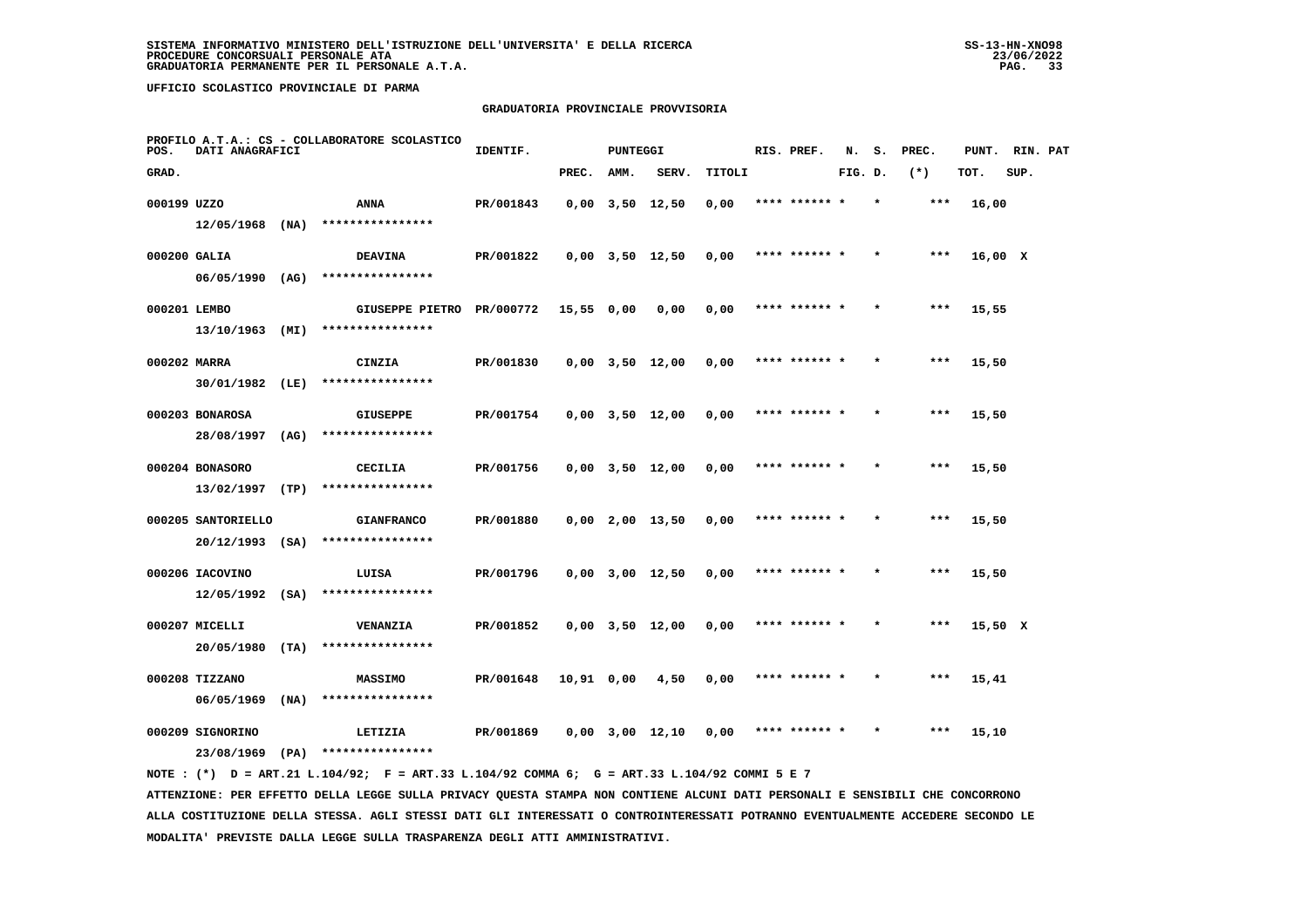#### **GRADUATORIA PROVINCIALE PROVVISORIA**

| POS.         | DATI ANAGRAFICI              |      | PROFILO A.T.A.: CS - COLLABORATORE SCOLASTICO | IDENTIF.  |            | <b>PUNTEGGI</b> |                       |        | RIS. PREF.    | N.      | s.      | PREC. | PUNT.   | RIN. PAT |  |
|--------------|------------------------------|------|-----------------------------------------------|-----------|------------|-----------------|-----------------------|--------|---------------|---------|---------|-------|---------|----------|--|
| GRAD.        |                              |      |                                               |           | PREC.      | AMM.            | SERV.                 | TITOLI |               | FIG. D. |         | $(*)$ | TOT.    | SUP.     |  |
| 000199 UZZO  |                              |      | ANNA                                          | PR/001843 |            |                 | $0,00$ $3,50$ $12,50$ | 0,00   | **** ****** * |         |         | ***   | 16,00   |          |  |
|              | $12/05/1968$ (NA)            |      | ****************                              |           |            |                 |                       |        |               |         |         |       |         |          |  |
| 000200 GALIA |                              |      | <b>DEAVINA</b>                                | PR/001822 |            |                 | $0,00$ $3,50$ $12,50$ | 0,00   | **** ****** * |         |         | $***$ | 16,00 X |          |  |
|              | 06/05/1990 (AG)              |      | ****************                              |           |            |                 |                       |        |               |         |         |       |         |          |  |
| 000201 LEMBO |                              |      | GIUSEPPE PIETRO PR/000772                     |           | 15,55 0,00 |                 | 0,00                  | 0,00   | **** ****** * |         |         | ***   | 15,55   |          |  |
|              | 13/10/1963                   | (MI) | ****************                              |           |            |                 |                       |        |               |         |         |       |         |          |  |
| 000202 MARRA |                              |      | CINZIA                                        | PR/001830 |            |                 | $0,00$ $3,50$ $12,00$ | 0,00   | **** ****** * |         |         | $***$ | 15,50   |          |  |
|              | 30/01/1982                   | (LE) | ****************                              |           |            |                 |                       |        |               |         |         |       |         |          |  |
|              | 000203 BONAROSA              |      | <b>GIUSEPPE</b>                               | PR/001754 |            |                 | $0,00$ $3,50$ $12,00$ | 0,00   | **** ****** * |         |         | $***$ | 15,50   |          |  |
|              | 28/08/1997                   | (AG) | ****************                              |           |            |                 |                       |        |               |         |         |       |         |          |  |
|              | 000204 BONASORO              |      | CECILIA                                       | PR/001756 |            |                 | $0,00$ $3,50$ $12,00$ | 0,00   | **** ****** * |         |         | $***$ | 15,50   |          |  |
|              | $13/02/1997$ (TP)            |      | ****************                              |           |            |                 |                       |        |               |         |         |       |         |          |  |
|              | 000205 SANTORIELLO           |      | <b>GIANFRANCO</b>                             | PR/001880 |            |                 | $0,00$ 2,00 13,50     | 0,00   | **** ****** * |         |         | $***$ | 15,50   |          |  |
|              | $20/12/1993$ (SA)            |      | ****************                              |           |            |                 |                       |        |               |         |         |       |         |          |  |
|              | 000206 IACOVINO              |      | LUISA                                         | PR/001796 |            |                 | $0,00$ $3,00$ $12,50$ | 0,00   | **** ******   |         |         | ***   | 15,50   |          |  |
|              | $12/05/1992$ (SA)            |      | ****************                              |           |            |                 |                       |        |               |         |         |       |         |          |  |
|              | 000207 MICELLI               |      | VENANZIA                                      | PR/001852 |            |                 | $0,00$ $3,50$ $12,00$ | 0,00   | **** ****** * |         |         | ***   | 15,50 X |          |  |
|              | 20/05/1980                   | (TA) | ****************                              |           |            |                 |                       |        |               |         |         |       |         |          |  |
|              |                              |      |                                               |           |            |                 |                       |        | **** ****** * |         | $\star$ | $***$ |         |          |  |
|              | 000208 TIZZANO<br>06/05/1969 | (NA) | <b>MASSIMO</b><br>****************            | PR/001648 | 10,91 0,00 |                 | 4,50                  | 0,00   |               |         |         |       | 15,41   |          |  |
|              |                              |      |                                               |           |            |                 |                       |        |               |         |         |       |         |          |  |
|              | 000209 SIGNORINO             |      | LETIZIA                                       | PR/001869 |            |                 | $0,00$ $3,00$ $12,10$ | 0,00   | **** ****** * |         |         | ***   | 15,10   |          |  |
|              | 23/08/1969                   | (PA) | ****************                              |           |            |                 |                       |        |               |         |         |       |         |          |  |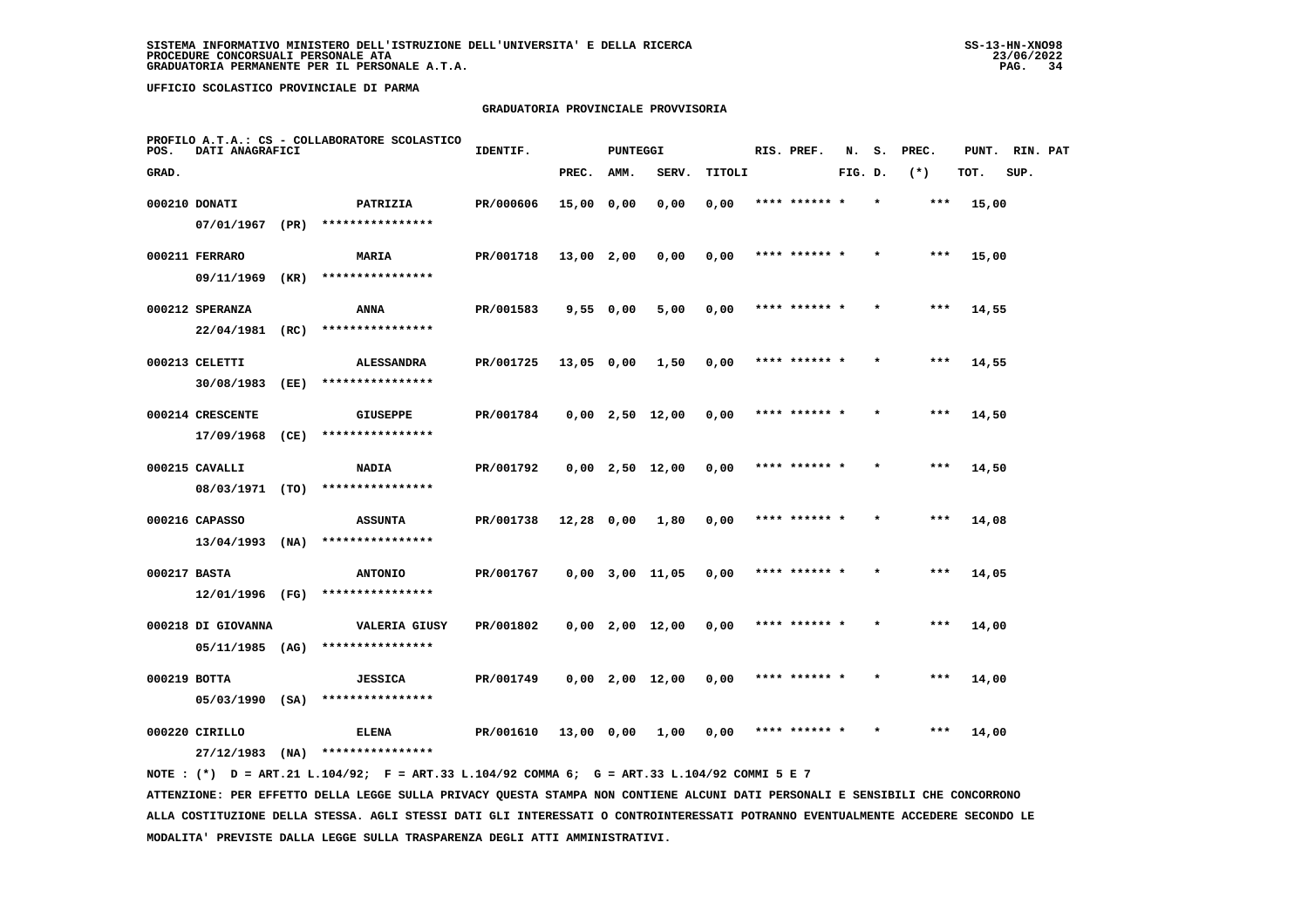#### **GRADUATORIA PROVINCIALE PROVVISORIA**

| POS.         | DATI ANAGRAFICI                       |      | PROFILO A.T.A.: CS - COLLABORATORE SCOLASTICO | IDENTIF.  |              | PUNTEGGI  |                   |        | RIS. PREF.    | N.      |         | S. PREC. |       | PUNT. RIN. PAT |  |
|--------------|---------------------------------------|------|-----------------------------------------------|-----------|--------------|-----------|-------------------|--------|---------------|---------|---------|----------|-------|----------------|--|
| GRAD.        |                                       |      |                                               |           | PREC.        | AMM.      | SERV.             | TITOLI |               | FIG. D. |         | $(*)$    | TOT.  | SUP.           |  |
|              | 000210 DONATI<br>07/01/1967 (PR)      |      | PATRIZIA<br>****************                  | PR/000606 | 15,00 0,00   |           | 0,00              | 0,00   | **** ****** * |         |         | $***$    | 15,00 |                |  |
|              | 000211 FERRARO                        |      | <b>MARIA</b><br>****************              | PR/001718 | $13,00$ 2,00 |           | 0,00              | 0,00   | **** ****** * |         |         | $***$    | 15,00 |                |  |
|              | 09/11/1969<br>000212 SPERANZA         | (KR) | ANNA                                          | PR/001583 |              | 9,55 0,00 | 5,00              | 0,00   | **** ****** * |         | $\star$ | $* * *$  | 14,55 |                |  |
|              | 22/04/1981<br>000213 CELETTI          | (RC) | ****************<br><b>ALESSANDRA</b>         | PR/001725 | 13,05 0,00   |           | 1,50              | 0,00   | **** ****** * |         |         | $***$    | 14,55 |                |  |
|              | 30/08/1983<br>000214 CRESCENTE        | (EE) | ****************<br><b>GIUSEPPE</b>           | PR/001784 |              |           | $0,00$ 2,50 12,00 | 0,00   | **** ****** * |         | $\star$ | $***$    | 14,50 |                |  |
|              | 17/09/1968<br>000215 CAVALLI          | (CE) | ****************<br><b>NADIA</b>              | PR/001792 |              |           | 0,00 2,50 12,00   | 0,00   | **** ****** * |         | $\star$ | ***      | 14,50 |                |  |
|              | 08/03/1971 (TO)                       |      | ****************                              |           |              |           |                   |        |               |         |         |          |       |                |  |
|              | 000216 CAPASSO<br>$13/04/1993$ (NA)   |      | <b>ASSUNTA</b><br>****************            | PR/001738 | 12,28 0,00   |           | 1,80              | 0,00   |               |         |         | ***      | 14,08 |                |  |
| 000217 BASTA | 12/01/1996 (FG)                       |      | <b>ANTONIO</b><br>****************            | PR/001767 |              |           | 0,00 3,00 11,05   | 0.00   | **** ****** * |         |         | $***$    | 14,05 |                |  |
|              | 000218 DI GIOVANNA<br>05/11/1985 (AG) |      | <b>VALERIA GIUSY</b><br>****************      | PR/001802 |              |           | $0,00$ 2,00 12,00 | 0,00   | **** ****** * |         | $\star$ | $***$    | 14,00 |                |  |
| 000219 BOTTA | $05/03/1990$ (SA)                     |      | <b>JESSICA</b><br>****************            | PR/001749 |              |           | $0,00$ 2,00 12,00 | 0,00   | **** ****** * |         |         | $***$    | 14,00 |                |  |
|              | 000220 CIRILLO                        |      | ELENA                                         | PR/001610 | 13,00 0,00   |           | 1,00              | 0.00   | **** ****** * |         |         | ***      | 14,00 |                |  |
|              | 27/12/1983                            | (NA) | ****************                              |           |              |           |                   |        |               |         |         |          |       |                |  |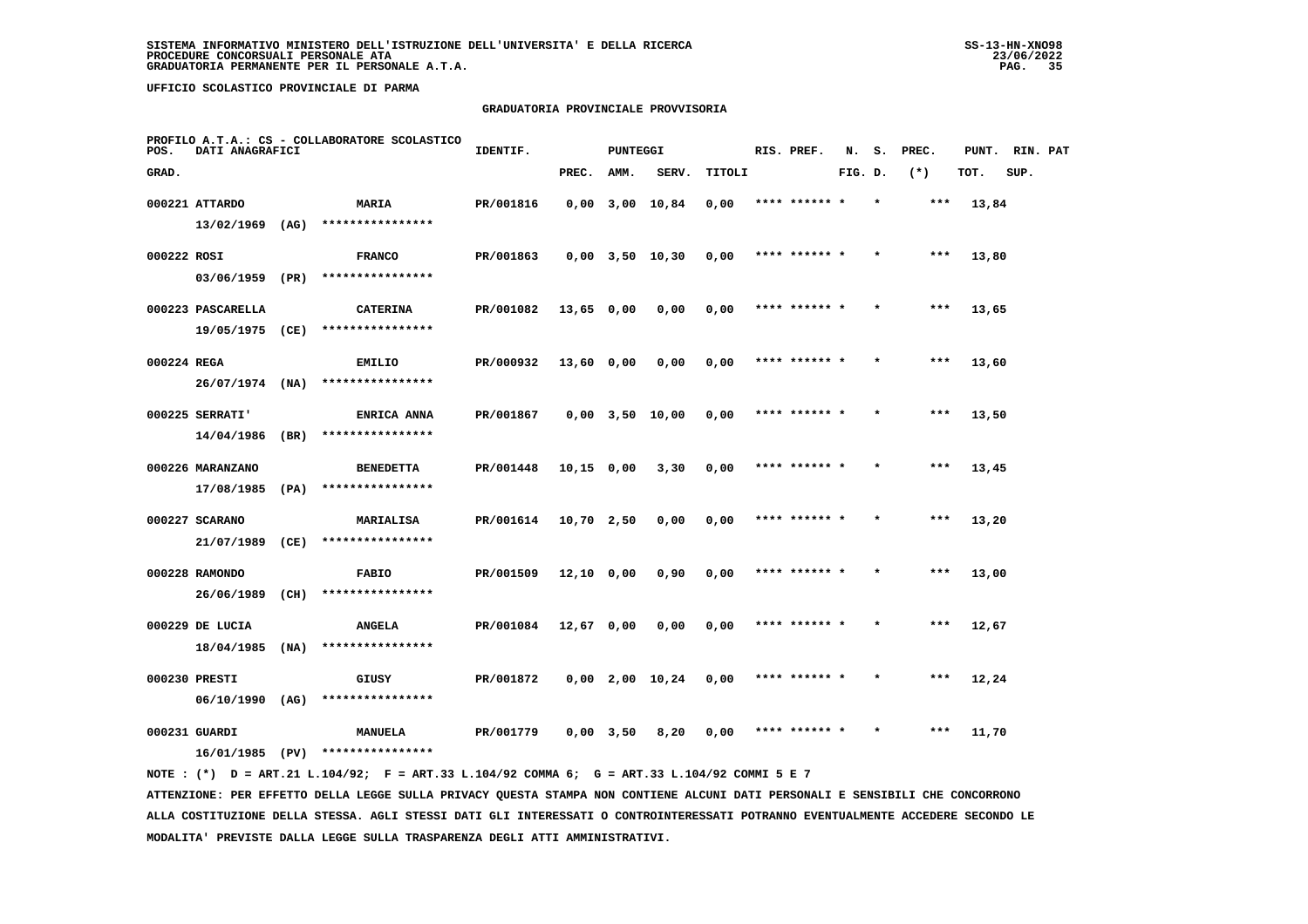#### **GRADUATORIA PROVINCIALE PROVVISORIA**

| POS.        | DATI ANAGRAFICI                  |      | PROFILO A.T.A.: CS - COLLABORATORE SCOLASTICO | IDENTIF.  |              | PUNTEGGI    |                       |        | RIS. PREF.    | N.      | s.      | PREC. | PUNT. | RIN. PAT |  |
|-------------|----------------------------------|------|-----------------------------------------------|-----------|--------------|-------------|-----------------------|--------|---------------|---------|---------|-------|-------|----------|--|
| GRAD.       |                                  |      |                                               |           | PREC.        | AMM.        | SERV.                 | TITOLI |               | FIG. D. |         | $(*)$ | TOT.  | SUP.     |  |
|             | 000221 ATTARDO                   |      | <b>MARIA</b>                                  | PR/001816 |              |             | $0,00$ $3,00$ $10,84$ | 0,00   | **** ****** * |         |         | ***   | 13,84 |          |  |
|             | $13/02/1969$ (AG)                |      | ****************                              |           |              |             |                       |        |               |         |         |       |       |          |  |
| 000222 ROSI |                                  |      | <b>FRANCO</b>                                 | PR/001863 |              |             | $0,00$ $3,50$ $10,30$ | 0,00   | **** ****** * |         |         | $***$ | 13,80 |          |  |
|             | 03/06/1959 (PR)                  |      | ****************                              |           |              |             |                       |        |               |         |         |       |       |          |  |
|             | 000223 PASCARELLA                |      | <b>CATERINA</b>                               | PR/001082 | $13,65$ 0,00 |             | 0,00                  | 0,00   | **** ****** * |         | $\star$ | ***   | 13,65 |          |  |
|             | 19/05/1975 (CE)                  |      | ****************                              |           |              |             |                       |        |               |         |         |       |       |          |  |
| 000224 REGA |                                  |      | EMILIO                                        | PR/000932 | 13,60 0,00   |             | 0,00                  | 0,00   | **** ****** * |         |         | $***$ | 13,60 |          |  |
|             | $26/07/1974$ (NA)                |      | ****************                              |           |              |             |                       |        |               |         |         |       |       |          |  |
|             | 000225 SERRATI'                  |      | ENRICA ANNA                                   | PR/001867 |              |             | $0,00$ 3,50 10,00     | 0,00   | **** ****** * |         |         | $***$ | 13,50 |          |  |
|             | 14/04/1986                       | (BR) | ****************                              |           |              |             |                       |        |               |         |         |       |       |          |  |
|             | 000226 MARANZANO                 |      | <b>BENEDETTA</b>                              | PR/001448 | 10,15 0,00   |             | 3,30                  | 0,00   | **** ****** * |         | $\star$ | $***$ | 13,45 |          |  |
|             | 17/08/1985                       | (PA) | ****************                              |           |              |             |                       |        |               |         |         |       |       |          |  |
|             | 000227 SCARANO                   |      | <b>MARIALISA</b>                              | PR/001614 | $10,70$ 2,50 |             | 0,00                  | 0,00   | **** ******   |         |         | $***$ | 13,20 |          |  |
|             | 21/07/1989 (CE)                  |      | ****************                              |           |              |             |                       |        |               |         |         |       |       |          |  |
|             | 000228 RAMONDO                   |      | <b>FABIO</b><br>****************              | PR/001509 | $12,10$ 0,00 |             | 0,90                  | 0,00   | **** ****** * |         |         | $***$ | 13,00 |          |  |
|             | 26/06/1989                       | (CH) |                                               |           |              |             |                       |        |               |         |         |       |       |          |  |
|             | 000229 DE LUCIA                  |      | <b>ANGELA</b><br>****************             | PR/001084 | 12,67 0,00   |             | 0,00                  | 0,00   | **** ****** * |         | $\star$ | ***   | 12,67 |          |  |
|             | 18/04/1985                       | (NA) |                                               |           |              |             |                       |        |               |         |         |       |       |          |  |
|             | 000230 PRESTI<br>06/10/1990 (AG) |      | GIUSY<br>****************                     | PR/001872 |              |             | $0,00$ 2,00 10,24     | 0,00   | **** ****** * |         |         | ***   | 12,24 |          |  |
|             |                                  |      |                                               |           |              |             |                       |        |               |         |         |       |       |          |  |
|             | 000231 GUARDI<br>16/01/1985      | (PV) | MANUELA<br>****************                   | PR/001779 |              | $0,00$ 3,50 | 8,20                  | 0,00   | **** ****** * |         |         | $***$ | 11,70 |          |  |
|             |                                  |      |                                               |           |              |             |                       |        |               |         |         |       |       |          |  |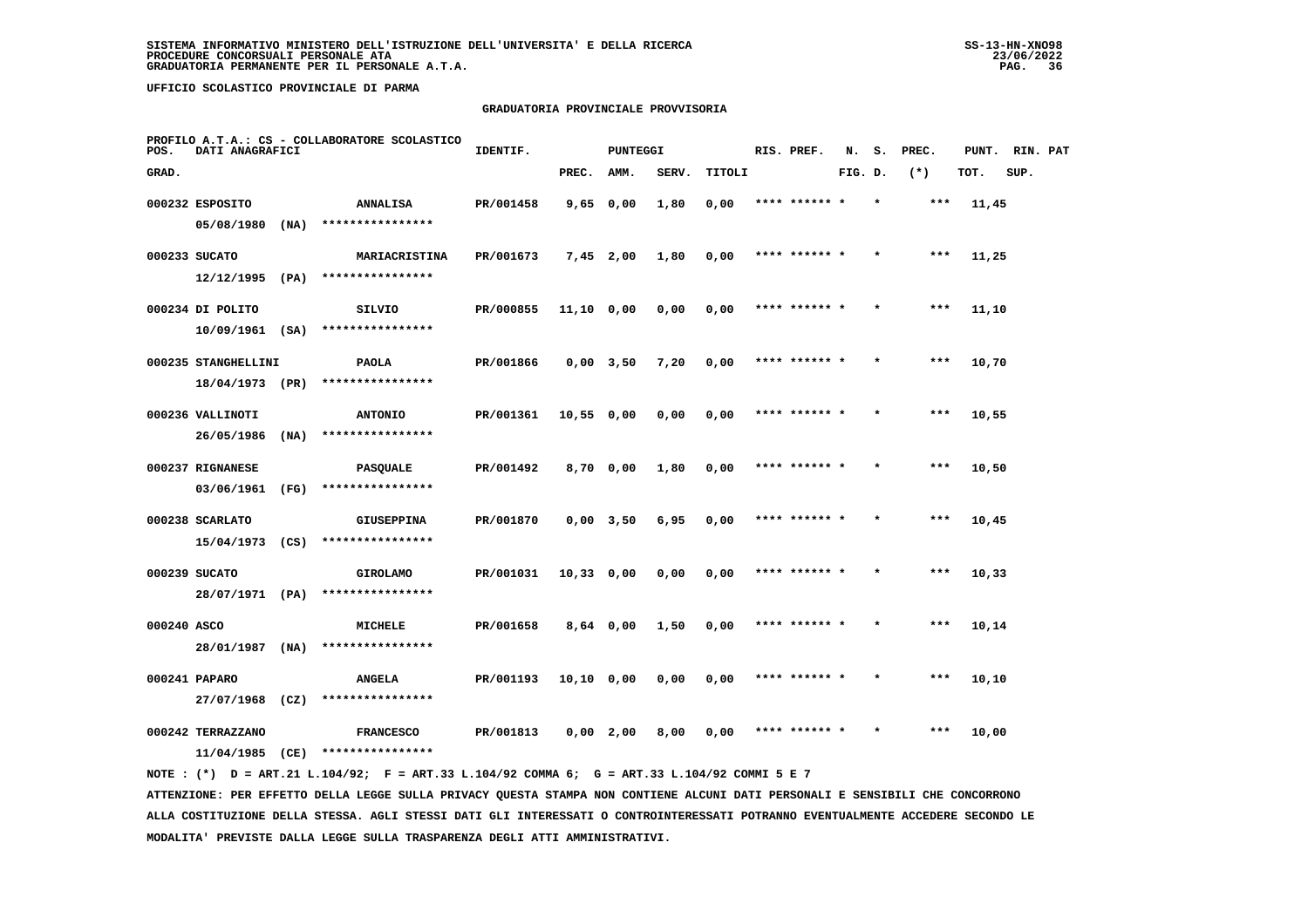#### **GRADUATORIA PROVINCIALE PROVVISORIA**

| POS.        | DATI ANAGRAFICI                    |      | PROFILO A.T.A.: CS - COLLABORATORE SCOLASTICO | IDENTIF.  |              | PUNTEGGI    |       |        | RIS. PREF.    | N.      | s.      | PREC. | PUNT. | RIN. PAT |  |
|-------------|------------------------------------|------|-----------------------------------------------|-----------|--------------|-------------|-------|--------|---------------|---------|---------|-------|-------|----------|--|
| GRAD.       |                                    |      |                                               |           | PREC.        | AMM.        | SERV. | TITOLI |               | FIG. D. |         | $(*)$ | TOT.  | SUP.     |  |
|             | 000232 ESPOSITO<br>05/08/1980      | (NA) | <b>ANNALISA</b><br>****************           | PR/001458 | $9,65$ 0,00  |             | 1,80  | 0,00   | **** ******   |         |         | $***$ | 11,45 |          |  |
|             | 000233 SUCATO                      |      | MARIACRISTINA                                 | PR/001673 | $7,45$ 2,00  |             | 1,80  | 0,00   | **** ****** * |         |         | $***$ | 11,25 |          |  |
|             | 12/12/1995                         | (PA) | ****************                              |           |              |             |       |        |               |         |         |       |       |          |  |
|             | 000234 DI POLITO                   |      | SILVIO                                        | PR/000855 | $11,10$ 0,00 |             | 0,00  | 0,00   | **** ****** * |         | $\star$ | ***   | 11,10 |          |  |
|             | $10/09/1961$ (SA)                  |      | ****************                              |           |              |             |       |        |               |         |         |       |       |          |  |
|             | 000235 STANGHELLINI                |      | <b>PAOLA</b>                                  | PR/001866 | $0,00$ 3,50  |             | 7,20  | 0,00   | **** ****** * |         |         | $***$ | 10,70 |          |  |
|             | 18/04/1973 (PR)                    |      | ****************                              |           |              |             |       |        |               |         |         |       |       |          |  |
|             | 000236 VALLINOTI                   |      | <b>ANTONIO</b>                                | PR/001361 | 10,55 0,00   |             | 0,00  | 0,00   | **** ****** * |         |         | $***$ | 10,55 |          |  |
|             | 26/05/1986                         | (NA) | ****************                              |           |              |             |       |        |               |         |         |       |       |          |  |
|             | 000237 RIGNANESE                   |      | <b>PASQUALE</b>                               | PR/001492 | 8,70 0,00    |             | 1,80  | 0,00   | **** ****** * |         |         | $***$ | 10,50 |          |  |
|             | 03/06/1961                         | (FG) | ****************                              |           |              |             |       |        |               |         |         |       |       |          |  |
|             | 000238 SCARLATO<br>15/04/1973 (CS) |      | <b>GIUSEPPINA</b><br>****************         | PR/001870 |              | $0,00$ 3,50 | 6,95  | 0,00   | **** ****** * |         |         | ***   | 10,45 |          |  |
|             |                                    |      |                                               |           |              |             |       |        |               |         |         |       |       |          |  |
|             | 000239 SUCATO<br>28/07/1971 (PA)   |      | <b>GIROLAMO</b><br>****************           | PR/001031 | $10,33$ 0,00 |             | 0,00  | 0,00   | **** ****** * |         |         | $***$ | 10,33 |          |  |
|             |                                    |      |                                               |           |              |             |       |        |               |         |         |       |       |          |  |
| 000240 ASCO | 28/01/1987                         | (NA) | MICHELE<br>****************                   | PR/001658 |              | $8,64$ 0,00 | 1,50  | 0,00   | **** ****** * |         |         | $***$ | 10,14 |          |  |
|             | 000241 PAPARO                      |      |                                               |           |              |             |       |        | **** ****** * |         |         | ***   |       |          |  |
|             | 27/07/1968                         | (CZ) | <b>ANGELA</b><br>****************             | PR/001193 | $10,10$ 0,00 |             | 0,00  | 0,00   |               |         |         |       | 10,10 |          |  |
|             | 000242 TERRAZZANO                  |      | <b>FRANCESCO</b>                              | PR/001813 | $0,00$ 2,00  |             | 8,00  | 0,00   | **** ****** * |         |         | ***   | 10,00 |          |  |
|             | $11/04/1985$ (CE)                  |      | ****************                              |           |              |             |       |        |               |         |         |       |       |          |  |
|             |                                    |      |                                               |           |              |             |       |        |               |         |         |       |       |          |  |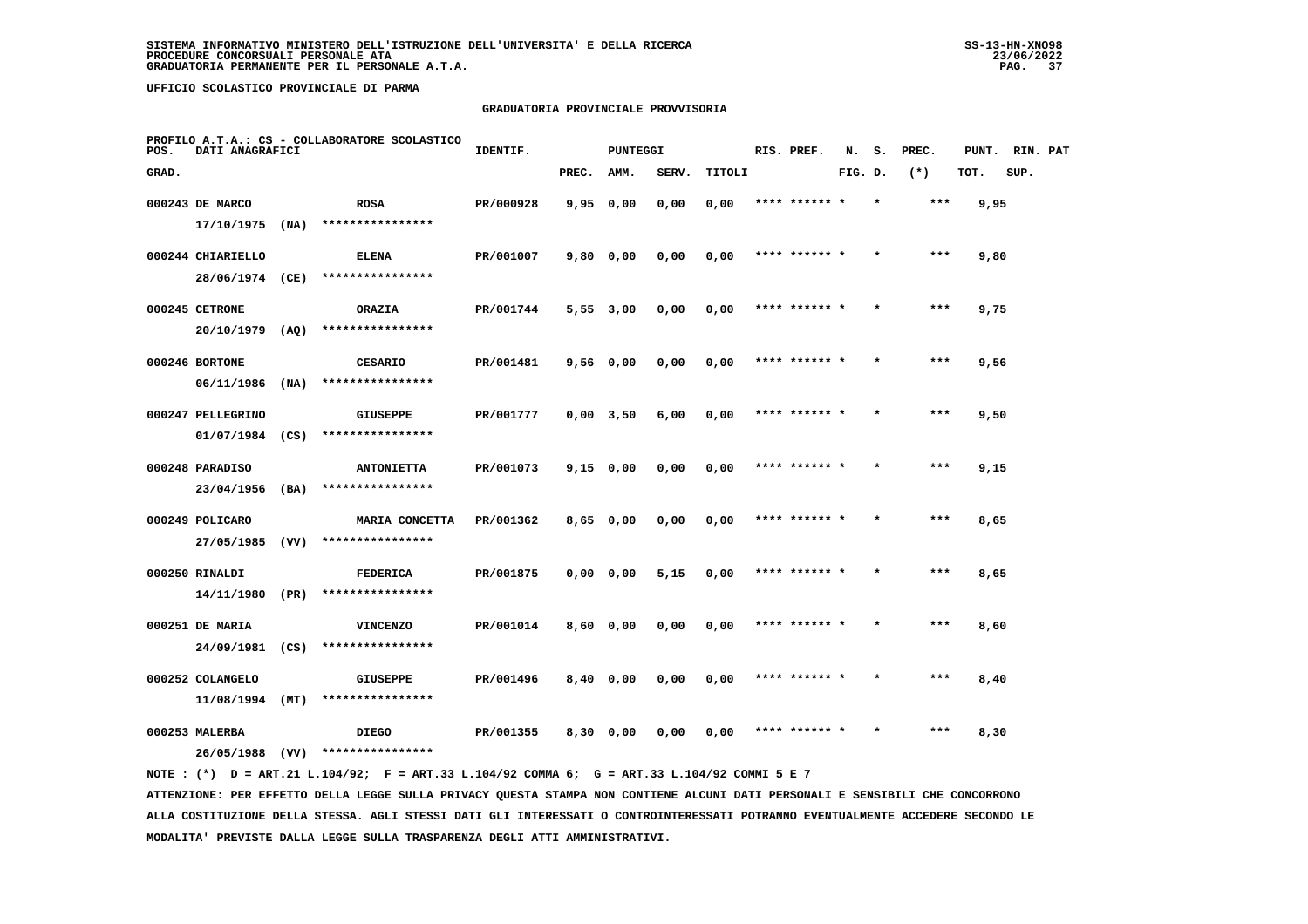#### **GRADUATORIA PROVINCIALE PROVVISORIA**

| POS.  | DATI ANAGRAFICI   | PROFILO A.T.A.: CS - COLLABORATORE SCOLASTICO | IDENTIF.<br><b>PUNTEGGI</b> |           |       |                   |       |        | RIS. PREF. | N.            | s.      | PREC.   |       | PUNT. RIN. PAT |      |  |
|-------|-------------------|-----------------------------------------------|-----------------------------|-----------|-------|-------------------|-------|--------|------------|---------------|---------|---------|-------|----------------|------|--|
| GRAD. |                   |                                               |                             |           | PREC. | AMM.              | SERV. | TITOLI |            |               | FIG. D. |         | $(*)$ | TOT.           | SUP. |  |
|       | 000243 DE MARCO   |                                               | <b>ROSA</b>                 | PR/000928 |       | 9,950,00          | 0,00  | 0,00   |            |               |         |         |       | 9,95           |      |  |
|       | $17/10/1975$ (NA) |                                               | ****************            |           |       |                   |       |        |            |               |         |         |       |                |      |  |
|       | 000244 CHIARIELLO |                                               | <b>ELENA</b>                | PR/001007 |       | 9,80 0,00         | 0,00  | 0,00   |            | **** ****** * |         |         | $***$ | 9,80           |      |  |
|       | 28/06/1974 (CE)   |                                               | ****************            |           |       |                   |       |        |            |               |         |         |       |                |      |  |
|       | 000245 CETRONE    |                                               | <b>ORAZIA</b>               | PR/001744 |       | $5,55$ $3,00$     | 0,00  | 0,00   |            | **** ****** * |         | $\star$ | ***   | 9,75           |      |  |
|       | 20/10/1979        | (AQ)                                          | ****************            |           |       |                   |       |        |            |               |         |         |       |                |      |  |
|       | 000246 BORTONE    |                                               | CESARIO                     | PR/001481 |       | 9,56 0,00         | 0,00  | 0,00   |            | **** ****** * |         |         | ***   | 9,56           |      |  |
|       | 06/11/1986        | (NA)                                          | ****************            |           |       |                   |       |        |            |               |         |         |       |                |      |  |
|       | 000247 PELLEGRINO |                                               | <b>GIUSEPPE</b>             | PR/001777 |       | $0,00$ 3,50       | 6,00  | 0,00   |            | **** ****** * |         |         | $***$ | 9,50           |      |  |
|       | $01/07/1984$ (CS) |                                               | ****************            |           |       |                   |       |        |            |               |         |         |       |                |      |  |
|       | 000248 PARADISO   |                                               | <b>ANTONIETTA</b>           | PR/001073 |       | $9,15$ 0,00       | 0,00  | 0,00   |            | **** ****** * |         | $\star$ | $***$ | 9,15           |      |  |
|       | 23/04/1956        | (BA)                                          | ****************            |           |       |                   |       |        |            |               |         |         |       |                |      |  |
|       | 000249 POLICARO   |                                               | MARIA CONCETTA              | PR/001362 |       | 8,65 0,00         | 0.00  | 0,00   | **** **    |               |         |         | ***   | 8,65           |      |  |
|       | 27/05/1985 (VV)   |                                               | ****************            |           |       |                   |       |        |            |               |         |         |       |                |      |  |
|       | 000250 RINALDI    |                                               | <b>FEDERICA</b>             | PR/001875 |       | 0,0000,00         | 5,15  | 0,00   |            | **** ****** * |         |         | $***$ | 8,65           |      |  |
|       | 14/11/1980        | (PR)                                          | ****************            |           |       |                   |       |        |            |               |         |         |       |                |      |  |
|       | 000251 DE MARIA   |                                               | <b>VINCENZO</b>             | PR/001014 |       | 8,60 0,00         | 0,00  | 0,00   |            | **** ****** * |         | $\star$ | $***$ | 8,60           |      |  |
|       | 24/09/1981        | (CS)                                          | ****************            |           |       |                   |       |        |            |               |         |         |       |                |      |  |
|       | 000252 COLANGELO  |                                               | <b>GIUSEPPE</b>             | PR/001496 |       | $8,40$ 0,00       | 0,00  | 0,00   |            | **** ****** * |         |         | ***   | 8,40           |      |  |
|       | 11/08/1994        | (MT)                                          | ****************            |           |       |                   |       |        |            |               |         |         |       |                |      |  |
|       | 000253 MALERBA    |                                               | <b>DIEGO</b>                | PR/001355 |       | $8,30 \quad 0,00$ | 0.00  | 0.00   |            | **** ****** * |         |         | ***   | 8,30           |      |  |
|       | 26/05/1988        | (VV)                                          | ****************            |           |       |                   |       |        |            |               |         |         |       |                |      |  |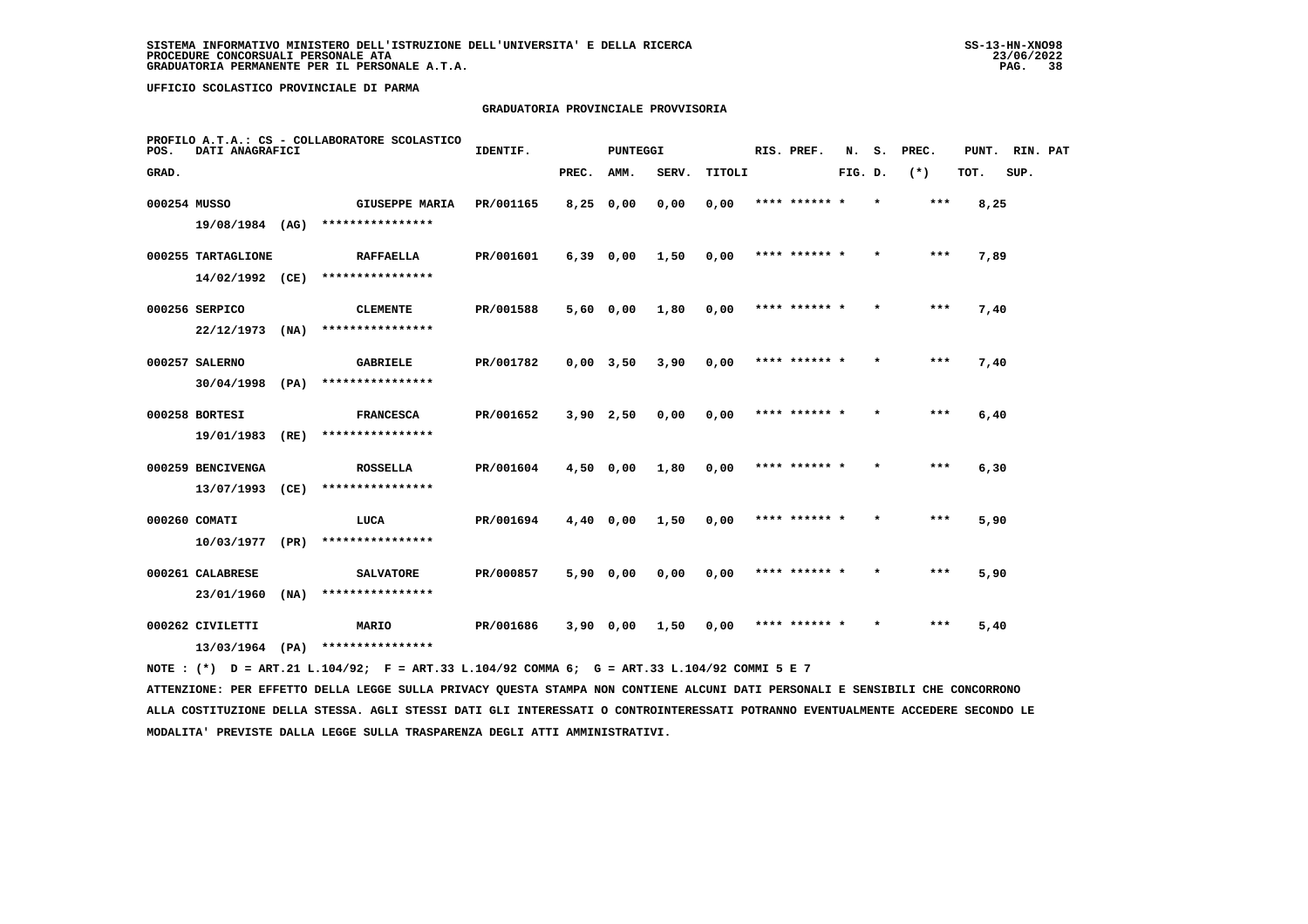#### **GRADUATORIA PROVINCIALE PROVVISORIA**

| POS.  | DATI ANAGRAFICI                       | PROFILO A.T.A.: CS - COLLABORATORE SCOLASTICO | IDENTIF.<br><b>PUNTEGGI</b>                                  |           |            |           |                     |        | RIS. PREF. |               | N. S.   | PREC.   |       | PUNT. RIN. PAT |      |  |
|-------|---------------------------------------|-----------------------------------------------|--------------------------------------------------------------|-----------|------------|-----------|---------------------|--------|------------|---------------|---------|---------|-------|----------------|------|--|
| GRAD. |                                       |                                               |                                                              |           | PREC. AMM. |           | SERV.               | TITOLI |            |               | FIG. D. |         | $(*)$ | TOT.           | SUP. |  |
|       | 000254 MUSSO                          |                                               | GIUSEPPE MARIA PR/001165<br>19/08/1984 (AG) **************** |           | 8,25 0,00  |           | 0.00                | 0.00   |            | **** ****** * |         | $\star$ | ***   | 8,25           |      |  |
|       | 000255 TARTAGLIONE<br>14/02/1992 (CE) |                                               | <b>RAFFAELLA</b><br>****************                         | PR/001601 |            |           | 6,39 0,00 1,50      | 0,00   |            | **** ****** * |         | $\star$ | ***   | 7,89           |      |  |
|       | 000256 SERPICO<br>$22/12/1973$ (NA)   |                                               | CLEMENTE<br>****************                                 | PR/001588 |            | 5,60 0,00 | 1,80                | 0,00   |            | **** ****** * |         | $\star$ | ***   | 7,40           |      |  |
|       | 000257 SALERNO<br>$30/04/1998$ (PA)   |                                               | <b>GABRIELE</b><br>****************                          | PR/001782 |            | 0,00 3,50 | 3,90                | 0,00   |            | **** ****** * |         |         | $***$ | 7,40           |      |  |
|       | 000258 BORTESI<br>19/01/1983 (RE)     |                                               | <b>FRANCESCA</b><br>****************                         | PR/001652 |            |           | 3,90 2,50 0,00      | 0,00   |            | **** ****** * |         | $\star$ | ***   | 6,40           |      |  |
|       | 000259 BENCIVENGA<br>13/07/1993 (CE)  |                                               | <b>ROSSELLA</b><br>****************                          | PR/001604 |            | 4,50 0,00 | 1,80                | 0,00   |            | **** ****** * |         |         | ***   | 6,30           |      |  |
|       | 000260 COMATI<br>10/03/1977 (PR)      |                                               | LUCA<br>****************                                     | PR/001694 |            |           | 4,40 0,00 1,50 0,00 |        |            | **** ****** * |         | $\star$ | ***   | 5,90           |      |  |
|       | 000261 CALABRESE<br>23/01/1960        | (NA)                                          | <b>SALVATORE</b><br>****************                         | PR/000857 |            | 5,90 0,00 | 0,00                | 0,00   |            | **** ****** * |         |         | ***   | 5,90           |      |  |
|       | 000262 CIVILETTI                      |                                               | <b>MARIO</b><br>13/03/1964 (PA) ****************             | PR/001686 |            | 3,90 0,00 | 1,50                | 0,00   |            | **** ****** * |         | $\star$ | $***$ | 5,40           |      |  |
|       |                                       |                                               |                                                              |           |            |           |                     |        |            |               |         |         |       |                |      |  |

 **NOTE : (\*) D = ART.21 L.104/92; F = ART.33 L.104/92 COMMA 6; G = ART.33 L.104/92 COMMI 5 E 7**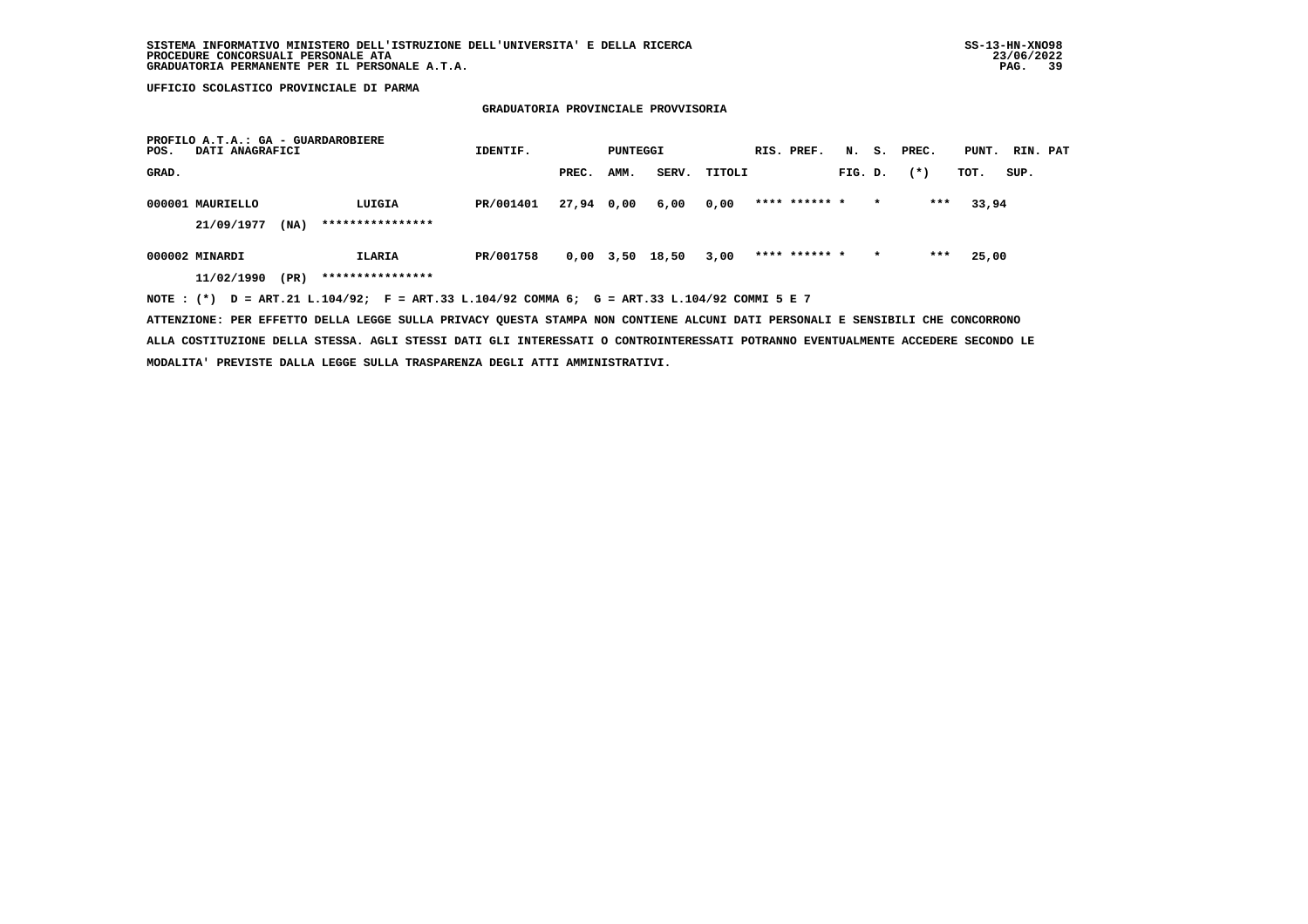#### **GRADUATORIA PROVINCIALE PROVVISORIA**

| PROFILO A.T.A.: GA - GUARDAROBIERE<br>DATI ANAGRAFICI<br>POS.                               | IDENTIF.  | PUNTEGGI   |      | RIS. PREF.      |        |               | N. S. PREC. | PUNT.   | RIN. PAT |       |      |  |
|---------------------------------------------------------------------------------------------|-----------|------------|------|-----------------|--------|---------------|-------------|---------|----------|-------|------|--|
| GRAD.                                                                                       |           | PREC.      | AMM. | SERV.           | TITOLI |               | FIG. D.     |         | $(*)$    | TOT.  | SUP. |  |
| 000001 MAURIELLO<br>LUIGIA                                                                  | PR/001401 | 27,94 0,00 |      | 6,00            | 0,00   | **** ****** * |             | $\star$ | ***      | 33,94 |      |  |
| ****************<br>21/09/1977<br>(NA)                                                      |           |            |      |                 |        |               |             |         |          |       |      |  |
| 000002 MINARDI<br>ILARIA                                                                    | PR/001758 |            |      | 0,00 3,50 18,50 | 3,00   | **** ****** * |             | $\star$ | ***      | 25,00 |      |  |
| ****************<br>(PR)<br>11/02/1990                                                      |           |            |      |                 |        |               |             |         |          |       |      |  |
| NOTE: (*) D = ART.21 L.104/92; F = ART.33 L.104/92 COMMA 6; G = ART.33 L.104/92 COMMI 5 E 7 |           |            |      |                 |        |               |             |         |          |       |      |  |